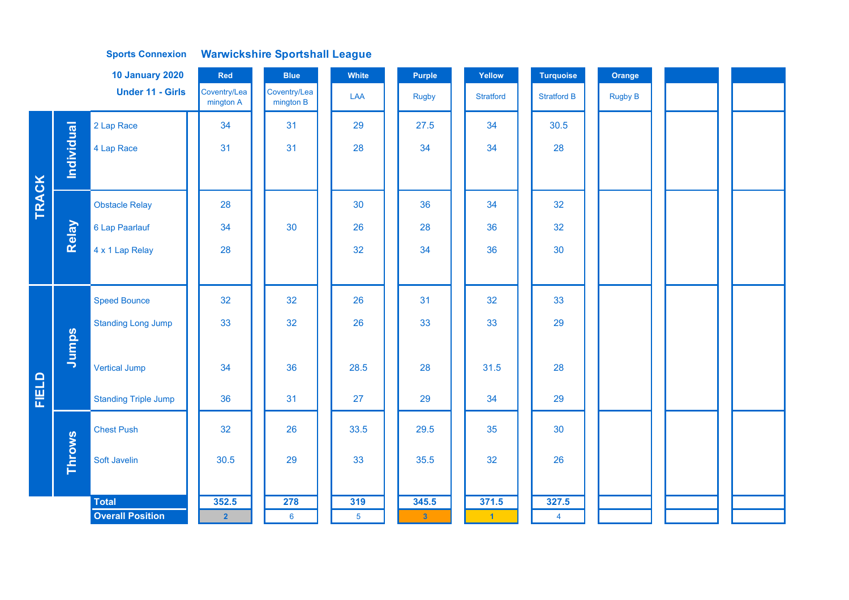| <b>10 January 2020</b><br>Red |              |                             |                           | <b>Blue</b>               | White          | <b>Purple</b> | Yellow               | <b>Turquoise</b>   | Orange         |  |
|-------------------------------|--------------|-----------------------------|---------------------------|---------------------------|----------------|---------------|----------------------|--------------------|----------------|--|
|                               |              | <b>Under 11 - Girls</b>     | Coventry/Lea<br>mington A | Coventry/Lea<br>mington B | LAA            | <b>Rugby</b>  | <b>Stratford</b>     | <b>Stratford B</b> | <b>Rugby B</b> |  |
|                               |              | 2 Lap Race                  | 34                        | 31                        | 29             | 27.5          | 34                   | 30.5               |                |  |
|                               | Individual   | 4 Lap Race                  | 31                        | 31                        | 28             | 34            | 34                   | 28                 |                |  |
|                               |              |                             |                           |                           |                |               |                      |                    |                |  |
| <b>TRACK</b>                  |              | <b>Obstacle Relay</b>       | 28                        |                           | 30             | 36            | 34                   | 32                 |                |  |
|                               | <b>Relay</b> | 6 Lap Paarlauf              | 34                        | 30                        | 26             | 28            | 36                   | 32                 |                |  |
|                               |              | 4 x 1 Lap Relay             | 28                        |                           | 32             | 34            | 36                   | 30                 |                |  |
|                               |              |                             |                           |                           |                |               |                      |                    |                |  |
|                               |              | <b>Speed Bounce</b>         | 32                        | 32                        | 26             | 31            | 32                   | 33                 |                |  |
|                               |              | <b>Standing Long Jump</b>   | 33                        | 32                        | 26             | 33            | 33                   | 29                 |                |  |
|                               | Jumps        |                             |                           |                           |                |               |                      |                    |                |  |
|                               |              | <b>Vertical Jump</b>        | 34                        | 36                        | 28.5           | 28            | 31.5                 | 28                 |                |  |
| FIELD                         |              | <b>Standing Triple Jump</b> | 36                        | 31                        | 27             | 29            | 34                   | 29                 |                |  |
|                               |              | <b>Chest Push</b>           | 32                        | 26                        | 33.5           | 29.5          | 35                   | 30                 |                |  |
|                               | Throws       | Soft Javelin                | 30.5                      | 29                        | 33             | 35.5          | 32                   | 26                 |                |  |
|                               |              |                             |                           |                           |                |               |                      |                    |                |  |
|                               |              | <b>Total</b>                | 352.5                     | 278                       | 319            | 345.5         | 371.5                | 327.5              |                |  |
|                               |              | <b>Overall Position</b>     | 2 <sup>1</sup>            | $6\phantom{1}6$           | $\overline{5}$ | $\mathbf{3}$  | $\blacktriangleleft$ | $\overline{4}$     |                |  |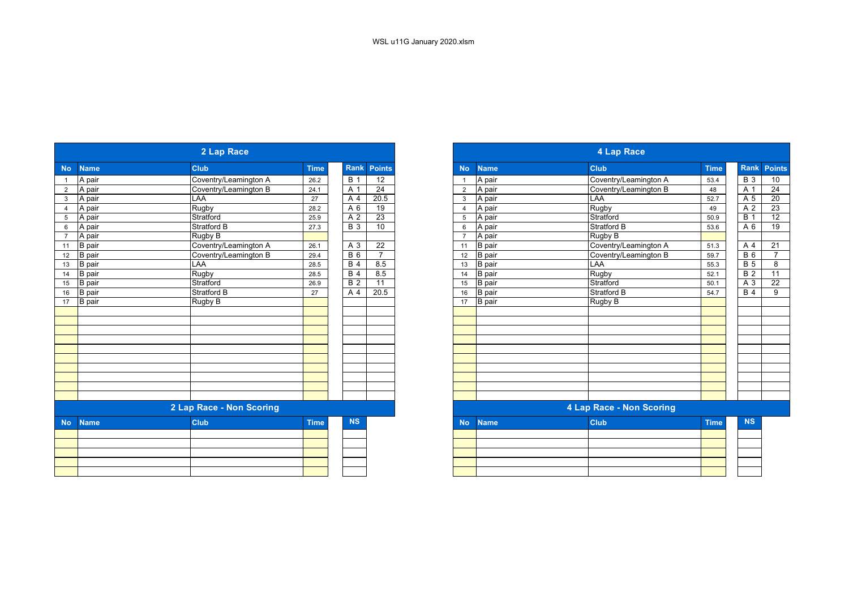|           |               | 2 Lap Race               |             |                  |                 |
|-----------|---------------|--------------------------|-------------|------------------|-----------------|
| <b>No</b> | <b>Name</b>   | <b>Club</b>              | <b>Time</b> | Rank             | <b>Points</b>   |
|           | A pair        | Coventry/Leamington A    | 26.2        | <b>B</b> 1       | $\overline{12}$ |
|           | A pair        | Coventry/Leamington B    | 24.1        | A 1              | $\overline{24}$ |
|           | A pair        | LAA                      | 27          | A 4              | 20.5            |
|           | A pair        | Rugby                    | 28.2        | A 6              | $\overline{19}$ |
|           | A pair        | Stratford                | 25.9        | A 2              | 23              |
|           | A pair        | <b>Stratford B</b>       | 27.3        | <b>B</b> 3       | 10              |
|           | A pair        | Rugby B                  |             |                  |                 |
|           | <b>B</b> pair | Coventry/Leamington A    | 26.1        | A 3              | 22              |
|           | <b>B</b> pair | Coventry/Leamington B    | 29.4        | $B_6$            | $\overline{7}$  |
| 13        | B pair        | LAA                      | 28.5        | B <sub>4</sub>   | 8.5             |
| 14        | B pair        | <b>Rugby</b>             | 28.5        | <b>B</b> 4       | 8.5             |
| 15        | <b>B</b> pair | Stratford                | 26.9        | $\overline{B}$ 2 | 11              |
| 16        | <b>B</b> pair | <b>Stratford B</b>       | 27          | A 4              | 20.5            |
| 17        | <b>B</b> pair | Rugby B                  |             |                  |                 |
|           |               |                          |             |                  |                 |
|           |               |                          |             |                  |                 |
|           |               |                          |             |                  |                 |
|           |               |                          |             |                  |                 |
|           |               |                          |             |                  |                 |
|           |               |                          |             |                  |                 |
|           |               |                          |             |                  |                 |
|           |               |                          |             |                  |                 |
|           |               |                          |             |                  |                 |
|           |               |                          |             |                  |                 |
|           |               | 2 Lap Race - Non Scoring |             |                  |                 |
| <b>No</b> | <b>Name</b>   | <b>Club</b>              | <b>Time</b> | <b>NS</b>        |                 |
|           |               |                          |             |                  |                 |
|           |               |                          |             |                  |                 |
|           |               |                          |             |                  |                 |
|           |               |                          |             |                  |                 |
|           |               |                          |             |                  |                 |
|           |               |                          |             |                  |                 |

| 2 Lap Race                                                                             |  |                       |             |  |                |                 |  |  |  |
|----------------------------------------------------------------------------------------|--|-----------------------|-------------|--|----------------|-----------------|--|--|--|
| <b>Rank</b><br><b>No</b><br><b>Name</b><br><b>Club</b><br><b>Time</b><br><b>Points</b> |  |                       |             |  |                |                 |  |  |  |
| A pair                                                                                 |  | Coventry/Leamington A | 26.2        |  | <b>B</b> 1     | $\overline{12}$ |  |  |  |
| A pair                                                                                 |  | Coventry/Leamington B | 24.1        |  | A 1            | 24              |  |  |  |
| A pair                                                                                 |  | LAA                   | 27          |  | A 4            | 20.5            |  |  |  |
| A pair                                                                                 |  | Rugby                 | 28.2        |  | A 6            | 19              |  |  |  |
| A pair                                                                                 |  | Stratford             | 25.9        |  | A <sub>2</sub> | $\overline{23}$ |  |  |  |
| A pair                                                                                 |  | <b>Stratford B</b>    | 27.3        |  | <b>B</b> 3     | 10              |  |  |  |
| A pair                                                                                 |  | Rugby B               |             |  |                |                 |  |  |  |
| <b>B</b> pair                                                                          |  | Coventry/Leamington A | 26.1        |  | A 3            | 22              |  |  |  |
| <b>B</b> pair                                                                          |  | Coventry/Leamington B | 29.4        |  | $B_6$          | $\overline{7}$  |  |  |  |
| <b>B</b> pair                                                                          |  | LAA                   | 28.5        |  | <b>B</b> 4     | 8.5             |  |  |  |
| <b>B</b> pair                                                                          |  | Rugby                 | 28.5        |  | <b>B</b> 4     | 8.5             |  |  |  |
| <b>B</b> pair                                                                          |  | Stratford             | 26.9        |  | <b>B</b> 2     | 11              |  |  |  |
| <b>B</b> pair                                                                          |  | <b>Stratford B</b>    | 27          |  | A 4            | 20.5            |  |  |  |
| B pair                                                                                 |  | Rugby B               |             |  |                |                 |  |  |  |
|                                                                                        |  |                       |             |  |                |                 |  |  |  |
|                                                                                        |  |                       |             |  |                |                 |  |  |  |
|                                                                                        |  |                       |             |  |                |                 |  |  |  |
|                                                                                        |  |                       |             |  |                |                 |  |  |  |
|                                                                                        |  |                       |             |  |                |                 |  |  |  |
|                                                                                        |  |                       |             |  |                |                 |  |  |  |
|                                                                                        |  |                       |             |  |                |                 |  |  |  |
|                                                                                        |  |                       |             |  |                |                 |  |  |  |
|                                                                                        |  |                       |             |  |                |                 |  |  |  |
|                                                                                        |  |                       |             |  |                |                 |  |  |  |
| 2 Lap Race - Non Scoring                                                               |  |                       |             |  |                |                 |  |  |  |
| <b>Name</b>                                                                            |  | <b>Club</b>           | <b>Time</b> |  | <b>NS</b>      |                 |  |  |  |
|                                                                                        |  |                       |             |  |                |                 |  |  |  |
|                                                                                        |  |                       |             |  |                |                 |  |  |  |
|                                                                                        |  |                       |             |  |                |                 |  |  |  |
|                                                                                        |  |                       |             |  |                |                 |  |  |  |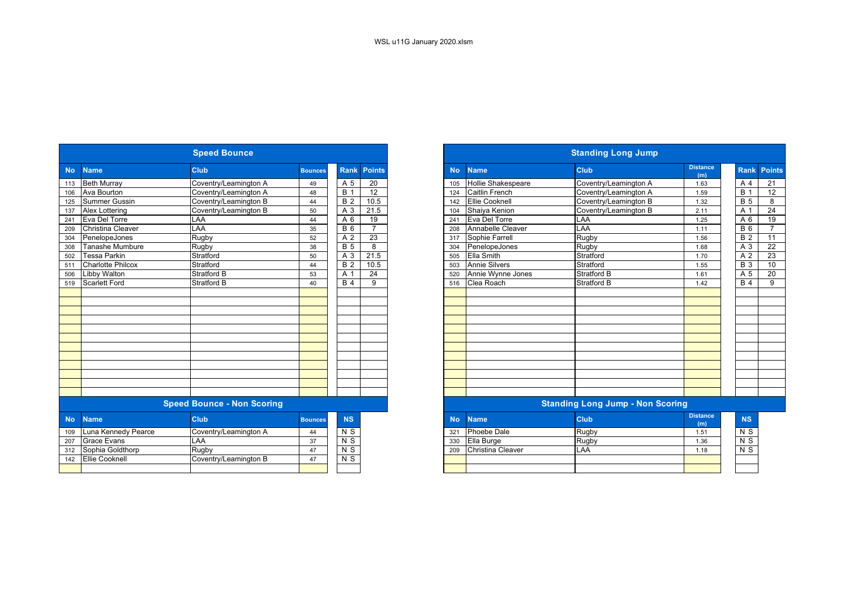|           |                          | <b>Speed Bounce</b>               |                |                  |                 | <b>Standing Long Jump</b> |                           |                                         |                        |  |  |  |
|-----------|--------------------------|-----------------------------------|----------------|------------------|-----------------|---------------------------|---------------------------|-----------------------------------------|------------------------|--|--|--|
| <b>No</b> | <b>Name</b>              | <b>Club</b>                       | <b>Bounces</b> | <b>Rank</b>      | <b>Points</b>   | <b>No</b>                 | <b>Name</b>               | <b>Club</b>                             | <b>Distance</b><br>(m) |  |  |  |
| 113       | <b>Beth Murray</b>       | Coventry/Leamington A             | 49             | A 5              | 20              | 105                       | <b>Hollie Shakespeare</b> | Coventry/Leamington A                   | 1.63                   |  |  |  |
| 106       | Ava Bourton              | Coventry/Leamington A             | 48             | $\overline{B}$ 1 | $\overline{12}$ | 124                       | <b>Caitlin French</b>     | Coventry/Leamington A                   | 1.59                   |  |  |  |
| 125       | <b>Summer Gussin</b>     | Coventry/Leamington B             | 44             | $\overline{B}$ 2 | 10.5            | 142                       | <b>Ellie Cooknell</b>     | Coventry/Leamington B                   | 1.32                   |  |  |  |
| 137       | Alex Lottering           | Coventry/Leamington B             | 50             | A 3              | 21.5            | 104                       | Shaiya Kenion             | Coventry/Leamington B                   | 2.11                   |  |  |  |
| 241       | Eva Del Torre            | LAA                               | 44             | A 6              | 19              | 241                       | Eva Del Torre             | LAA                                     | 1.25                   |  |  |  |
| 209       | Christina Cleaver        | LAA                               | 35             | $\overline{B}$ 6 | $\overline{7}$  | 208                       | Annabelle Cleaver         | LAA                                     | 1.11                   |  |  |  |
| 304       | PenelopeJones            | Rugby                             | 52             | A 2              | 23              | 317                       | Sophie Farrell            | Rugby                                   | 1.56                   |  |  |  |
| 308       | Tanashe Mumbure          | Rugby                             | 38             | $\overline{B}$ 5 | 8               | 304                       | PenelopeJones             | Rugby                                   | 1.68                   |  |  |  |
| 502       | Tessa Parkin             | Stratford                         | 50             | A 3              | 21.5            | 505                       | <b>Ella Smith</b>         | Stratford                               | 1.70                   |  |  |  |
| 511       | <b>Charlotte Philcox</b> | Stratford                         | 44             | $\overline{B}$ 2 | 10.5            | 503                       | <b>Annie Silvers</b>      | Stratford                               | 1.55                   |  |  |  |
| 506       | <b>Libby Walton</b>      | Stratford B                       | 53             | A 1              | 24              | 520                       | Annie Wynne Jones         | <b>Stratford B</b>                      | 1.61                   |  |  |  |
| 519       | <b>Scarlett Ford</b>     | <b>Stratford B</b>                | 40             | <b>B</b> 4       | 9               | 516                       | Clea Roach                | <b>Stratford B</b>                      | 1.42                   |  |  |  |
|           |                          |                                   |                |                  |                 |                           |                           |                                         |                        |  |  |  |
|           |                          |                                   |                |                  |                 |                           |                           |                                         |                        |  |  |  |
|           |                          |                                   |                |                  |                 |                           |                           |                                         |                        |  |  |  |
|           |                          |                                   |                |                  |                 |                           |                           |                                         |                        |  |  |  |
|           |                          |                                   |                |                  |                 |                           |                           |                                         |                        |  |  |  |
|           |                          |                                   |                |                  |                 |                           |                           |                                         |                        |  |  |  |
|           |                          |                                   |                |                  |                 |                           |                           |                                         |                        |  |  |  |
|           |                          |                                   |                |                  |                 |                           |                           |                                         |                        |  |  |  |
|           |                          |                                   |                |                  |                 |                           |                           |                                         |                        |  |  |  |
|           |                          |                                   |                |                  |                 |                           |                           |                                         |                        |  |  |  |
|           |                          |                                   |                |                  |                 |                           |                           |                                         |                        |  |  |  |
|           |                          |                                   |                |                  |                 |                           |                           |                                         |                        |  |  |  |
|           |                          | <b>Speed Bounce - Non Scoring</b> |                |                  |                 |                           |                           | <b>Standing Long Jump - Non Scoring</b> |                        |  |  |  |
| <b>No</b> | <b>Name</b>              | <b>Club</b>                       | <b>Bounces</b> | <b>NS</b>        |                 | <b>No</b>                 | <b>Name</b>               | <b>Club</b>                             | <b>Distance</b><br>(m) |  |  |  |
| 109       | Luna Kennedy Pearce      | Coventry/Leamington A             | 44             | N S              |                 | 321                       | Phoebe Dale               | Rugby                                   | 1.51                   |  |  |  |
| 207       | <b>Grace Evans</b>       | LAA                               | 37             | N <sub>S</sub>   |                 | 330                       | Ella Burge                | Rugby                                   | 1.36                   |  |  |  |
| 312       | Sophia Goldthorp         | Rugby                             | 47             | $\overline{N}$   |                 | 209                       | Christina Cleaver         | LAA                                     | 1.18                   |  |  |  |
| 142       | <b>Ellie Cooknell</b>    | Coventry/Leamington B             | 47             | N <sub>S</sub>   |                 |                           |                           |                                         |                        |  |  |  |
|           |                          |                                   |                |                  |                 |                           |                           |                                         |                        |  |  |  |
|           |                          |                                   |                |                  |                 |                           |                           |                                         |                        |  |  |  |

| <b>Speed Bounce</b> |                          |                                   |                |                |                |  |  |
|---------------------|--------------------------|-----------------------------------|----------------|----------------|----------------|--|--|
| <b>No</b>           | <b>Name</b>              | <b>Club</b>                       | <b>Bounces</b> | <b>Rank</b>    | <b>Points</b>  |  |  |
| 113                 | <b>Beth Murray</b>       | Coventry/Leamington A             | 49             | A 5            | 20             |  |  |
|                     | Ava Bourton              | Coventry/Leamington A             | 48             | <b>B</b> 1     | 12             |  |  |
| $\overline{125}$    | <b>Summer Gussin</b>     | Coventry/Leamington B             | 44             | <b>B</b> 2     | 10.5           |  |  |
| 137                 | <b>Alex Lottering</b>    | Coventry/Leamington B             | 50             | A 3            | 21.5           |  |  |
|                     | Eva Del Torre            | LAA                               | 44             | A 6            | 19             |  |  |
| 209                 | Christina Cleaver        | LAA                               | 35             | <b>B6</b>      | $\overline{ }$ |  |  |
| 304                 | PenelopeJones            | Rugby                             | 52             | A 2            | 23             |  |  |
| 308                 | <b>Tanashe Mumbure</b>   | Rugby                             | 38             | <b>B</b> 5     | 8              |  |  |
| 502                 | <b>Tessa Parkin</b>      | Stratford                         | 50             | A 3            | 21.5           |  |  |
|                     | <b>Charlotte Philcox</b> | Stratford                         | 44             | <b>B</b> 2     | 10.5           |  |  |
| 506                 | <b>Libby Walton</b>      | Stratford B                       | 53             | A 1            | 24             |  |  |
| 519                 | <b>Scarlett Ford</b>     | Stratford B                       | 40             | <b>B</b> 4     | 9              |  |  |
|                     |                          |                                   |                |                |                |  |  |
|                     |                          |                                   |                |                |                |  |  |
|                     |                          |                                   |                |                |                |  |  |
|                     |                          |                                   |                |                |                |  |  |
|                     |                          |                                   |                |                |                |  |  |
|                     |                          |                                   |                |                |                |  |  |
|                     |                          |                                   |                |                |                |  |  |
|                     |                          |                                   |                |                |                |  |  |
|                     |                          |                                   |                |                |                |  |  |
|                     |                          |                                   |                |                |                |  |  |
|                     |                          |                                   |                |                |                |  |  |
|                     |                          |                                   |                |                |                |  |  |
|                     |                          | <b>Speed Bounce - Non Scoring</b> |                |                |                |  |  |
| <b>No</b>           | <b>Name</b>              | <b>Club</b>                       | <b>Bounces</b> | <b>NS</b>      |                |  |  |
| 109                 | Luna Kennedy Pearce      | Coventry/Leamington A             | 44             | N <sub>S</sub> |                |  |  |
| 207                 | <b>Grace Evans</b>       | LAA                               | 37             | $N$ S          |                |  |  |
|                     | 312 Sophia Goldthorp     | Ruaby                             | 47             | $N$ S          |                |  |  |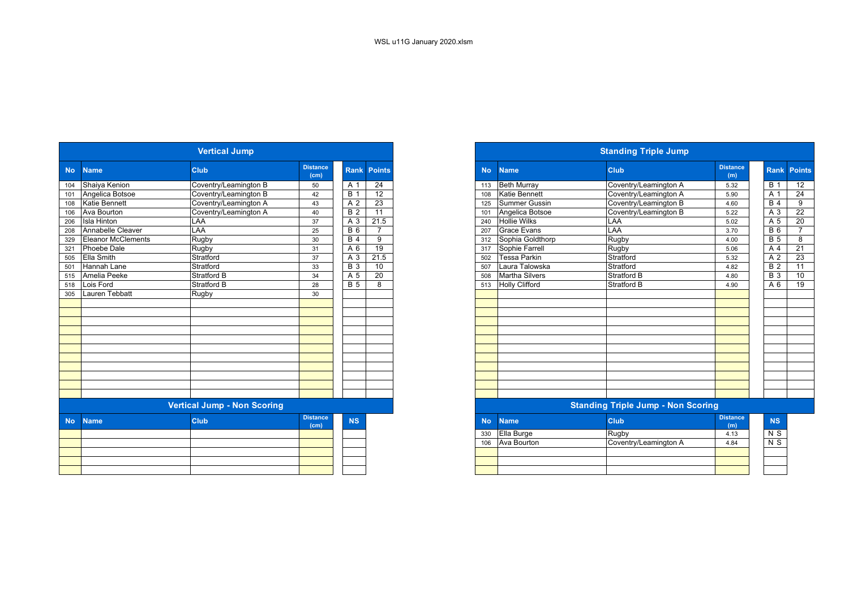|           | <b>Vertical Jump</b>      |                                    |                                      |                  |                    |  |  |  |  |  |  |  |  |  |
|-----------|---------------------------|------------------------------------|--------------------------------------|------------------|--------------------|--|--|--|--|--|--|--|--|--|
| <b>No</b> | <b>Name</b>               | <b>Club</b>                        | <b>Distance</b><br>(cm)              |                  | <b>Rank Points</b> |  |  |  |  |  |  |  |  |  |
| 104       | Shaiya Kenion             | Coventry/Leamington B              | 50                                   | A 1              | 24                 |  |  |  |  |  |  |  |  |  |
| 101       | Angelica Botsoe           | Coventry/Leamington B              | 42                                   | $\overline{B}$ 1 | 12                 |  |  |  |  |  |  |  |  |  |
| 108       | Katie Bennett             | Coventry/Leamington A              | 43                                   | A <sub>2</sub>   | 23                 |  |  |  |  |  |  |  |  |  |
| 106       | Ava Bourton               | Coventry/Leamington A              | 40                                   | <b>B2</b>        | 11                 |  |  |  |  |  |  |  |  |  |
| 206       | <b>Isla Hinton</b>        | LAA                                | 37                                   | $A \overline{3}$ | 21.5               |  |  |  |  |  |  |  |  |  |
| 208       | Annabelle Cleaver         | LAA                                | 25                                   | $\overline{B}$ 6 | $\overline{7}$     |  |  |  |  |  |  |  |  |  |
| 329       | <b>Eleanor McClements</b> | Rugby                              | 30                                   | <b>B</b> 4       | 9                  |  |  |  |  |  |  |  |  |  |
| 321       | Phoebe Dale               | Rugby                              | 31                                   | A 6              | 19                 |  |  |  |  |  |  |  |  |  |
| 505       | Ella Smith                | Stratford                          | 37                                   | $A\overline{3}$  | 21.5               |  |  |  |  |  |  |  |  |  |
| 501       | Hannah Lane               | Stratford                          | 33                                   | $\overline{B}$ 3 | 10                 |  |  |  |  |  |  |  |  |  |
| 515       | Amelia Peeke              | Stratford B                        | 34                                   | A 5              | 20                 |  |  |  |  |  |  |  |  |  |
| 518       | Lois Ford                 | Stratford B                        | 28                                   | $\overline{B}$ 5 | 8                  |  |  |  |  |  |  |  |  |  |
| 305       | Lauren Tebbatt            | Rugby                              | 30                                   |                  |                    |  |  |  |  |  |  |  |  |  |
|           |                           |                                    |                                      |                  |                    |  |  |  |  |  |  |  |  |  |
|           |                           |                                    |                                      |                  |                    |  |  |  |  |  |  |  |  |  |
|           |                           |                                    |                                      |                  |                    |  |  |  |  |  |  |  |  |  |
|           |                           |                                    |                                      |                  |                    |  |  |  |  |  |  |  |  |  |
|           |                           |                                    |                                      |                  |                    |  |  |  |  |  |  |  |  |  |
|           |                           |                                    |                                      |                  |                    |  |  |  |  |  |  |  |  |  |
|           |                           |                                    |                                      |                  |                    |  |  |  |  |  |  |  |  |  |
|           |                           |                                    |                                      |                  |                    |  |  |  |  |  |  |  |  |  |
|           |                           |                                    |                                      |                  |                    |  |  |  |  |  |  |  |  |  |
|           |                           |                                    |                                      |                  |                    |  |  |  |  |  |  |  |  |  |
|           |                           |                                    |                                      |                  |                    |  |  |  |  |  |  |  |  |  |
|           |                           | <b>Vertical Jump - Non Scoring</b> |                                      |                  |                    |  |  |  |  |  |  |  |  |  |
| <b>No</b> | <b>Name</b>               | Club                               | <b>Distance</b><br>(c <sub>m</sub> ) | <b>NS</b>        |                    |  |  |  |  |  |  |  |  |  |
|           |                           |                                    |                                      |                  |                    |  |  |  |  |  |  |  |  |  |
|           |                           |                                    |                                      |                  |                    |  |  |  |  |  |  |  |  |  |
|           |                           |                                    |                                      |                  |                    |  |  |  |  |  |  |  |  |  |
|           |                           |                                    |                                      |                  |                    |  |  |  |  |  |  |  |  |  |
|           |                           |                                    |                                      |                  |                    |  |  |  |  |  |  |  |  |  |
|           |                           |                                    |                                      |                  |                    |  |  |  |  |  |  |  |  |  |

| <b>Vertical Jump</b>             |                                    |                         |                  |                 |  |  |  |  |  |
|----------------------------------|------------------------------------|-------------------------|------------------|-----------------|--|--|--|--|--|
| No.<br><b>Name</b>               | <b>Club</b>                        | <b>Distance</b><br>(cm) | <b>Rank</b>      | <b>Points</b>   |  |  |  |  |  |
| Shaiya Kenion<br>104             | Coventry/Leamington B              | 50                      | A 1              | $\overline{24}$ |  |  |  |  |  |
| 101 Angelica Botsoe              | Coventry/Leamington B              | 42                      | B                | 12              |  |  |  |  |  |
| <b>Katie Bennett</b><br>108      | Coventry/Leamington A              | 43                      | A 2              | 23              |  |  |  |  |  |
| Ava Bourton<br>106               | Coventry/Leamington A              | 40                      | $\overline{B2}$  | 11              |  |  |  |  |  |
| 206<br><b>Isla Hinton</b>        | LAA                                | 37                      | A 3              | 21.5            |  |  |  |  |  |
| Annabelle Cleaver<br>208         | LAA                                | 25                      | $\overline{B}$ 6 |                 |  |  |  |  |  |
| <b>Eleanor McClements</b><br>329 | Rugby                              | 30                      | <b>B</b> 4       | 9               |  |  |  |  |  |
| Phoebe Dale<br>321               | Rugby                              | 31                      | A 6              | 19              |  |  |  |  |  |
| <b>Ella Smith</b><br>505         | Stratford                          | 37                      | A 3              | 21.5            |  |  |  |  |  |
| Hannah Lane<br>501               | Stratford                          | 33                      | $\overline{B}$ 3 | 10              |  |  |  |  |  |
| Amelia Peeke<br>515              | <b>Stratford B</b>                 | 34                      | A 5              | $\overline{20}$ |  |  |  |  |  |
| 518 Lois Ford                    | <b>Stratford B</b>                 | 28                      | <b>B</b> 5       | 8               |  |  |  |  |  |
| Lauren Tebbatt<br>305            | Rugby                              | 30                      |                  |                 |  |  |  |  |  |
|                                  |                                    |                         |                  |                 |  |  |  |  |  |
|                                  |                                    |                         |                  |                 |  |  |  |  |  |
|                                  |                                    |                         |                  |                 |  |  |  |  |  |
|                                  |                                    |                         |                  |                 |  |  |  |  |  |
|                                  |                                    |                         |                  |                 |  |  |  |  |  |
|                                  |                                    |                         |                  |                 |  |  |  |  |  |
|                                  |                                    |                         |                  |                 |  |  |  |  |  |
|                                  |                                    |                         |                  |                 |  |  |  |  |  |
|                                  | <b>Vertical Jump - Non Scoring</b> |                         |                  |                 |  |  |  |  |  |

| stance<br>(cm) | <b>NS</b> | No. | <b>Name</b> | <b>Club</b>           | <b>Distance</b><br>(m) |
|----------------|-----------|-----|-------------|-----------------------|------------------------|
|                |           | 330 | Ella Burge  | Rugby                 | 4.13                   |
|                |           | 106 | Ava Bourton | Coventry/Leamington A | 4.84                   |
|                |           |     |             |                       |                        |
|                |           |     |             |                       |                        |
|                |           |     |             |                       |                        |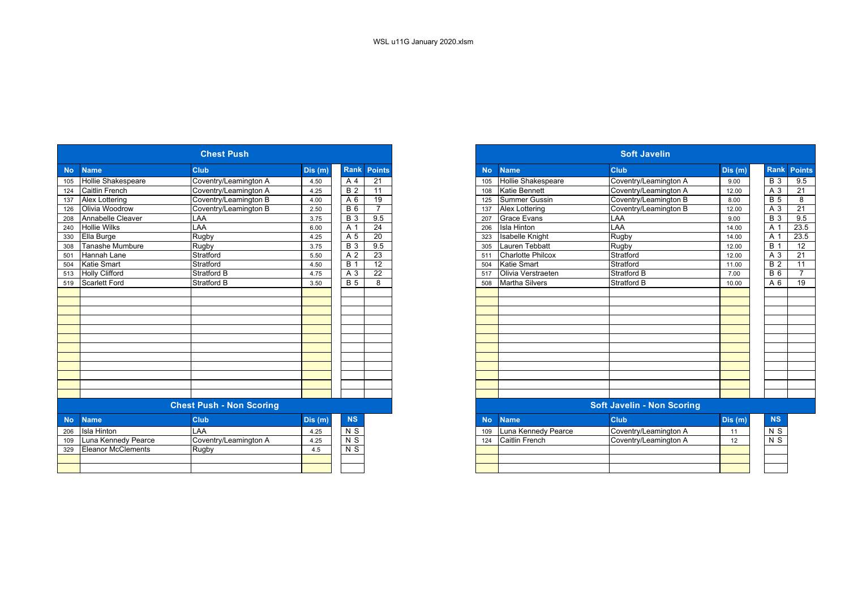|           |                           | <b>Chest Push</b>               |         |                    |                 |
|-----------|---------------------------|---------------------------------|---------|--------------------|-----------------|
| <b>No</b> | <b>Name</b>               | Club                            | Dis (m) | <b>Rank Points</b> |                 |
| 105       | <b>Hollie Shakespeare</b> | Coventry/Leamington A           | 4.50    | A 4                | $\overline{21}$ |
| 124       | <b>Caitlin French</b>     | Coventry/Leamington A           | 4.25    | <b>B2</b>          | 11              |
| 137       | Alex Lottering            | Coventry/Leamington B           | 4.00    | A 6                | 19              |
| 126       | Olivia Woodrow            | Coventry/Leamington B           | 2.50    | <b>B</b> 6         | $\overline{7}$  |
| 208       | Annabelle Cleaver         | LAA                             | 3.75    | <b>B</b> 3         | 9.5             |
| 240       | <b>Hollie Wilks</b>       | LAA                             | 6.00    | A 1                | 24              |
| 330       | Ella Burge                | Rugby                           | 4.25    | A 5                | 20              |
| 308       | Tanashe Mumbure           | Rugby                           | 3.75    | $\overline{B}3$    | 9.5             |
| 501       | Hannah Lane               | Stratford                       | 5.50    | A 2                | 23              |
| 504       | <b>Katie Smart</b>        | Stratford                       | 4.50    | <b>B</b> 1         | 12              |
|           | 513 Holly Clifford        | Stratford B                     | 4.75    | A 3                | 22              |
|           | 519 Scarlett Ford         | <b>Stratford B</b>              | 3.50    | <b>B</b> 5         | 8               |
|           |                           |                                 |         |                    |                 |
|           |                           |                                 |         |                    |                 |
|           |                           |                                 |         |                    |                 |
|           |                           |                                 |         |                    |                 |
|           |                           |                                 |         |                    |                 |
|           |                           |                                 |         |                    |                 |
|           |                           |                                 |         |                    |                 |
|           |                           |                                 |         |                    |                 |
|           |                           |                                 |         |                    |                 |
|           |                           |                                 |         |                    |                 |
|           |                           |                                 |         |                    |                 |
|           |                           |                                 |         |                    |                 |
|           |                           | <b>Chest Push - Non Scoring</b> |         |                    |                 |
| <b>No</b> | <b>Name</b>               | Club                            | Dis (m) | <b>NS</b>          |                 |
| 206       | <b>Isla Hinton</b>        | LAA                             | 4.25    | N <sub>S</sub>     |                 |
| 109       | Luna Kennedy Pearce       | Coventry/Leamington A           | 4.25    | $N$ S              |                 |
| 329       | <b>Eleanor McClements</b> | Rugby                           | 4.5     | N <sub>S</sub>     |                 |
|           |                           |                                 |         |                    |                 |
|           |                           |                                 |         |                    |                 |

|           |                           | <b>Chest Push</b>               |        |                  |                 |
|-----------|---------------------------|---------------------------------|--------|------------------|-----------------|
| <b>No</b> | <b>Name</b>               | <b>Club</b>                     | Dis(m) | <b>Rank</b>      | <b>Points</b>   |
| 105       | Hollie Shakespeare        | Coventry/Leamington A           | 4.50   | A 4              | 21              |
| 124       | <b>Caitlin French</b>     | Coventry/Leamington A           | 4.25   | $\overline{B}$ 2 | 11              |
| 137       | Alex Lottering            | Coventry/Leamington B           | 4.00   | A 6              | $\overline{19}$ |
| 126       | Olivia Woodrow            | Coventry/Leamington B           | 2.50   | <b>B</b> 6       | $\overline{7}$  |
| 208       | Annabelle Cleaver         | LAA                             | 3.75   | $\overline{B}$ 3 | 9.5             |
| 240       | <b>Hollie Wilks</b>       | LAA                             | 6.00   | A 1              | $\overline{24}$ |
| 330       | Ella Burge                | Rugby                           | 4.25   | A 5              | 20              |
| 308       | Tanashe Mumbure           | Rugby                           | 3.75   | $\overline{B}3$  | 9.5             |
| 501       | Hannah Lane               | Stratford                       | 5.50   | A 2              | 23              |
| 504       | <b>Katie Smart</b>        | Stratford                       | 4.50   | <b>B</b> 1       | $\overline{12}$ |
| 513       | <b>Holly Clifford</b>     | <b>Stratford B</b>              | 4.75   | A 3              | $\overline{22}$ |
|           | 519 Scarlett Ford         | <b>Stratford B</b>              | 3.50   | $\overline{B}$ 5 | 8               |
|           |                           |                                 |        |                  |                 |
|           |                           |                                 |        |                  |                 |
|           |                           |                                 |        |                  |                 |
|           |                           |                                 |        |                  |                 |
|           |                           |                                 |        |                  |                 |
|           |                           |                                 |        |                  |                 |
|           |                           |                                 |        |                  |                 |
|           |                           |                                 |        |                  |                 |
|           |                           |                                 |        |                  |                 |
|           |                           |                                 |        |                  |                 |
|           |                           |                                 |        |                  |                 |
|           |                           |                                 |        |                  |                 |
|           |                           | <b>Chest Push - Non Scoring</b> |        |                  |                 |
| <b>No</b> | <b>Name</b>               | <b>Club</b>                     | Dis(m) | <b>NS</b>        |                 |
| 206       | <b>Isla Hinton</b>        | LAA                             | 4.25   | N <sub>S</sub>   |                 |
| 109       | Luna Kennedy Pearce       | Coventry/Leamington A           | 4.25   | $N$ S            |                 |
| 329       | <b>Eleanor McClements</b> | Rugby                           | 4.5    | N <sub>S</sub>   |                 |
|           |                           |                                 |        |                  |                 |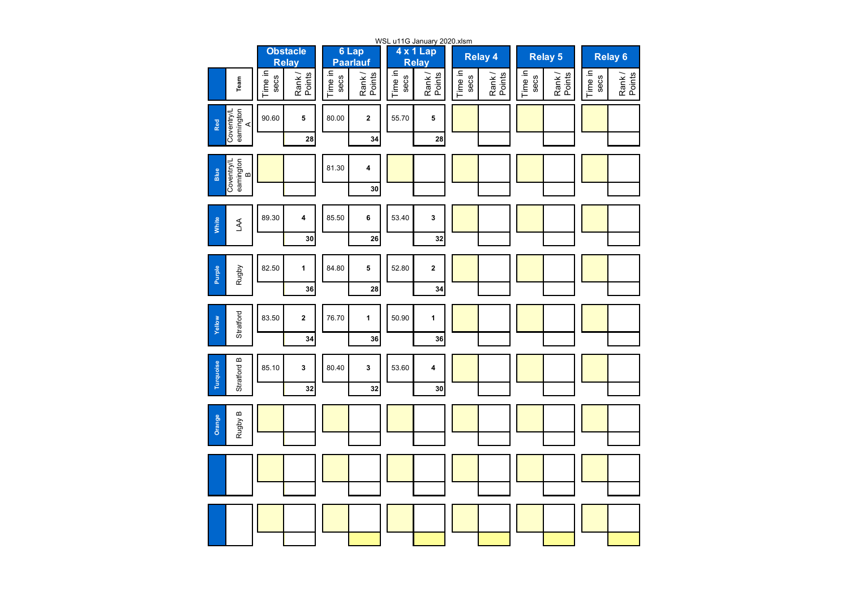|                                      |                 |                                 |                 |                          | WSL u11G January 2020.xlsm |                           |                 |                 |                 |                  |                 |                    |
|--------------------------------------|-----------------|---------------------------------|-----------------|--------------------------|----------------------------|---------------------------|-----------------|-----------------|-----------------|------------------|-----------------|--------------------|
|                                      |                 | <b>Obstacle</b><br><b>Relay</b> |                 | 6 Lap<br><b>Paarlauf</b> |                            | 4 x 1 Lap<br><b>Relay</b> |                 | <b>Relay 4</b>  |                 | <b>Relay 5</b>   |                 | Relay <sub>6</sub> |
| Team                                 | Time in<br>secs | Rank/<br>Points                 | Time in<br>secs | Points<br>Rank/          | Time in<br>secs            | Rank/<br>Points           | Time in<br>secs | Rank/<br>Points | Time in<br>secs | Rank /<br>Points | Time in<br>secs | Rank /<br>Points   |
| Coventry/L<br>eamington<br>A<br>Red  | 90.60           | 5                               | 80.00           | $\mathbf 2$              | 55.70                      | 5                         |                 |                 |                 |                  |                 |                    |
|                                      |                 | 28                              |                 | 34                       |                            | 28                        |                 |                 |                 |                  |                 |                    |
| Coventry/L<br>eamington<br>B<br>Blue |                 |                                 | 81.30           | 4                        |                            |                           |                 |                 |                 |                  |                 |                    |
|                                      |                 |                                 |                 | 30                       |                            |                           |                 |                 |                 |                  |                 |                    |
| White<br>ЪĄ                          | 89.30           | 4                               | 85.50           | 6                        | 53.40                      | 3                         |                 |                 |                 |                  |                 |                    |
|                                      |                 | 30                              |                 | 26                       |                            | 32                        |                 |                 |                 |                  |                 |                    |
|                                      | 82.50           | $\mathbf{1}$                    | 84.80           | 5                        | 52.80                      | $\mathbf 2$               |                 |                 |                 |                  |                 |                    |
| Rugby<br><b>Purple</b>               |                 | 36                              |                 | 28                       |                            | 34                        |                 |                 |                 |                  |                 |                    |
|                                      | 83.50           | $\mathbf 2$                     | 76.70           | 1                        | 50.90                      | 1                         |                 |                 |                 |                  |                 |                    |
| Stratford<br>Yellow                  |                 | 34                              |                 | 36                       |                            | 36                        |                 |                 |                 |                  |                 |                    |
|                                      | 85.10           | 3                               | 80.40           | 3                        | 53.60                      | 4                         |                 |                 |                 |                  |                 |                    |
| Stratford B<br>Turquoise             |                 | 32                              |                 | 32                       |                            | 30                        |                 |                 |                 |                  |                 |                    |
|                                      |                 |                                 |                 |                          |                            |                           |                 |                 |                 |                  |                 |                    |
| Rugby B<br>Orange                    |                 |                                 |                 |                          |                            |                           |                 |                 |                 |                  |                 |                    |
|                                      |                 |                                 |                 |                          |                            |                           |                 |                 |                 |                  |                 |                    |
|                                      |                 |                                 |                 |                          |                            |                           |                 |                 |                 |                  |                 |                    |
|                                      |                 |                                 |                 |                          |                            |                           |                 |                 |                 |                  |                 |                    |
|                                      |                 |                                 |                 |                          |                            |                           |                 |                 |                 |                  |                 |                    |
|                                      |                 |                                 |                 |                          |                            |                           |                 |                 |                 |                  |                 |                    |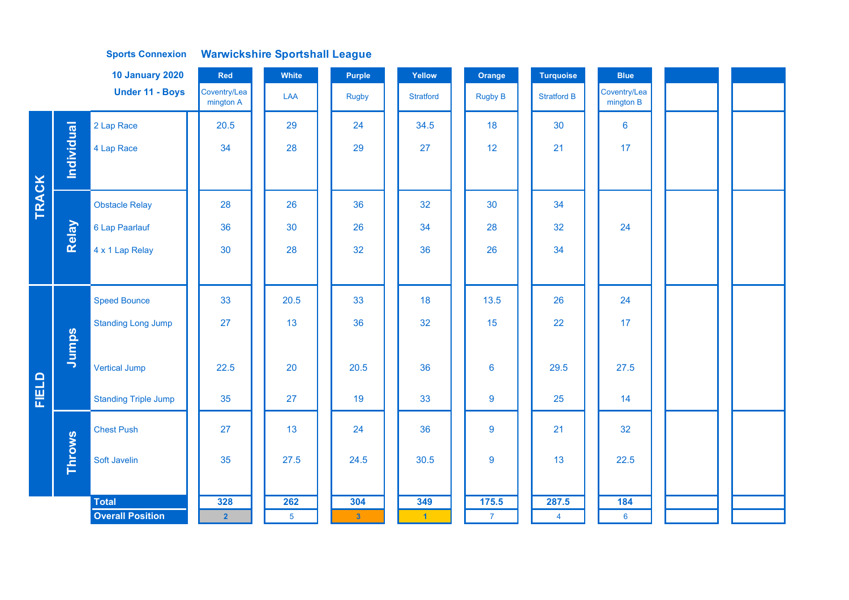| <b>10 January 2020</b><br>Red |               |                             |                           | White          | <b>Purple</b>  | Yellow               | Orange          | <b>Turquoise</b>        | <b>Blue</b>               |  |
|-------------------------------|---------------|-----------------------------|---------------------------|----------------|----------------|----------------------|-----------------|-------------------------|---------------------------|--|
|                               |               | <b>Under 11 - Boys</b>      | Coventry/Lea<br>mington A | LAA            | <b>Rugby</b>   | <b>Stratford</b>     | <b>Rugby B</b>  | <b>Stratford B</b>      | Coventry/Lea<br>mington B |  |
|                               |               | 2 Lap Race                  | 20.5                      | 29             | 24             | 34.5                 | 18              | 30                      | $6\phantom{a}$            |  |
|                               | Individual    | 4 Lap Race                  | 34                        | 28             | 29             | 27                   | 12 <sub>2</sub> | 21                      | 17                        |  |
|                               |               |                             |                           |                |                |                      |                 |                         |                           |  |
| <b>TRACK</b>                  |               | <b>Obstacle Relay</b>       | 28                        | 26             | 36             | 32                   | 30              | 34                      |                           |  |
|                               | Relay         | 6 Lap Paarlauf              | 36                        | 30             | 26             | 34                   | 28              | 32                      | 24                        |  |
|                               |               | 4 x 1 Lap Relay             | 30                        | 28             | 32             | 36                   | 26              | 34                      |                           |  |
|                               |               |                             |                           |                |                |                      |                 |                         |                           |  |
|                               |               | <b>Speed Bounce</b>         | 33                        | 20.5           | 33             | 18                   | 13.5            | 26                      | 24                        |  |
|                               |               | <b>Standing Long Jump</b>   | 27                        | 13             | 36             | 32                   | 15              | 22                      | 17                        |  |
|                               | Jumps         |                             |                           |                |                |                      |                 |                         |                           |  |
|                               |               | <b>Vertical Jump</b>        | 22.5                      | 20             | 20.5           | 36                   | $6\phantom{a}$  | 29.5                    | 27.5                      |  |
| FIELD                         |               | <b>Standing Triple Jump</b> | 35                        | 27             | 19             | 33                   | 9               | 25                      | 14                        |  |
|                               |               | <b>Chest Push</b>           | 27                        | 13             | 24             | 36                   | 9               | 21                      | 32                        |  |
|                               | <b>Throws</b> | Soft Javelin                | 35                        | 27.5           | 24.5           | 30.5                 | 9               | 13                      | 22.5                      |  |
|                               |               | <b>Total</b>                | 328                       | 262            | 304            | 349                  | 175.5           |                         | 184                       |  |
|                               |               | <b>Overall Position</b>     | $\overline{2}$            | $\overline{5}$ | 3 <sup>°</sup> | $\blacktriangleleft$ | $\overline{7}$  | 287.5<br>$\overline{4}$ | $6\overline{6}$           |  |
|                               |               |                             |                           |                |                |                      |                 |                         |                           |  |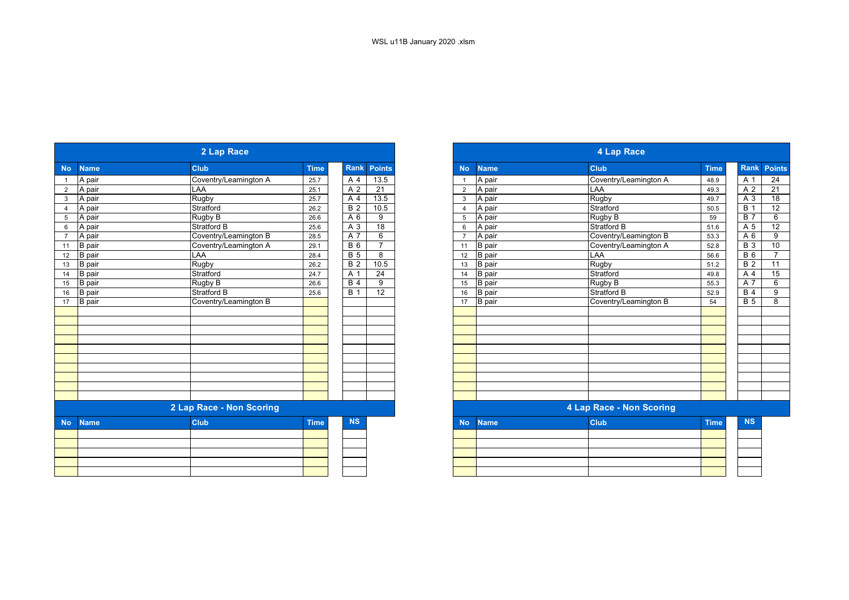|                |               | 2 Lap Race               |             |                  |                 |
|----------------|---------------|--------------------------|-------------|------------------|-----------------|
| <b>No</b>      | <b>Name</b>   | <b>Club</b>              | <b>Time</b> | Rank             | <b>Points</b>   |
|                | A pair        | Coventry/Leamington A    | 25.7        | A 4              | 13.5            |
| $\overline{2}$ | A pair        | LAA                      | 25.1        | A 2              | 21              |
| 3              | A pair        | <b>Rugby</b>             | 25.7        | A 4              | 13.5            |
| 4              | A pair        | Stratford                | 26.2        | $\overline{B}$ 2 | 10.5            |
| 5              | A pair        | Rugby B                  | 26.6        | A 6              | 9               |
| 6              | A pair        | Stratford B              | 25.6        | A 3              | $\overline{18}$ |
| $\overline{7}$ | A pair        | Coventry/Leamington B    | 28.5        | A 7              | 6               |
| 11             | <b>B</b> pair | Coventry/Leamington A    | 29.1        | <b>B</b> 6       | $\overline{7}$  |
| 12             | B pair        | <b>LAA</b>               | 28.4        | <b>B</b> 5       | 8               |
| 13             | B pair        | Rugby                    | 26.2        | $\overline{B2}$  | 10.5            |
|                | 14 B pair     | Stratford                | 24.7        | A 1              | 24              |
| 15             | B pair        | Rugby B                  | 26.6        | <b>B</b> 4       | 9               |
| 16             | B pair        | <b>Stratford B</b>       | 25.6        | $\overline{B}$ 1 | $\overline{12}$ |
| 17             | <b>B</b> pair | Coventry/Leamington B    |             |                  |                 |
|                |               |                          |             |                  |                 |
|                |               |                          |             |                  |                 |
|                |               |                          |             |                  |                 |
|                |               |                          |             |                  |                 |
|                |               |                          |             |                  |                 |
|                |               |                          |             |                  |                 |
|                |               |                          |             |                  |                 |
|                |               |                          |             |                  |                 |
|                |               |                          |             |                  |                 |
|                |               |                          |             |                  |                 |
|                |               | 2 Lap Race - Non Scoring |             |                  |                 |
| <b>No</b>      | <b>Name</b>   | <b>Club</b>              | <b>Time</b> | <b>NS</b>        |                 |
|                |               |                          |             |                  |                 |
|                |               |                          |             |                  |                 |
|                |               |                          |             |                  |                 |
|                |               |                          |             |                  |                 |
|                |               |                          |             |                  |                 |
|                |               |                          |             |                  |                 |

|                 |               | 2 Lap Race               |             |             |                |                         |           |               | 4 Lap Race               |             |             |                 |
|-----------------|---------------|--------------------------|-------------|-------------|----------------|-------------------------|-----------|---------------|--------------------------|-------------|-------------|-----------------|
| <b>No</b>       | <b>Name</b>   | <b>Club</b>              | <b>Time</b> | <b>Rank</b> | <b>Points</b>  |                         | <b>No</b> | <b>Name</b>   | <b>Club</b>              | <b>Time</b> | <b>Rank</b> | <b>Points</b>   |
| $\overline{1}$  | A pair        | Coventry/Leamington A    | 25.7        | A 4         | 13.5           |                         |           | A pair        | Coventry/Leamington A    | 48.9        | A 1         | 24              |
| $\overline{2}$  | A pair        | LAA                      | 25.1        | A 2         | 21             |                         | 2         | A pair        | LAA                      | 49.3        | A 2         | 21              |
| $\mathbf{3}$    | A pair        | Rugby                    | 25.7        | A 4         | 13.5           |                         | 3         | A pair        | Rugby                    | 49.7        | A 3         | $\overline{18}$ |
| $\overline{4}$  | A pair        | Stratford                | 26.2        | <b>B</b> 2  | 10.5           | $\overline{\mathbf{4}}$ |           | A pair        | Stratford                | 50.5        | <b>B</b> 1  | 12              |
| $5\phantom{.0}$ | A pair        | Rugby B                  | 26.6        | A 6         | 9              |                         | 5         | A pair        | Rugby B                  | 59          | <b>B</b> 7  | 6               |
| $6\phantom{1}6$ | A pair        | <b>Stratford B</b>       | 25.6        | A 3         | 18             | 6                       |           | A pair        | Stratford B              | 51.6        | A 5         | 12              |
| $\overline{7}$  | A pair        | Coventry/Leamington B    | 28.5        | A 7         | 6              |                         |           | A pair        | Coventry/Leamington B    | 53.3        | A 6         | 9               |
| 11              | <b>B</b> pair | Coventry/Leamington A    | 29.1        | <b>B</b> 6  | $\overline{7}$ |                         | 11        | <b>B</b> pair | Coventry/Leamington A    | 52.8        | <b>B</b> 3  | 10              |
| 12              | B pair        | LAA                      | 28.4        | <b>B</b> 5  | 8              |                         | 12        | <b>B</b> pair | LAA                      | 56.6        | <b>B</b> 6  | $\overline{7}$  |
| 13              | <b>B</b> pair | Rugby                    | 26.2        | <b>B</b> 2  | 10.5           |                         | 13        | <b>B</b> pair | Rugby                    | 51.2        | <b>B</b> 2  | $\overline{11}$ |
| 14              | <b>B</b> pair | Stratford                | 24.7        | A 1         | 24             |                         | 14        | <b>B</b> pair | Stratford                | 49.8        | A 4         | 15              |
| 15              | <b>B</b> pair | Rugby B                  | 26.6        | <b>B</b> 4  | 9              |                         | 15        | <b>B</b> pair | Rugby B                  | 55.3        | A 7         | 6               |
| 16              | B pair        | Stratford B              | 25.6        | <b>B</b> 1  | 12             |                         | 16        | <b>B</b> pair | <b>Stratford B</b>       | 52.9        | <b>B</b> 4  | 9               |
| 17              | <b>B</b> pair | Coventry/Leamington B    |             |             |                |                         | 17        | <b>B</b> pair | Coventry/Leamington B    | 54          | <b>B</b> 5  | 8               |
|                 |               |                          |             |             |                |                         |           |               |                          |             |             |                 |
|                 |               |                          |             |             |                |                         |           |               |                          |             |             |                 |
|                 |               |                          |             |             |                |                         |           |               |                          |             |             |                 |
|                 |               |                          |             |             |                |                         |           |               |                          |             |             |                 |
|                 |               |                          |             |             |                |                         |           |               |                          |             |             |                 |
|                 |               |                          |             |             |                |                         |           |               |                          |             |             |                 |
|                 |               |                          |             |             |                |                         |           |               |                          |             |             |                 |
|                 |               |                          |             |             |                |                         |           |               |                          |             |             |                 |
|                 |               |                          |             |             |                |                         |           |               |                          |             |             |                 |
|                 |               |                          |             |             |                |                         |           |               |                          |             |             |                 |
|                 |               | 2 Lap Race - Non Scoring |             |             |                |                         |           |               | 4 Lap Race - Non Scoring |             |             |                 |
| <b>No</b>       | <b>Name</b>   | <b>Club</b>              | <b>Time</b> | <b>NS</b>   |                |                         | <b>No</b> | <b>Name</b>   | <b>Club</b>              | <b>Time</b> | <b>NS</b>   |                 |
|                 |               |                          |             |             |                |                         |           |               |                          |             |             |                 |
|                 |               |                          |             |             |                |                         |           |               |                          |             |             |                 |
|                 |               |                          |             |             |                |                         |           |               |                          |             |             |                 |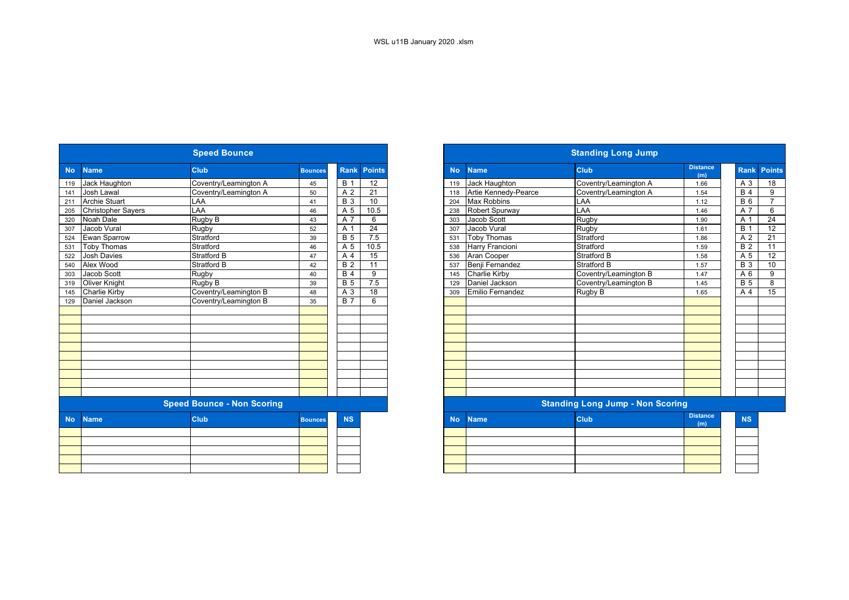|           |                           | <b>Speed Bounce</b>               |                |                  |                 |           |                        | <b>Standing Long Jump</b>               |                        |
|-----------|---------------------------|-----------------------------------|----------------|------------------|-----------------|-----------|------------------------|-----------------------------------------|------------------------|
| <b>No</b> | <b>Name</b>               | <b>Club</b>                       | <b>Bounces</b> | <b>Rank</b>      | <b>Points</b>   | <b>No</b> | <b>Name</b>            | <b>Club</b>                             | <b>Distance</b><br>(m) |
| 119       | Jack Haughton             | Coventry/Leamington A             | 45             | <b>B</b> 1       | 12              | 119       | Jack Haughton          | Coventry/Leamington A                   | 1.66                   |
| 141       | Josh Lawal                | Coventry/Leamington A             | 50             | A 2              | $\overline{21}$ | 118       | Artie Kennedy-Pearce   | Coventry/Leamington A                   | 1.54                   |
| 211       | <b>Archie Stuart</b>      | <b>LAA</b>                        | 41             | $B_3$            | 10              | 204       | <b>Max Robbins</b>     | LAA                                     | 1.12                   |
| 205       | <b>Christopher Sayers</b> | LAA                               | 46             | A 5              | 10.5            | 238       | <b>Robert Spurway</b>  | LAA                                     | 1.46                   |
| 320       | Noah Dale                 | Rugby B                           | 43             | A 7              | 6               | 303       | Jacob Scott            | Rugby                                   | 1.90                   |
| 307       | Jacob Vural               | Rugby                             | 52             | $\overline{A}$ 1 | 24              | 307       | Jacob Vural            | <b>Rugby</b>                            | 1.61                   |
| 524       | Ewan Sparrow              | Stratford                         | 39             | <b>B</b> 5       | 7.5             | 531       | <b>Toby Thomas</b>     | Stratford                               | 1.86                   |
| 531       | <b>Toby Thomas</b>        | Stratford                         | 46             | A 5              | 10.5            | 538       | <b>Harry Francioni</b> | Stratford                               | 1.59                   |
| 522       | <b>Josh Davies</b>        | <b>Stratford B</b>                | 47             | A 4              | 15              | 536       | Aran Cooper            | <b>Stratford B</b>                      | 1.58                   |
| 540       | Alex Wood                 | <b>Stratford B</b>                | 42             | <b>B</b> 2       | 11              | 537       | Benji Fernandez        | <b>Stratford B</b>                      | 1.57                   |
| 303       | Jacob Scott               | Rugby                             | 40             | B <sub>4</sub>   | 9               | 145       | <b>Charlie Kirby</b>   | Coventry/Leamington B                   | 1.47                   |
| 319       | <b>Oliver Knight</b>      | Rugby B                           | 39             | B <sub>5</sub>   | 7.5             | 129       | Daniel Jackson         | Coventry/Leamington B                   | 1.45                   |
| 145       | Charlie Kirby             | Coventry/Leamington B             | 48             | A 3              | $\overline{18}$ | 309       | Emilio Fernandez       | Rugby B                                 | 1.65                   |
| 129       | Daniel Jackson            | Coventry/Leamington B             | 35             | <b>B</b> 7       | 6               |           |                        |                                         |                        |
|           |                           |                                   |                |                  |                 |           |                        |                                         |                        |
|           |                           |                                   |                |                  |                 |           |                        |                                         |                        |
|           |                           |                                   |                |                  |                 |           |                        |                                         |                        |
|           |                           |                                   |                |                  |                 |           |                        |                                         |                        |
|           |                           |                                   |                |                  |                 |           |                        |                                         |                        |
|           |                           |                                   |                |                  |                 |           |                        |                                         |                        |
|           |                           |                                   |                |                  |                 |           |                        |                                         |                        |
|           |                           |                                   |                |                  |                 |           |                        |                                         |                        |
|           |                           |                                   |                |                  |                 |           |                        |                                         |                        |
|           |                           |                                   |                |                  |                 |           |                        |                                         |                        |
|           |                           | <b>Speed Bounce - Non Scoring</b> |                |                  |                 |           |                        | <b>Standing Long Jump - Non Scoring</b> |                        |
| <b>No</b> | <b>Name</b>               | <b>Club</b>                       | <b>Bounces</b> | <b>NS</b>        |                 | <b>No</b> | <b>Name</b>            | <b>Club</b>                             | <b>Distance</b><br>(m) |
|           |                           |                                   |                |                  |                 |           |                        |                                         |                        |
|           |                           |                                   |                |                  |                 |           |                        |                                         |                        |
|           |                           |                                   |                |                  |                 |           |                        |                                         |                        |
|           |                           |                                   |                |                  |                 |           |                        |                                         |                        |
|           |                           |                                   |                |                  |                 |           |                        |                                         |                        |

|           |                           | <b>Speed Bounce</b>               |                |                  |                 |
|-----------|---------------------------|-----------------------------------|----------------|------------------|-----------------|
| <b>No</b> | <b>Name</b>               | <b>Club</b>                       | <b>Bounces</b> | <b>Rank</b>      | <b>Points</b>   |
|           | Jack Haughton             | Coventry/Leamington A             | 45             | $\overline{B}$ 1 | $\overline{12}$ |
|           | Josh Lawal                | Coventry/Leamington A             | 50             | A 2              | 21              |
|           | <b>Archie Stuart</b>      | LAA                               | 41             | $\overline{B}3$  | 10              |
|           | <b>Christopher Sayers</b> | LAA                               | 46             | A 5              | 10.5            |
|           | Noah Dale                 | Rugby B                           | 43             | A 7              | 6               |
|           | Jacob Vural               | Rugby                             | 52             | A 1              | 24              |
|           | <b>Ewan Sparrow</b>       | Stratford                         | 39             | <b>B</b> 5       | 7.5             |
|           | <b>Toby Thomas</b>        | Stratford                         | 46             | A 5              | 10.5            |
|           | <b>Josh Davies</b>        | Stratford B                       | 47             | A 4              | 15              |
|           | Alex Wood                 | <b>Stratford B</b>                | 42             | $\overline{B2}$  | 11              |
|           | Jacob Scott               | Rugby                             | 40             | B <sub>4</sub>   | 9               |
|           | <b>Oliver Knight</b>      | Rugby B                           | 39             | <b>B</b> 5       | 7.5             |
|           | Charlie Kirby             | Coventry/Leamington B             | 48             | A 3              | 18              |
|           | Daniel Jackson            | Coventry/Leamington B             | 35             | $\overline{B}$ 7 | 6               |
|           |                           |                                   |                |                  |                 |
|           |                           |                                   |                |                  |                 |
|           |                           |                                   |                |                  |                 |
|           |                           |                                   |                |                  |                 |
|           |                           |                                   |                |                  |                 |
|           |                           |                                   |                |                  |                 |
|           |                           |                                   |                |                  |                 |
|           |                           |                                   |                |                  |                 |
|           |                           |                                   |                |                  |                 |
|           |                           |                                   |                |                  |                 |
|           |                           | <b>Speed Bounce - Non Scoring</b> |                |                  |                 |
|           | <b>Name</b>               | <b>Club</b>                       | <b>Bounces</b> | <b>NS</b>        |                 |
|           |                           |                                   |                |                  |                 |
|           |                           |                                   |                |                  |                 |
|           |                           |                                   |                |                  |                 |
|           |                           |                                   |                |                  |                 |
|           |                           |                                   |                |                  |                 |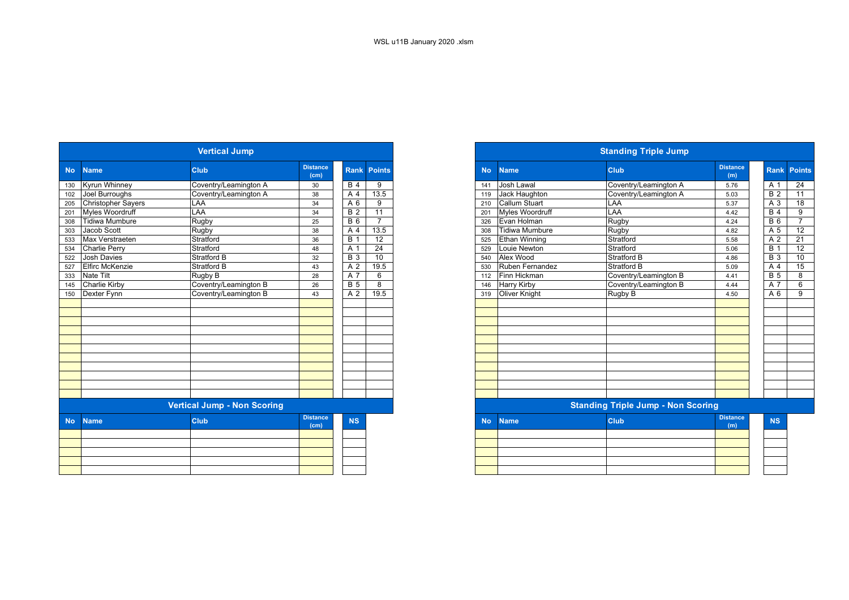|           |                           | <b>Vertical Jump</b>               |                                      |                  |                    |
|-----------|---------------------------|------------------------------------|--------------------------------------|------------------|--------------------|
| <b>No</b> | <b>Name</b>               | Club                               | <b>Distance</b><br>(cm)              |                  | <b>Rank Points</b> |
| 130       | Kyrun Whinney             | Coventry/Leamington A              | 30                                   | <b>B</b> 4       | 9                  |
| 102       | Joel Burroughs            | Coventry/Leamington A              | 38                                   | A 4              | 13.5               |
| 205       | <b>Christopher Sayers</b> | LAA                                | 34                                   | A <sub>6</sub>   | 9                  |
| 201       | <b>Myles Woordruff</b>    | LAA                                | 34                                   | <b>B2</b>        | 11                 |
| 308       | <b>Tidiwa Mumbure</b>     | Rugby                              | 25                                   | <b>B</b> 6       | $\overline{7}$     |
| 303       | Jacob Scott               | Rugby                              | 38                                   | A <sub>4</sub>   | 13.5               |
| 533       | Max Verstraeten           | Stratford                          | 36                                   | <b>B</b> 1       | 12                 |
| 534       | Charlie Perry             | Stratford                          | 48                                   | A 1              | 24                 |
| 522       | <b>Josh Davies</b>        | Stratford B                        | 32                                   | <b>B</b> 3       | 10                 |
| 527       | <b>Elfirc McKenzie</b>    | Stratford B                        | 43                                   | $\overline{A}$ 2 | 19.5               |
| 333       | <b>Nate Tilt</b>          | Rugby B                            | 28                                   | A 7              | 6                  |
| 145       | Charlie Kirby             | Coventry/Leamington B              | 26                                   | <b>B</b> 5       | 8                  |
| 150       | Dexter Fynn               | Coventry/Leamington B              | 43                                   | A <sub>2</sub>   | 19.5               |
|           |                           |                                    |                                      |                  |                    |
|           |                           |                                    |                                      |                  |                    |
|           |                           |                                    |                                      |                  |                    |
|           |                           |                                    |                                      |                  |                    |
|           |                           |                                    |                                      |                  |                    |
|           |                           |                                    |                                      |                  |                    |
|           |                           |                                    |                                      |                  |                    |
|           |                           |                                    |                                      |                  |                    |
|           |                           |                                    |                                      |                  |                    |
|           |                           |                                    |                                      |                  |                    |
|           |                           |                                    |                                      |                  |                    |
|           |                           | <b>Vertical Jump - Non Scoring</b> |                                      |                  |                    |
| <b>No</b> | <b>Name</b>               | <b>Club</b>                        | <b>Distance</b><br>(c <sub>m</sub> ) | <b>NS</b>        |                    |
|           |                           |                                    |                                      |                  |                    |
|           |                           |                                    |                                      |                  |                    |
|           |                           |                                    |                                      |                  |                    |
|           |                           |                                    |                                      |                  |                    |
|           |                           |                                    |                                      |                  |                    |
|           |                           |                                    |                                      |                  |                    |

|           |                           | <b>Vertical Jump</b>               |                         |                  |                 |
|-----------|---------------------------|------------------------------------|-------------------------|------------------|-----------------|
| <b>No</b> | <b>Name</b>               | <b>Club</b>                        | <b>Distance</b><br>(cm) | <b>Rank</b>      | <b>Points</b>   |
|           | 130 Kyrun Whinney         | Coventry/Leamington A              | 30                      | <b>B</b> 4       | 9               |
| 102       | Joel Burroughs            | Coventry/Leamington A              | 38                      | A 4              | 13.5            |
| 205       | <b>Christopher Sayers</b> | LAA                                | 34                      | A 6              | 9               |
| 201       | <b>Myles Woordruff</b>    | LAA                                | 34                      | <b>B</b> 2       | 11              |
| 308       | <b>Tidiwa Mumbure</b>     | Rugby                              | 25                      | $\overline{B}$ 6 | $\overline{7}$  |
| 303       | Jacob Scott               | Rugby                              | 38                      | A 4              | 13.5            |
| 533       | Max Verstraeten           | Stratford                          | 36                      | $\overline{B}$   | 12              |
| 534       | <b>Charlie Perry</b>      | Stratford                          | 48                      | A 1              | $\overline{24}$ |
| 522       | <b>Josh Davies</b>        | <b>Stratford B</b>                 | 32                      | $\overline{B}$ 3 | 10              |
| 527       | <b>Elfirc McKenzie</b>    | <b>Stratford B</b>                 | 43                      | A 2              | 19.5            |
| 333       | <b>Nate Tilt</b>          | Rugby B                            | 28                      | A 7              | 6               |
| 145       | Charlie Kirby             | Coventry/Leamington B              | 26                      | B <sub>5</sub>   | 8               |
| 150       | Dexter Fynn               | Coventry/Leamington B              | 43                      | A 2              | 19.5            |
|           |                           |                                    |                         |                  |                 |
|           |                           |                                    |                         |                  |                 |
|           |                           |                                    |                         |                  |                 |
|           |                           |                                    |                         |                  |                 |
|           |                           |                                    |                         |                  |                 |
|           |                           |                                    |                         |                  |                 |
|           |                           |                                    |                         |                  |                 |
|           |                           |                                    |                         |                  |                 |
|           |                           |                                    |                         |                  |                 |
|           |                           |                                    |                         |                  |                 |
|           |                           |                                    |                         |                  |                 |
|           |                           | <b>Vertical Jump - Non Scoring</b> |                         |                  |                 |
| <b>No</b> | <b>Name</b>               | <b>Club</b>                        | <b>Distance</b><br>(cm) | <b>NS</b>        |                 |
|           |                           |                                    |                         |                  |                 |

| (m) | the contract of the |
|-----|---------------------|
|     |                     |
|     |                     |
|     |                     |
|     |                     |
|     |                     |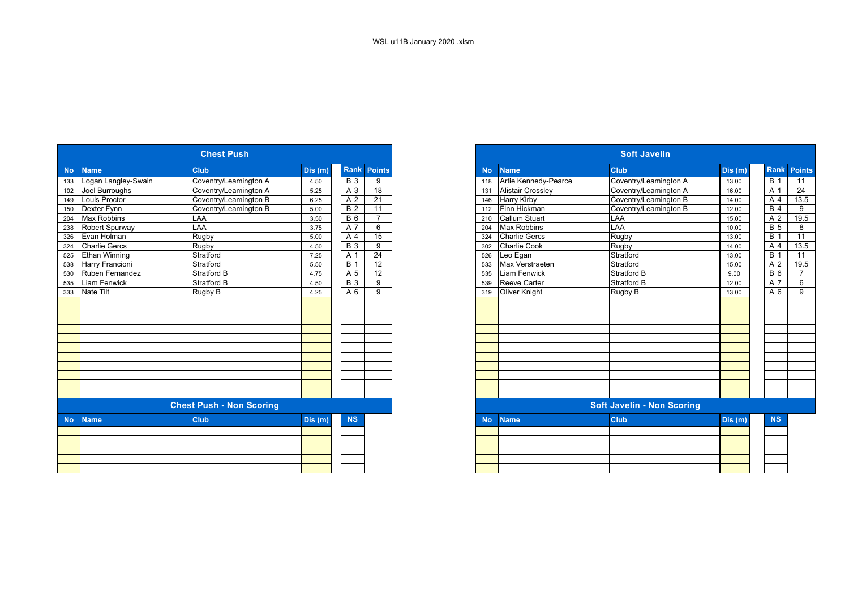|                             |                         | <b>Chest Push</b>               |        |            |                    |
|-----------------------------|-------------------------|---------------------------------|--------|------------|--------------------|
| <b>No</b><br><b>Name</b>    |                         | <b>Club</b>                     | Dis(m) |            | <b>Rank Points</b> |
|                             | 133 Logan Langley-Swain | Coventry/Leamington A           | 4.50   | <b>B</b> 3 | 9                  |
| 102                         | Joel Burroughs          | Coventry/Leamington A           | 5.25   | A 3        | 18                 |
| Louis Proctor<br>149        |                         | Coventry/Leamington B           | 6.25   | A 2        | 21                 |
| Dexter Fynn<br>150          |                         | Coventry/Leamington B           | 5.00   | <b>B</b> 2 | 11                 |
| Max Robbins<br>204          |                         | <b>LAA</b>                      | 3.50   | <b>B</b> 6 | $\overline{7}$     |
| 238                         | Robert Spurway          | LAA                             | 3.75   | A 7        | 6                  |
| Evan Holman<br>326          |                         | Rugby                           | 5.00   | A 4        | 15                 |
| <b>Charlie Gercs</b><br>324 |                         | <b>Rugby</b>                    | 4.50   | <b>B</b> 3 | 9                  |
| 525 Ethan Winning           |                         | Stratford                       | 7.25   | A 1        | 24                 |
| 538 Harry Francioni         |                         | Stratford                       | 5.50   | <b>B</b> 1 | 12                 |
|                             | 530 Ruben Fernandez     | <b>Stratford B</b>              | 4.75   | A 5        | 12                 |
| 535 Liam Fenwick            |                         | <b>Stratford B</b>              | 4.50   | <b>B</b> 3 | 9                  |
| 333 Nate Tilt               |                         | Rugby B                         | 4.25   | A 6        | 9                  |
|                             |                         |                                 |        |            |                    |
|                             |                         |                                 |        |            |                    |
|                             |                         |                                 |        |            |                    |
|                             |                         |                                 |        |            |                    |
|                             |                         |                                 |        |            |                    |
|                             |                         |                                 |        |            |                    |
|                             |                         |                                 |        |            |                    |
|                             |                         |                                 |        |            |                    |
|                             |                         |                                 |        |            |                    |
|                             |                         |                                 |        |            |                    |
|                             |                         | <b>Chest Push - Non Scoring</b> |        |            |                    |
|                             |                         |                                 |        |            |                    |
| <b>No</b><br><b>Name</b>    |                         | <b>Club</b>                     | Dis(m) | <b>NS</b>  |                    |
|                             |                         |                                 |        |            |                    |
|                             |                         |                                 |        |            |                    |
|                             |                         |                                 |        |            |                    |
|                             |                         |                                 |        |            |                    |
|                             |                         |                                 |        |            |                    |

|                 |                        | <b>Chest Push</b>               |        |                  |                 |
|-----------------|------------------------|---------------------------------|--------|------------------|-----------------|
| <b>No</b>       | <b>Name</b>            | <b>Club</b>                     | Dis(m) | <b>Rank</b>      | <b>Points</b>   |
| 133             | Logan Langley-Swain    | Coventry/Leamington A           | 4.50   | $B_3$            | 9               |
| 102             | Joel Burroughs         | Coventry/Leamington A           | 5.25   | A 3              | 18              |
| 149             | Louis Proctor          | Coventry/Leamington B           | 6.25   | A 2              | 21              |
| 150             | Dexter Fynn            | Coventry/Leamington B           | 5.00   | $\overline{B}$ 2 | 11              |
| 204             | <b>Max Robbins</b>     | LAA                             | 3.50   | <b>B</b> 6       | $\overline{7}$  |
| 238             | Robert Spurway         | LAA                             | 3.75   | A 7              | 6               |
| 326             | Evan Holman            | Rugby                           | 5.00   | A 4              | 15              |
| $\frac{1}{324}$ | <b>Charlie Gercs</b>   | Rugby                           | 4.50   | $\overline{B}$ 3 | 9               |
| 525             | <b>Ethan Winning</b>   | Stratford                       | 7.25   | A 1              | $\overline{24}$ |
| 538             | <b>Harry Francioni</b> | Stratford                       | 5.50   | <b>B</b> 1       | $\overline{12}$ |
| 530             | Ruben Fernandez        | <b>Stratford B</b>              | 4.75   | A 5              | $\overline{12}$ |
| 535             | <b>Liam Fenwick</b>    | <b>Stratford B</b>              | 4.50   | <b>B</b> 3       | 9               |
| 333             | <b>Nate Tilt</b>       | Rugby B                         | 4.25   | $\overline{A}$ 6 | 9               |
|                 |                        |                                 |        |                  |                 |
|                 |                        |                                 |        |                  |                 |
|                 |                        |                                 |        |                  |                 |
|                 |                        |                                 |        |                  |                 |
|                 |                        |                                 |        |                  |                 |
|                 |                        |                                 |        |                  |                 |
|                 |                        |                                 |        |                  |                 |
|                 |                        |                                 |        |                  |                 |
|                 |                        |                                 |        |                  |                 |
|                 |                        |                                 |        |                  |                 |
|                 |                        |                                 |        |                  |                 |
|                 |                        | <b>Chest Push - Non Scoring</b> |        |                  |                 |
| <b>No</b>       | <b>Name</b>            | <b>Club</b>                     | Dis(m) | <b>NS</b>        |                 |
|                 |                        |                                 |        |                  |                 |
|                 |                        |                                 |        |                  |                 |
|                 |                        |                                 |        |                  |                 |
|                 |                        |                                 |        |                  |                 |
|                 |                        |                                 |        |                  |                 |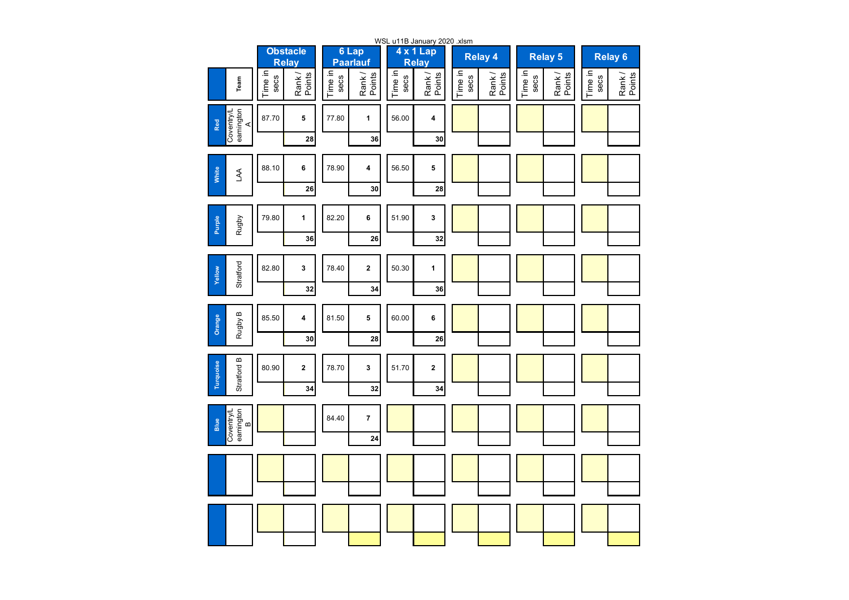|                                      |                |                                 |                 |                          |                 | WSL u11B January 2020 .xlsm |                 |                  |                 |                 |                 |                    |
|--------------------------------------|----------------|---------------------------------|-----------------|--------------------------|-----------------|-----------------------------|-----------------|------------------|-----------------|-----------------|-----------------|--------------------|
|                                      |                | <b>Obstacle</b><br><b>Relay</b> |                 | 6 Lap<br><b>Paarlauf</b> |                 | 4 x 1 Lap<br><b>Relay</b>   |                 | <b>Relay 4</b>   |                 | <b>Relay 5</b>  |                 | Relay <sub>6</sub> |
| Team                                 | ime in<br>secs | Rank/<br>Points                 | Time in<br>secs | Points<br>Rank/          | Time in<br>secs | Rank/<br>Points             | Time in<br>secs | Rank /<br>Points | Time in<br>secs | Rank/<br>Points | Time in<br>secs | Rank/<br>Points    |
| Coventry/L<br>eamington<br>A<br>Red  | 87.70          | 5                               | 77.80           | 1                        | 56.00           | 4                           |                 |                  |                 |                 |                 |                    |
|                                      |                | 28                              |                 | 36                       |                 | 30                          |                 |                  |                 |                 |                 |                    |
| White<br>LAA                         | 88.10          | 6                               | 78.90           | 4                        | 56.50           | 5                           |                 |                  |                 |                 |                 |                    |
|                                      |                | 26                              |                 | 30                       |                 | 28                          |                 |                  |                 |                 |                 |                    |
| Purple<br>Rugby                      | 79.80          | 1                               | 82.20           | 6                        | 51.90           | 3                           |                 |                  |                 |                 |                 |                    |
|                                      |                | 36                              |                 | 26                       |                 | 32                          |                 |                  |                 |                 |                 |                    |
| Stratford<br>Yellow                  | 82.80          | 3                               | 78.40           | $\mathbf 2$              | 50.30           | 1                           |                 |                  |                 |                 |                 |                    |
|                                      |                | 32                              |                 | 34                       |                 | 36                          |                 |                  |                 |                 |                 |                    |
| Rugby B<br>Orange                    | 85.50          | 4                               | 81.50           | 5                        | 60.00           | 6                           |                 |                  |                 |                 |                 |                    |
|                                      |                | 30                              |                 | 28                       |                 | 26                          |                 |                  |                 |                 |                 |                    |
| Stratford B<br>Turquoise             | 80.90          | $\overline{\mathbf{2}}$         | 78.70           | 3                        | 51.70           | $\overline{\mathbf{2}}$     |                 |                  |                 |                 |                 |                    |
|                                      |                | 34                              |                 | 32                       |                 | 34                          |                 |                  |                 |                 |                 |                    |
| Coventry/L<br>eamington<br>B<br>Blue |                |                                 | 84.40           | $\overline{7}$           |                 |                             |                 |                  |                 |                 |                 |                    |
|                                      |                |                                 |                 | 24                       |                 |                             |                 |                  |                 |                 |                 |                    |
|                                      |                |                                 |                 |                          |                 |                             |                 |                  |                 |                 |                 |                    |
|                                      |                |                                 |                 |                          |                 |                             |                 |                  |                 |                 |                 |                    |
|                                      |                |                                 |                 |                          |                 |                             |                 |                  |                 |                 |                 |                    |
|                                      |                |                                 |                 |                          |                 |                             |                 |                  |                 |                 |                 |                    |
|                                      |                |                                 |                 |                          |                 |                             |                 |                  |                 |                 |                 |                    |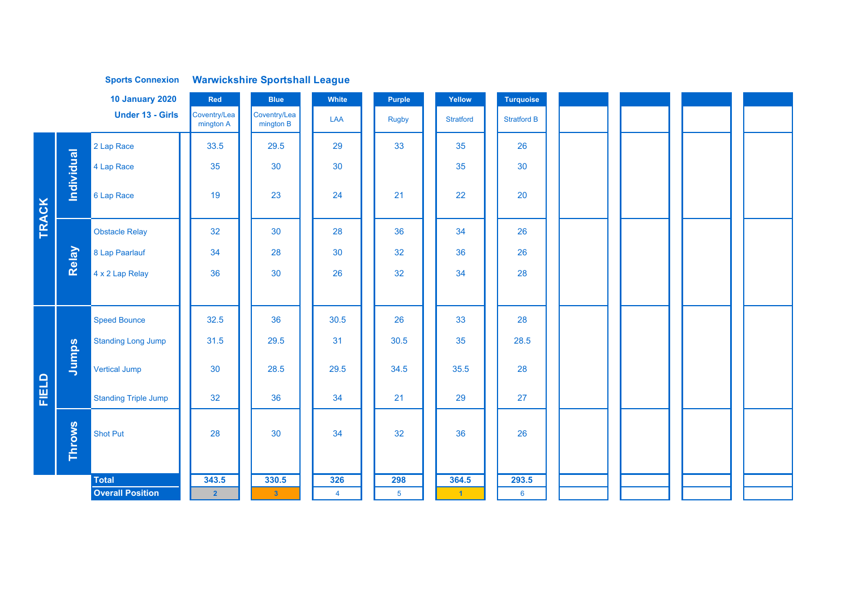|       |                   | <b>Sports Connexion</b>     |                           | <b>Warwickshire Sportshall League</b> |                |                |                      |                    |  |  |
|-------|-------------------|-----------------------------|---------------------------|---------------------------------------|----------------|----------------|----------------------|--------------------|--|--|
|       |                   | <b>10 January 2020</b>      | Red                       | <b>Blue</b>                           | White          | Purple         | Yellow               | <b>Turquoise</b>   |  |  |
|       |                   | <b>Under 13 - Girls</b>     | Coventry/Lea<br>mington A | Coventry/Lea<br>mington B             | LAA            | <b>Rugby</b>   | <b>Stratford</b>     | <b>Stratford B</b> |  |  |
|       |                   | 2 Lap Race                  | 33.5                      | 29.5                                  | 29             | 33             | 35                   | 26                 |  |  |
|       |                   | 4 Lap Race                  | 35                        | 30                                    | 30             |                | 35                   | 30                 |  |  |
| TRACK | <b>Individual</b> | 6 Lap Race                  | 19                        | 23                                    | 24             | 21             | 22                   | 20                 |  |  |
|       |                   | <b>Obstacle Relay</b>       | 32                        | 30                                    | 28             | 36             | 34                   | 26                 |  |  |
|       | Relay             | 8 Lap Paarlauf              | 34                        | 28                                    | 30             | 32             | 36                   | 26                 |  |  |
|       |                   | 4 x 2 Lap Relay             | 36                        | 30                                    | 26             | 32             | 34                   | 28                 |  |  |
|       |                   |                             |                           |                                       |                |                |                      |                    |  |  |
|       |                   | <b>Speed Bounce</b>         | 32.5                      | 36                                    | 30.5           | 26             | 33                   | 28                 |  |  |
|       |                   | <b>Standing Long Jump</b>   | 31.5                      | 29.5                                  | 31             | 30.5           | 35                   | 28.5               |  |  |
|       | Jumps             | <b>Vertical Jump</b>        | 30                        | 28.5                                  | 29.5           | 34.5           | 35.5                 | 28                 |  |  |
| FIELD |                   | <b>Standing Triple Jump</b> | 32                        | 36                                    | 34             | 21             | 29                   | 27                 |  |  |
|       | Throws            | <b>Shot Put</b>             | 28                        | 30                                    | 34             | 32             | 36                   | 26                 |  |  |
|       |                   | <b>Total</b>                | 343.5                     | 330.5                                 | 326            | 298            | 364.5                | 293.5              |  |  |
|       |                   | <b>Overall Position</b>     | 2 <sup>1</sup>            | 3 <sup>°</sup>                        | $\overline{4}$ | 5 <sup>5</sup> | $\blacktriangleleft$ | $6\overline{6}$    |  |  |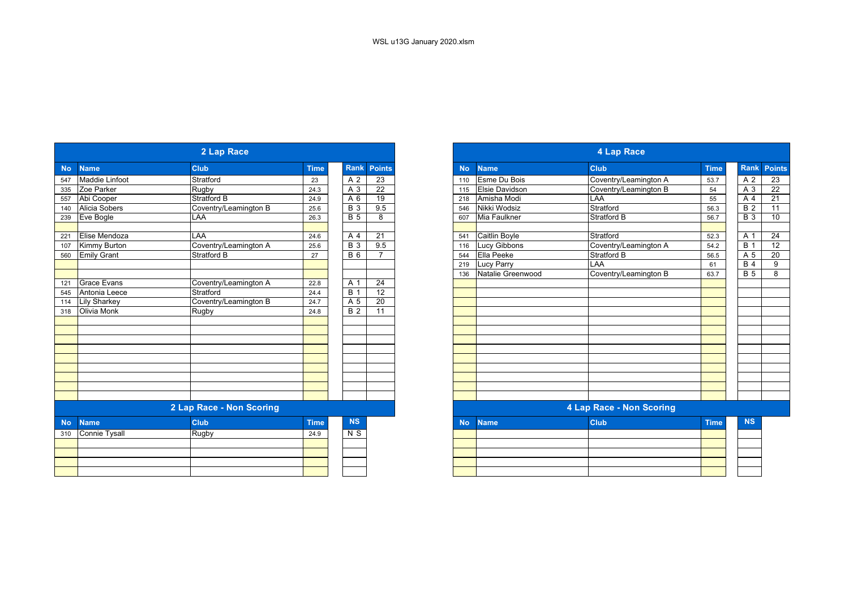|           |                       | 2 Lap Race               |             |                |                 |
|-----------|-----------------------|--------------------------|-------------|----------------|-----------------|
| <b>No</b> | <b>Name</b>           | <b>Club</b>              | <b>Time</b> |                | Rank Points     |
| 547       | <b>Maddie Linfoot</b> | Stratford                | 23          | A 2            | 23              |
| 335       | Zoe Parker            | Rugby                    | 24.3        | A 3            | 22              |
| 557       | Abi Cooper            | <b>Stratford B</b>       | 24.9        | A 6            | $\overline{19}$ |
| 140       | Alicia Sobers         | Coventry/Leamington B    | 25.6        | <b>B</b> 3     | 9.5             |
| 239       | Eve Bogle             | <b>LAA</b>               | 26.3        | <b>B</b> 5     | 8               |
| 221       | Elise Mendoza         | LAA                      | 24.6        | A 4            | 21              |
| 107       | Kimmy Burton          | Coventry/Leamington A    | 25.6        | <b>B</b> 3     | 9.5             |
| 560       | <b>Emily Grant</b>    | <b>Stratford B</b>       | 27          | $B_6$          | 7               |
|           |                       |                          |             |                |                 |
|           |                       |                          |             |                |                 |
| 121       | <b>Grace Evans</b>    | Coventry/Leamington A    | 22.8        | A 1            | 24              |
| 545       | Antonia Leece         | Stratford                | 24.4        | <b>B</b> 1     | $\overline{12}$ |
| 114       | <b>Lily Sharkey</b>   | Coventry/Leamington B    | 24.7        | A 5            | 20              |
| 318       | Olivia Monk           | <b>Rugby</b>             | 24.8        | <b>B</b> 2     | 11              |
|           |                       |                          |             |                |                 |
|           |                       |                          |             |                |                 |
|           |                       |                          |             |                |                 |
|           |                       |                          |             |                |                 |
|           |                       |                          |             |                |                 |
|           |                       |                          |             |                |                 |
|           |                       |                          |             |                |                 |
|           |                       |                          |             |                |                 |
|           |                       | 2 Lap Race - Non Scoring |             |                |                 |
| <b>No</b> | <b>Name</b>           | <b>Club</b>              | <b>Time</b> | <b>NS</b>      |                 |
| 310       | Connie Tysall         | <b>Rugby</b>             | 24.9        | N <sub>S</sub> |                 |
|           |                       |                          |             |                |                 |
|           |                       |                          |             |                |                 |
|           |                       |                          |             |                |                 |
|           |                       |                          |             |                |                 |

|            |                      | 2 Lap Race               |             |                  |                 |
|------------|----------------------|--------------------------|-------------|------------------|-----------------|
|            | <b>Name</b>          | <b>Club</b>              | <b>Time</b> | <b>Rank</b>      | <b>Points</b>   |
|            | Maddie Linfoot       | Stratford                | 23          | A 2              | 23              |
|            | Zoe Parker           | <b>Rugby</b>             | 24.3        | A 3              | $\overline{22}$ |
|            | Abi Cooper           | <b>Stratford B</b>       | 24.9        | A 6              | $\overline{19}$ |
|            | <b>Alicia Sobers</b> | Coventry/Leamington B    | 25.6        | <b>B</b> 3       | 9.5             |
|            | Eve Bogle            | LAA                      | 26.3        | $\overline{B}$ 5 | 8               |
|            | Elise Mendoza        | LAA                      | 24.6        | A 4              | 21              |
| 221<br>107 | Kimmy Burton         | Coventry/Leamington A    | 25.6        | <b>B</b> 3       | 9.5             |
|            | <b>Emily Grant</b>   | <b>Stratford B</b>       | 27          | <b>B6</b>        | $\overline{7}$  |
| 560        |                      |                          |             |                  |                 |
|            |                      |                          |             |                  |                 |
|            | <b>Grace Evans</b>   | Coventry/Leamington A    | 22.8        | A 1              | 24              |
|            | Antonia Leece        | Stratford                | 24.4        | <b>B</b> 1       | $\overline{12}$ |
|            | <b>Lily Sharkey</b>  | Coventry/Leamington B    | 24.7        | A 5              | $\overline{20}$ |
|            | <b>Olivia Monk</b>   | <b>Rugby</b>             | 24.8        | <b>B</b> 2       | 11              |
|            |                      |                          |             |                  |                 |
|            |                      |                          |             |                  |                 |
|            |                      |                          |             |                  |                 |
|            |                      |                          |             |                  |                 |
|            |                      |                          |             |                  |                 |
|            |                      |                          |             |                  |                 |
|            |                      |                          |             |                  |                 |
|            |                      | 2 Lap Race - Non Scoring |             |                  |                 |
| <b>No</b>  | <b>Name</b>          | <b>Club</b>              | <b>Time</b> | <b>NS</b>        |                 |
| 310        | <b>Connie Tysall</b> | Rugby                    | 24.9        | N <sub>S</sub>   |                 |
|            |                      |                          |             |                  |                 |
|            |                      |                          |             |                  |                 |
|            |                      |                          |             |                  |                 |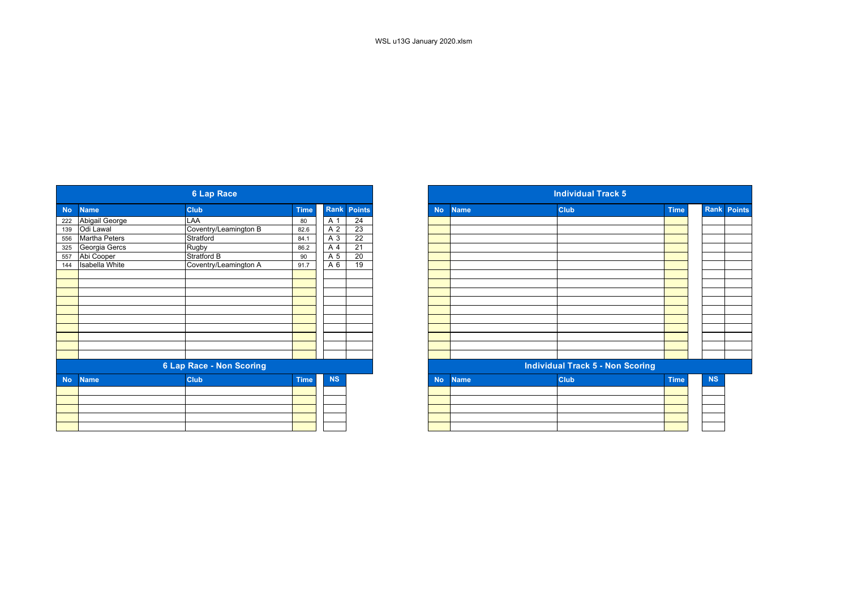|           |                       | <b>6 Lap Race</b>               |             |           |                 |
|-----------|-----------------------|---------------------------------|-------------|-----------|-----------------|
| <b>No</b> | <b>Name</b>           | <b>Club</b>                     | <b>Time</b> | Rank      | <b>Points</b>   |
| 222       | Abigail George        | LAA                             | 80          | A 1       | 24              |
| 139       | Odi Lawal             | Coventry/Leamington B           | 82.6        | A 2       | 23              |
| 556       | <b>Martha Peters</b>  | Stratford                       | 84.1        | A 3       | $\overline{22}$ |
| 325       | Georgia Gercs         | <b>Rugby</b>                    | 86.2        | A 4       | $\overline{21}$ |
| 557       | Abi Cooper            | Stratford B                     | 90          | A 5       | 20              |
| 144       | <b>Isabella White</b> | Coventry/Leamington A           | 91.7        | A 6       | 19              |
|           |                       |                                 |             |           |                 |
|           |                       |                                 |             |           |                 |
|           |                       |                                 |             |           |                 |
|           |                       |                                 |             |           |                 |
|           |                       |                                 |             |           |                 |
|           |                       |                                 |             |           |                 |
|           |                       |                                 |             |           |                 |
|           |                       |                                 |             |           |                 |
|           |                       |                                 |             |           |                 |
|           |                       |                                 |             |           |                 |
|           |                       | <b>6 Lap Race - Non Scoring</b> |             |           |                 |
| <b>No</b> | <b>Name</b>           | <b>Club</b>                     | <b>Time</b> | <b>NS</b> |                 |
|           |                       |                                 |             |           |                 |
|           |                       |                                 |             |           |                 |
|           |                       |                                 |             |           |                 |
|           |                       |                                 |             |           |                 |
|           |                       |                                 |             |           |                 |

|           |                       | <b>6 Lap Race</b>               |             |                |                 |
|-----------|-----------------------|---------------------------------|-------------|----------------|-----------------|
|           | <b>Name</b>           | <b>Club</b>                     | <b>Time</b> | Rank           | <b>Points</b>   |
|           | Abigail George        | LAA                             | 80          | A 1            | 24              |
|           | Odi Lawal             | Coventry/Leamington B           | 82.6        | A <sub>2</sub> | $\overline{23}$ |
|           | <b>Martha Peters</b>  | Stratford                       | 84.1        | A 3            | $\overline{22}$ |
|           | Georgia Gercs         | Rugby                           | 86.2        | A 4            | 21              |
|           | Abi Cooper            | Stratford B                     | 90          | A 5            | 20              |
|           | <b>Isabella White</b> | Coventry/Leamington A           | 91.7        | A 6            | 19              |
|           |                       |                                 |             |                |                 |
|           |                       |                                 |             |                |                 |
|           |                       |                                 |             |                |                 |
|           |                       |                                 |             |                |                 |
|           |                       |                                 |             |                |                 |
|           |                       |                                 |             |                |                 |
|           |                       |                                 |             |                |                 |
|           |                       |                                 |             |                |                 |
|           |                       |                                 |             |                |                 |
|           |                       |                                 |             |                |                 |
|           |                       | <b>6 Lap Race - Non Scoring</b> |             |                |                 |
| <b>No</b> | <b>Name</b>           | <b>Club</b>                     | <b>Time</b> | <b>NS</b>      |                 |
|           |                       |                                 |             |                |                 |
|           |                       |                                 |             |                |                 |
|           |                       |                                 |             |                |                 |
|           |                       |                                 |             |                |                 |
|           |                       |                                 |             |                |                 |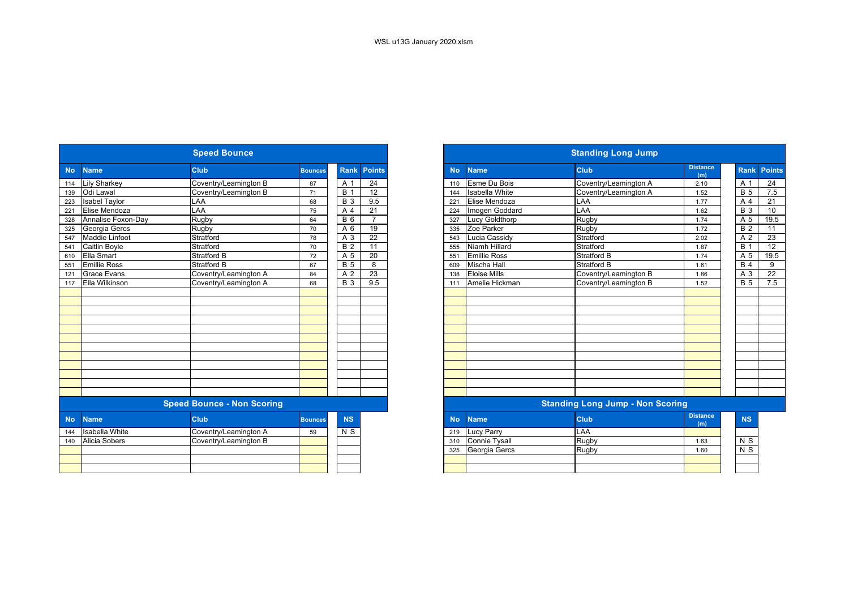|           |                       | <b>Speed Bounce</b>               |                |                  |                 |           |                       | <b>Standing Long Jump</b>               |                        |                  |
|-----------|-----------------------|-----------------------------------|----------------|------------------|-----------------|-----------|-----------------------|-----------------------------------------|------------------------|------------------|
| <b>No</b> | <b>Name</b>           | Club                              | <b>Bounces</b> | <b>Rank</b>      | <b>Points</b>   | <b>No</b> | <b>Name</b>           | <b>Club</b>                             | <b>Distance</b><br>(m) | Ranl             |
| 114       | <b>Lily Sharkey</b>   | Coventry/Leamington B             | 87             | A 1              | 24              | 110       | <b>Esme Du Bois</b>   | Coventry/Leamington A                   | 2.10                   | A 1              |
| 139       | Odi Lawal             | Coventry/Leamington B             | 71             | $\overline{B}$ 1 | $\overline{12}$ | 144       | <b>Isabella White</b> | Coventry/Leamington A                   | 1.52                   | <b>B</b> 5       |
| 223       | <b>Isabel Taylor</b>  | LAA                               | 68             | $\overline{B}$ 3 | 9.5             | 221       | Elise Mendoza         | LAA                                     | 1.77                   | A <sub>4</sub>   |
| 221       | Elise Mendoza         | LAA                               | 75             | A 4              | 21              | 224       | Imogen Goddard        | LAA                                     | 1.62                   | $\overline{B}$ 3 |
| 328       | Annalise Foxon-Day    | Rugby                             | 64             | $B_6$            | $\overline{7}$  | 327       | Lucy Goldthorp        | Rugby                                   | 1.74                   | A 5              |
| 325       | Georgia Gercs         | Rugby                             | 70             | A 6              | $\overline{19}$ | 335       | Zoe Parker            | Rugby                                   | 1.72                   | B <sub>2</sub>   |
| 547       | Maddie Linfoot        | Stratford                         | 78             | A 3              | $\overline{22}$ | 543       | Lucia Cassidy         | Stratford                               | 2.02                   | A <sub>2</sub>   |
| 541       | Caitlin Boyle         | Stratford                         | 70             | $\overline{B}$ 2 | $\overline{11}$ | 555       | Niamh Hillard         | Stratford                               | 1.87                   | B <sub>1</sub>   |
| 610       | Ella Smart            | <b>Stratford B</b>                | 72             | A <sub>5</sub>   | $\overline{20}$ | 551       | <b>Emillie Ross</b>   | <b>Stratford B</b>                      | 1.74                   | A 5              |
| 551       | <b>Emillie Ross</b>   | <b>Stratford B</b>                | 67             | B <sub>5</sub>   | 8               | 609       | <b>Mischa Hall</b>    | <b>Stratford B</b>                      | 1.61                   | B <sub>4</sub>   |
| 121       | <b>Grace Evans</b>    | Coventry/Leamington A             | 84             | A 2              | $\overline{23}$ | 138       | <b>Eloise Mills</b>   | Coventry/Leamington B                   | 1.86                   | $A_3$            |
| 117       | Ella Wilkinson        | Coventry/Leamington A             | 68             | <b>B</b> 3       | 9.5             | 111       | Amelie Hickman        | Coventry/Leamington B                   | 1.52                   | $\overline{B}$ 5 |
|           |                       |                                   |                |                  |                 |           |                       |                                         |                        |                  |
|           |                       | <b>Speed Bounce - Non Scoring</b> |                |                  |                 |           |                       | <b>Standing Long Jump - Non Scoring</b> |                        |                  |
| <b>No</b> | <b>Name</b>           | <b>Club</b>                       | <b>Bounces</b> | <b>NS</b>        |                 | <b>No</b> | <b>Name</b>           | <b>Club</b>                             | <b>Distance</b><br>(m) | <b>NS</b>        |
| 144       | <b>Isabella White</b> | Coventry/Leamington A             | 59             | N <sub>S</sub>   |                 | 219       | Lucy Parry            | LAA                                     |                        |                  |
| 140       | Alicia Sobers         | Coventry/Leamington B             |                |                  |                 | 310       | <b>Connie Tysall</b>  | Rugby                                   | 1.63                   | N <sub>S</sub>   |
|           |                       |                                   |                |                  |                 | 325       | Georgia Gercs         | <b>Rugby</b>                            | 1.60                   | $\overline{N}$   |
|           |                       |                                   |                |                  |                 |           |                       |                                         |                        |                  |
|           |                       |                                   |                |                  |                 |           |                       |                                         |                        |                  |
|           |                       |                                   |                |                  |                 |           |                       |                                         |                        |                  |

|            |                       | <b>Speed Bounce</b>               |                |                  |                |
|------------|-----------------------|-----------------------------------|----------------|------------------|----------------|
| <b>No</b>  | <b>Name</b>           | <b>Club</b>                       | <b>Bounces</b> | <b>Rank</b>      | <b>Points</b>  |
| 114        | <b>Lily Sharkey</b>   | Coventry/Leamington B             | 87             | A 1              | 24             |
| 139<br>223 | Odi Lawal             | Coventry/Leamington B             | 71             | <b>B</b> 1       | 12             |
|            | <b>Isabel Taylor</b>  | LAA                               | 68             | <b>B</b> 3       | 9.5            |
|            | Elise Mendoza         | LAA                               | 75             | A 4              | 21             |
|            | Annalise Foxon-Day    | Rugby                             | 64             | <b>B</b> 6       | $\overline{7}$ |
|            | Georgia Gercs         | Rugby                             | 70             | A 6              | 19             |
| 547        | <b>Maddie Linfoot</b> | Stratford                         | 78             | A <sub>3</sub>   | 22             |
| 541        | <b>Caitlin Boyle</b>  | Stratford                         | 70             | $\overline{B}$ 2 | 11             |
| 610        | <b>Ella Smart</b>     | Stratford B                       | 72             | A 5              | 20             |
| 551        | <b>Emillie Ross</b>   | Stratford B                       | 67             | <b>B</b> 5       | 8              |
| 121        | <b>Grace Evans</b>    | Coventry/Leamington A             | 84             | A <sub>2</sub>   | 23             |
| 117        | <b>Ella Wilkinson</b> | Coventry/Leamington A             | 68             | <b>B</b> 3       | 9.5            |
|            |                       |                                   |                |                  |                |
|            |                       |                                   |                |                  |                |
|            |                       |                                   |                |                  |                |
|            |                       |                                   |                |                  |                |
|            |                       |                                   |                |                  |                |
|            |                       |                                   |                |                  |                |
|            |                       |                                   |                |                  |                |
|            |                       |                                   |                |                  |                |
|            |                       |                                   |                |                  |                |
|            |                       |                                   |                |                  |                |
|            |                       |                                   |                |                  |                |
|            |                       |                                   |                |                  |                |
|            |                       | <b>Speed Bounce - Non Scoring</b> |                |                  |                |
| <b>No</b>  | <b>Name</b>           | <b>Club</b>                       | <b>Bounces</b> | <b>NS</b>        |                |
| 144        | <b>Isabella White</b> | Coventry/Leamington A             | 59             | N S              |                |
| 140        | <b>Alicia Sobers</b>  | Coventry/Leamington B             |                |                  |                |
|            |                       |                                   |                |                  |                |
|            |                       |                                   |                |                  |                |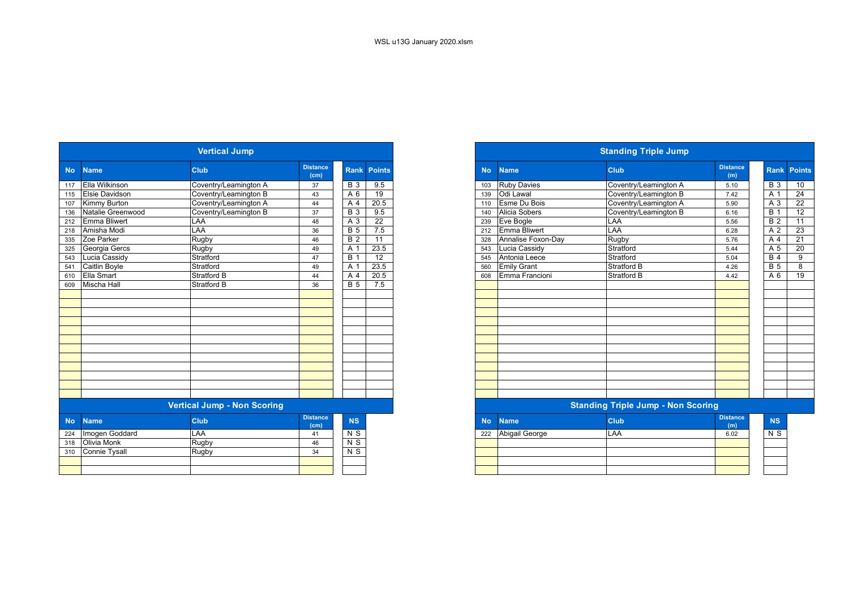|           |                       | <b>Vertical Jump</b>               |                         |                  |                 |
|-----------|-----------------------|------------------------------------|-------------------------|------------------|-----------------|
| <b>No</b> | <b>Name</b>           | <b>Club</b>                        | <b>Distance</b><br>(cm) | Rank             | <b>Points</b>   |
| 117       | Ella Wilkinson        | Coventry/Leamington A              | 37                      | <b>B</b> 3       | 9.5             |
| 115       | <b>Elsie Davidson</b> | Coventry/Leamington B              | 43                      | A 6              | $\overline{19}$ |
| 107       | <b>Kimmy Burton</b>   | Coventry/Leamington A              | 44                      | A 4              | 20.5            |
| 136       | Natalie Greenwood     | Coventry/Leamington B              | 37                      | B <sub>3</sub>   | 9.5             |
| 212       | <b>Emma Bliwert</b>   | LAA                                | 48                      | A 3              | 22              |
| 218       | Amisha Modi           | LAA                                | 36                      | B <sub>5</sub>   | 7.5             |
| 335       | Zoe Parker            | Rugby                              | 46                      | B <sub>2</sub>   | $\overline{11}$ |
| 325       | Georgia Gercs         | Rugby                              | 49                      | A 1              | 23.5            |
| 543       | Lucia Cassidy         | Stratford                          | 47                      | $\overline{B}$ 1 | $\overline{12}$ |
| 541       | Caitlin Boyle         | Stratford                          | 49                      | A 1              | 23.5            |
| 610       | Ella Smart            | Stratford B                        | 44                      | A 4              | 20.5            |
| 609       | <b>Mischa Hall</b>    | Stratford B                        | 36                      | B <sub>5</sub>   | 7.5             |
|           |                       |                                    |                         |                  |                 |
|           |                       |                                    |                         |                  |                 |
|           |                       |                                    |                         |                  |                 |
|           |                       |                                    |                         |                  |                 |
|           |                       |                                    |                         |                  |                 |
|           |                       |                                    |                         |                  |                 |
|           |                       |                                    |                         |                  |                 |
|           |                       |                                    |                         |                  |                 |
|           |                       |                                    |                         |                  |                 |
|           |                       |                                    |                         |                  |                 |
|           |                       |                                    |                         |                  |                 |
|           |                       |                                    |                         |                  |                 |
|           |                       | <b>Vertical Jump - Non Scoring</b> |                         |                  |                 |
| <b>No</b> | <b>Name</b>           | <b>Club</b>                        | <b>Distance</b><br>(cm) | NS               |                 |
| 224       | Imogen Goddard        | <b>LAA</b>                         | 41                      | $N$ S            |                 |
| 318       | Olivia Monk           | Rugby                              | 46                      | $N$ S            |                 |
| 310       | <b>Connie Tysall</b>  | Rugby                              | 34                      | N <sub>S</sub>   |                 |
|           |                       |                                    |                         |                  |                 |
|           |                       |                                    |                         |                  |                 |

|                 |                     | <b>Vertical Jump</b>               |                         |                |                 |
|-----------------|---------------------|------------------------------------|-------------------------|----------------|-----------------|
| No.             | <b>Name</b>         | <b>Club</b>                        | <b>Distance</b><br>(cm) | <b>Rank</b>    | <b>Points</b>   |
|                 | 117 Ella Wilkinson  | Coventry/Leamington A              | 37                      | <b>B</b> 3     | 9.5             |
|                 | 115 Elsie Davidson  | Coventry/Leamington B              | 43                      | A 6            | 19              |
| 107             | Kimmy Burton        | Coventry/Leamington A              | 44                      | A 4            | 20.5            |
| 136             | Natalie Greenwood   | Coventry/Leamington B              | 37                      | <b>B</b> 3     | 9.5             |
| 212             | <b>Emma Bliwert</b> | LAA                                | 48                      | A 3            | $\overline{22}$ |
| 218             | Amisha Modi         | LAA                                | 36                      | $\overline{B}$ | 7.5             |
| 335             | Zoe Parker          | Rugby                              | 46                      | <b>B</b> 2     | 11              |
| 325             | Georgia Gercs       | Rugby                              | 49                      | A 1            | 23.5            |
| 543             | Lucia Cassidy       | Stratford                          | 47                      | B              | $\overline{12}$ |
| $\frac{1}{541}$ | Caitlin Boyle       | Stratford                          | 49                      | $A^{\circ}$    | 23.5            |
| 610             | Ella Smart          | <b>Stratford B</b>                 | 44                      | A 4            | 20.5            |
| 609             | <b>Mischa Hall</b>  | Stratford B                        | 36                      | <b>B</b> 5     | 7.5             |
|                 |                     |                                    |                         |                |                 |
|                 |                     |                                    |                         |                |                 |
|                 |                     |                                    |                         |                |                 |
|                 |                     |                                    |                         |                |                 |
|                 |                     |                                    |                         |                |                 |
|                 |                     |                                    |                         |                |                 |
|                 |                     |                                    |                         |                |                 |
|                 |                     |                                    |                         |                |                 |
|                 |                     |                                    |                         |                |                 |
|                 |                     |                                    |                         |                |                 |
|                 |                     |                                    |                         |                |                 |
|                 |                     |                                    |                         |                |                 |
|                 |                     | <b>Vertical Jump - Non Scoring</b> |                         |                |                 |
| No.             | <b>Name</b>         | <b>Club</b>                        | <b>Distance</b><br>(cm) | <b>NS</b>      |                 |
|                 | 224 Imogen Goddard  | $\overline{I}$ AA                  | 41                      | R              |                 |

| 222 | Abigail George | LAA | 6.02 | $\sim$ |
|-----|----------------|-----|------|--------|
|     |                |     |      |        |
|     |                |     |      |        |
|     |                |     |      |        |
|     |                |     |      |        |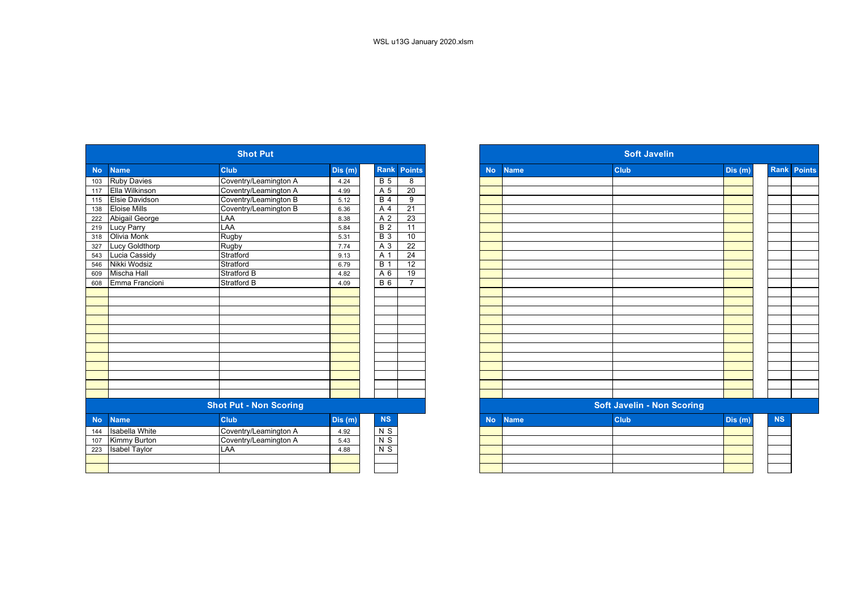|           |                       | <b>Shot Put</b>               |         |                  |                 |           |             | <b>Soft Javelin</b>               |         |
|-----------|-----------------------|-------------------------------|---------|------------------|-----------------|-----------|-------------|-----------------------------------|---------|
| <b>No</b> | <b>Name</b>           | <b>Club</b>                   | Dis(m)  | Rank             | <b>Points</b>   | <b>No</b> | <b>Name</b> | <b>Club</b>                       | Dis (m) |
| 103       | <b>Ruby Davies</b>    | Coventry/Leamington A         | 4.24    | B <sub>5</sub>   | 8               |           |             |                                   |         |
| 117       | Ella Wilkinson        | Coventry/Leamington A         | 4.99    | A 5              | $\overline{20}$ |           |             |                                   |         |
| 115       | <b>Elsie Davidson</b> | Coventry/Leamington B         | 5.12    | $B$ 4            | $\overline{9}$  |           |             |                                   |         |
| 138       | <b>Eloise Mills</b>   | Coventry/Leamington B         | 6.36    | A 4              | 21              |           |             |                                   |         |
| 222       | Abigail George        | LAA                           | 8.38    | A 2              | 23              |           |             |                                   |         |
| 219       | <b>Lucy Parry</b>     | LAA                           | 5.84    | <b>B</b> 2       | 11              |           |             |                                   |         |
| 318       | Olivia Monk           | Rugby                         | 5.31    | $\overline{B}$ 3 | 10              |           |             |                                   |         |
| 327       | <b>Lucy Goldthorp</b> | Rugby                         | 7.74    | $A_3$            | $\overline{22}$ |           |             |                                   |         |
| 543       | Lucia Cassidy         | Stratford                     | 9.13    | A 1              | 24              |           |             |                                   |         |
| 546       | Nikki Wodsiz          | Stratford                     | 6.79    | <b>B</b> 1       | 12              |           |             |                                   |         |
| 609       | <b>Mischa Hall</b>    | <b>Stratford B</b>            | 4.82    | A 6              | 19              |           |             |                                   |         |
| 608       | Emma Francioni        | <b>Stratford B</b>            | 4.09    | <b>B</b> 6       | $\overline{7}$  |           |             |                                   |         |
|           |                       |                               |         |                  |                 |           |             |                                   |         |
|           |                       |                               |         |                  |                 |           |             |                                   |         |
|           |                       |                               |         |                  |                 |           |             |                                   |         |
|           |                       |                               |         |                  |                 |           |             |                                   |         |
|           |                       |                               |         |                  |                 |           |             |                                   |         |
|           |                       |                               |         |                  |                 |           |             |                                   |         |
|           |                       |                               |         |                  |                 |           |             |                                   |         |
|           |                       |                               |         |                  |                 |           |             |                                   |         |
|           |                       |                               |         |                  |                 |           |             |                                   |         |
|           |                       |                               |         |                  |                 |           |             |                                   |         |
|           |                       |                               |         |                  |                 |           |             |                                   |         |
|           |                       |                               |         |                  |                 |           |             |                                   |         |
|           |                       | <b>Shot Put - Non Scoring</b> |         |                  |                 |           |             | <b>Soft Javelin - Non Scoring</b> |         |
| <b>No</b> | <b>Name</b>           | <b>Club</b>                   | Dis (m) | <b>NS</b>        |                 | <b>No</b> | <b>Name</b> | <b>Club</b>                       | Dis (m) |
| 144       | <b>Isabella White</b> | Coventry/Leamington A         | 4.92    | N S              |                 |           |             |                                   |         |
| 107       | <b>Kimmy Burton</b>   | Coventry/Leamington A         | 5.43    | $N$ S            |                 |           |             |                                   |         |
| 223       | <b>Isabel Taylor</b>  | LAA                           | 4.88    | $N$ S            |                 |           |             |                                   |         |
|           |                       |                               |         |                  |                 |           |             |                                   |         |
|           |                       |                               |         |                  |                 |           |             |                                   |         |
|           |                       |                               |         |                  |                 |           |             |                                   |         |

|           |                       | <b>Shot Put</b>               |        |                |                 |
|-----------|-----------------------|-------------------------------|--------|----------------|-----------------|
| <b>No</b> | <b>Name</b>           | <b>Club</b>                   | Dis(m) | Rank           | Points          |
|           | <b>Ruby Davies</b>    | Coventry/Leamington A         | 4.24   | B <sub>5</sub> | 8               |
|           | Ella Wilkinson        | Coventry/Leamington A         | 4.99   | A 5            | 20              |
|           | <b>Elsie Davidson</b> | Coventry/Leamington B         | 5.12   | B <sub>4</sub> | 9               |
|           | <b>Eloise Mills</b>   | Coventry/Leamington B         | 6.36   | A 4            | 21              |
|           | Abigail George        | LAA                           | 8.38   | A 2            | $\overline{23}$ |
|           | <b>Lucy Parry</b>     | LAA                           | 5.84   | <b>B2</b>      | 11              |
| 219       | Olivia Monk           | Rugby                         | 5.31   | <b>B</b> 3     | 10              |
| 327       | Lucy Goldthorp        | Rugby                         | 7.74   | A 3            | $\overline{22}$ |
| 543       | Lucia Cassidy         | Stratford                     | 9.13   | A 1            | $\overline{24}$ |
| 546       | Nikki Wodsiz          | Stratford                     | 6.79   | <b>B</b> 1     | 12              |
| 609       | <b>Mischa Hall</b>    | <b>Stratford B</b>            | 4.82   | A 6            | 19              |
| 608       | Emma Francioni        | <b>Stratford B</b>            | 4.09   | <b>B</b> 6     | $\overline{7}$  |
|           |                       |                               |        |                |                 |
|           |                       |                               |        |                |                 |
|           |                       |                               |        |                |                 |
|           |                       |                               |        |                |                 |
|           |                       |                               |        |                |                 |
|           |                       |                               |        |                |                 |
|           |                       |                               |        |                |                 |
|           |                       |                               |        |                |                 |
|           |                       |                               |        |                |                 |
|           |                       |                               |        |                |                 |
|           |                       |                               |        |                |                 |
|           |                       |                               |        |                |                 |
|           |                       | <b>Shot Put - Non Scoring</b> |        |                |                 |
| <b>No</b> | <b>Name</b>           | <b>Club</b>                   | Dis(m) | NS             |                 |
| 144       | <b>Isabella White</b> | Coventry/Leamington A         | 4.92   | $N$ S          |                 |
| 107       | <b>Kimmy Burton</b>   | Coventry/Leamington A         | 5.43   | N <sub>S</sub> |                 |
| 223       | <b>Isabel Taylor</b>  | LAA                           | 4.88   | $N$ S          |                 |
|           |                       |                               |        |                |                 |
|           |                       |                               |        |                |                 |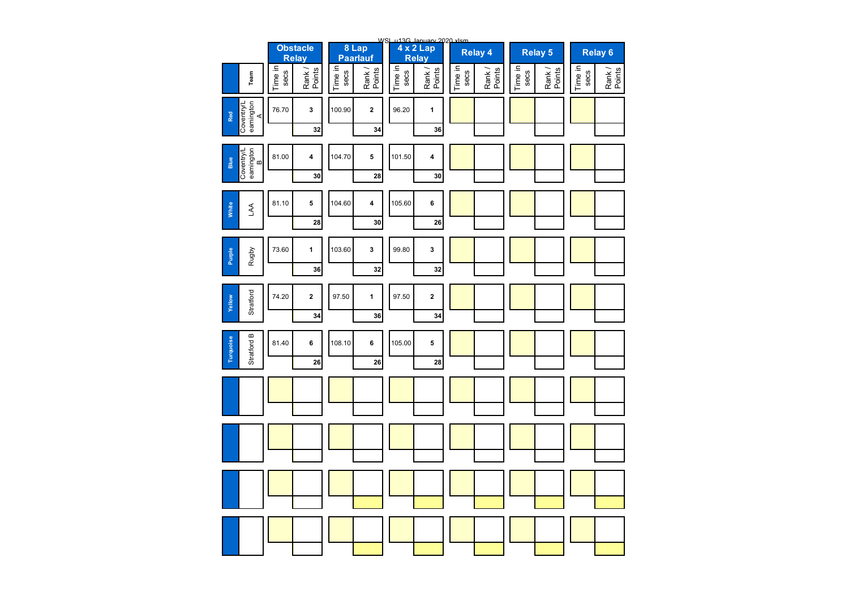|                                      |                 | <b>Obstacle</b><br><b>Relay</b> |                 | 8 Lap<br>Paarlauf |                 | WSL u13G January 2020 xlsm<br>4 x 2 Lap<br>Relay |                 | <b>Relay 4</b>   |                 | <b>Relay 5</b>   |                 | <b>Relay 6</b>   |
|--------------------------------------|-----------------|---------------------------------|-----------------|-------------------|-----------------|--------------------------------------------------|-----------------|------------------|-----------------|------------------|-----------------|------------------|
| Team                                 | Time in<br>secs | Rank /<br>Points                | Time in<br>secs | Rank /<br>Points  | Time in<br>secs | Rank /<br>Points                                 | Time in<br>secs | Rank /<br>Points | Time in<br>secs | Rank /<br>Points | Time in<br>secs | Rank /<br>Points |
| eamington<br>A<br>Coventry/l<br>Red  | 76.70           | 3<br>32                         | 100.90          | $\mathbf 2$<br>34 | 96.20           | 1<br>36                                          |                 |                  |                 |                  |                 |                  |
| Coventry/L<br>eamington<br>B<br>Blue | 81.00           | 4<br>30                         | 104.70          | 5<br>28           | 101.50          | 4<br>30                                          |                 |                  |                 |                  |                 |                  |
| White<br>$\mathbb{R}$                | 81.10           | 5<br>28                         | 104.60          | 4<br>30           | 105.60          | 6<br>26                                          |                 |                  |                 |                  |                 |                  |
| Rugby<br>Purple                      | 73.60           | 1<br>36                         | 103.60          | 3<br>32           | 99.80           | 3<br>32                                          |                 |                  |                 |                  |                 |                  |
| Stratford<br>Yellow                  | 74.20           | $\mathbf 2$<br>34               | 97.50           | 1<br>36           | 97.50           | $\mathbf 2$<br>34                                |                 |                  |                 |                  |                 |                  |
| Stratford B<br>Turquoise             | 81.40           | 6<br>26                         | 108.10          | 6<br>26           | 105.00          | 5<br>28                                          |                 |                  |                 |                  |                 |                  |
|                                      |                 |                                 |                 |                   |                 |                                                  |                 |                  |                 |                  |                 |                  |
|                                      |                 |                                 |                 |                   |                 |                                                  |                 |                  |                 |                  |                 |                  |
|                                      |                 |                                 |                 |                   |                 |                                                  |                 |                  |                 |                  |                 |                  |
|                                      |                 |                                 |                 |                   |                 |                                                  |                 |                  |                 |                  |                 |                  |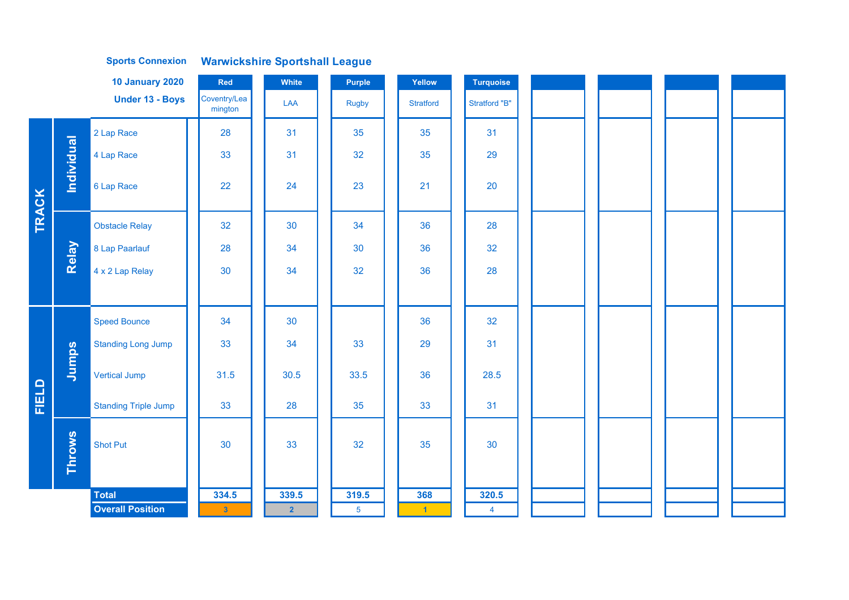|              |            | <b>10 January 2020</b>      | Red                     | White          | <b>Purple</b>  | Yellow           | <b>Turquoise</b> |  |  |
|--------------|------------|-----------------------------|-------------------------|----------------|----------------|------------------|------------------|--|--|
|              |            | <b>Under 13 - Boys</b>      | Coventry/Lea<br>mington | LAA            | <b>Rugby</b>   | <b>Stratford</b> | Stratford "B"    |  |  |
|              |            | 2 Lap Race                  | 28                      | 31             | 35             | 35               | 31               |  |  |
|              |            | 4 Lap Race                  | 33                      | 31             | 32             | 35               | 29               |  |  |
|              | Individual | 6 Lap Race                  | 22                      | 24             | 23             | 21               | 20               |  |  |
| <b>TRACK</b> |            | <b>Obstacle Relay</b>       | 32                      | 30             | 34             | 36               | 28               |  |  |
|              | Relay      | 8 Lap Paarlauf              | 28                      | 34             | 30             | 36               | 32               |  |  |
|              |            | 4 x 2 Lap Relay             | 30                      | 34             | 32             | 36               | 28               |  |  |
|              |            |                             |                         |                |                |                  |                  |  |  |
|              |            | <b>Speed Bounce</b>         | 34                      | 30             |                | 36               | 32               |  |  |
|              |            | <b>Standing Long Jump</b>   | 33                      | 34             | 33             | 29               | 31               |  |  |
|              | Jumps      | <b>Vertical Jump</b>        | 31.5                    | 30.5           | 33.5           | 36               | 28.5             |  |  |
| FIELD        |            | <b>Standing Triple Jump</b> | 33                      | 28             | 35             | 33               | 31               |  |  |
|              | Throws     | <b>Shot Put</b>             | 30                      | 33             | 32             | 35               | 30               |  |  |
|              |            | <b>Total</b>                | 334.5                   | 339.5          | 319.5          | 368              | 320.5            |  |  |
|              |            | <b>Overall Position</b>     | $\bf{3}$                | $\overline{2}$ | 5 <sup>5</sup> | $\blacksquare$   | $\overline{4}$   |  |  |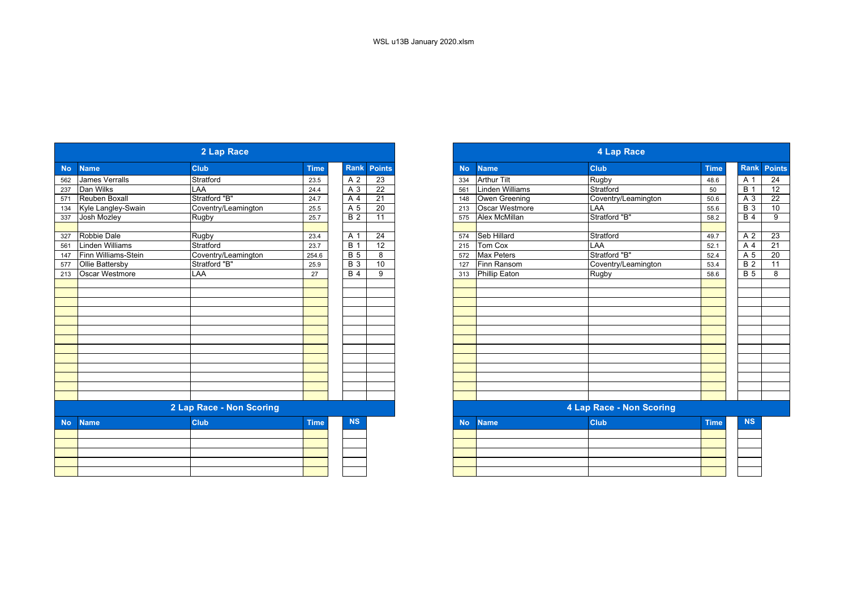|           |                        | 2 Lap Race               |             |                  |                    |
|-----------|------------------------|--------------------------|-------------|------------------|--------------------|
| <b>No</b> | <b>Name</b>            | <b>Club</b>              | <b>Time</b> |                  | <b>Rank Points</b> |
| 562       | James Verralls         | Stratford                | 23.5        | A 2              | 23                 |
| 237       | Dan Wilks              | LAA                      | 24.4        | A 3              | 22                 |
| 571       | Reuben Boxall          | Stratford "B"            | 24.7        | A 4              | 21                 |
| 134       | Kyle Langley-Swain     | Coventry/Leamington      | 25.5        | A 5              | 20                 |
| 337       | Josh Mozley            | Rugby                    | 25.7        | <b>B</b> 2       | 11                 |
| 327       | Robbie Dale            | Rugby                    | 23.4        | A 1              | 24                 |
| 561       | <b>Linden Williams</b> | Stratford                | 23.7        | <b>B</b> 1       | 12                 |
| 147       | Finn Williams-Stein    | Coventry/Leamington      | 254.6       | $\overline{B}$   | 8                  |
| 577       | <b>Ollie Battersby</b> | Stratford "B"            | 25.9        | $\overline{B}$ 3 | 10                 |
| 213       | Oscar Westmore         | LAA                      | 27          | $\overline{B4}$  | 9                  |
|           |                        |                          |             |                  |                    |
|           |                        |                          |             |                  |                    |
|           |                        |                          |             |                  |                    |
|           |                        |                          |             |                  |                    |
|           |                        |                          |             |                  |                    |
|           |                        |                          |             |                  |                    |
|           |                        |                          |             |                  |                    |
|           |                        |                          |             |                  |                    |
|           |                        |                          |             |                  |                    |
|           |                        |                          |             |                  |                    |
|           |                        |                          |             |                  |                    |
|           |                        |                          |             |                  |                    |
|           |                        | 2 Lap Race - Non Scoring |             |                  |                    |
| <b>No</b> | <b>Name</b>            | <b>Club</b>              | <b>Time</b> | <b>NS</b>        |                    |
|           |                        |                          |             |                  |                    |
|           |                        |                          |             |                  |                    |
|           |                        |                          |             |                  |                    |
|           |                        |                          |             |                  |                    |
|           |                        |                          |             |                  |                    |

|           |                       | 2 Lap Race               |             |            |                 |
|-----------|-----------------------|--------------------------|-------------|------------|-----------------|
|           | <b>Name</b>           | <b>Club</b>              | <b>Time</b> | Rank       | <b>Points</b>   |
|           | <b>James Verralls</b> | Stratford                | 23.5        | A 2        | $\overline{23}$ |
|           | Dan Wilks             | LAA                      | 24.4        | A 3        | $\overline{22}$ |
|           | Reuben Boxall         | Stratford "B"            | 24.7        | A 4        | $\overline{21}$ |
|           | Kyle Langley-Swain    | Coventry/Leamington      | 25.5        | A 5        | $\overline{20}$ |
|           | Josh Mozley           | <b>Rugby</b>             | 25.7        | <b>B2</b>  | 11              |
|           | Robbie Dale           | <b>Rugby</b>             | 23.4        | A 1        | 24              |
|           | Linden Williams       | Stratford                | 23.7        | <b>B</b> 1 | 12              |
|           | Finn Williams-Stein   | Coventry/Leamington      | 254.6       | <b>B</b> 5 | 8               |
|           | Ollie Battersby       | Stratford "B"            | 25.9        | <b>B</b> 3 | 10              |
|           | Oscar Westmore        | LAA                      | 27          | <b>B</b> 4 | 9               |
|           |                       |                          |             |            |                 |
|           |                       |                          |             |            |                 |
|           |                       |                          |             |            |                 |
|           |                       |                          |             |            |                 |
|           |                       |                          |             |            |                 |
|           |                       |                          |             |            |                 |
|           |                       |                          |             |            |                 |
|           |                       |                          |             |            |                 |
|           |                       |                          |             |            |                 |
|           |                       |                          |             |            |                 |
|           |                       | 2 Lap Race - Non Scoring |             |            |                 |
| <b>No</b> | <b>Name</b>           | <b>Club</b>              | <b>Time</b> | <b>NS</b>  |                 |
|           |                       |                          |             |            |                 |
|           |                       |                          |             |            |                 |
|           |                       |                          |             |            |                 |
|           |                       |                          |             |            |                 |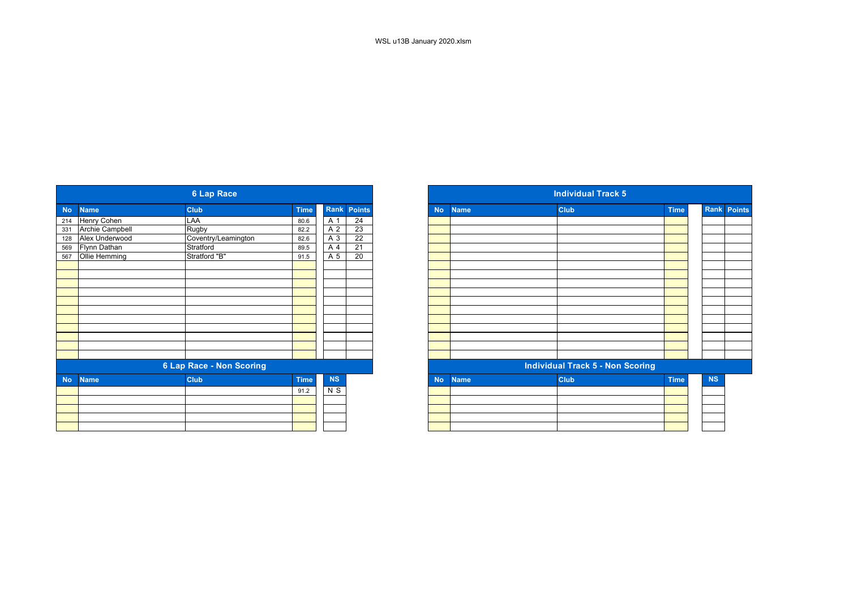|           |                 | <b>6 Lap Race</b>               |             |           |                 |
|-----------|-----------------|---------------------------------|-------------|-----------|-----------------|
| <b>No</b> | <b>Name</b>     | <b>Club</b>                     | <b>Time</b> |           | Rank Points     |
| 214       | Henry Cohen     | LAA                             | 80.6        | A 1       | 24              |
| 331       | Archie Campbell | Rugby                           | 82.2        | A 2       | 23              |
| 128       | Alex Underwood  | Coventry/Leamington             | 82.6        | A 3       | $\overline{22}$ |
| 569       | Flynn Dathan    | Stratford                       | 89.5        | A 4       | $\overline{21}$ |
| 567       | Ollie Hemming   | Stratford "B"                   | 91.5        | A 5       | 20              |
|           |                 |                                 |             |           |                 |
|           |                 |                                 |             |           |                 |
|           |                 |                                 |             |           |                 |
|           |                 |                                 |             |           |                 |
|           |                 |                                 |             |           |                 |
|           |                 |                                 |             |           |                 |
|           |                 |                                 |             |           |                 |
|           |                 |                                 |             |           |                 |
|           |                 |                                 |             |           |                 |
|           |                 |                                 |             |           |                 |
|           |                 | <b>6 Lap Race - Non Scoring</b> |             |           |                 |
| <b>No</b> | <b>Name</b>     | <b>Club</b>                     | <b>Time</b> | <b>NS</b> |                 |
|           |                 |                                 | 91.2        | N S       |                 |
|           |                 |                                 |             |           |                 |
|           |                 |                                 |             |           |                 |
|           |                 |                                 |             |           |                 |
|           |                 |                                 |             |           |                 |

| <b>6 Lap Race</b>                                                                                               |                                 |           |                 |
|-----------------------------------------------------------------------------------------------------------------|---------------------------------|-----------|-----------------|
| <b>Club</b>                                                                                                     | <b>Time</b>                     |           |                 |
| LAA                                                                                                             | 80.6                            | A 1       | 24              |
| Rugby                                                                                                           | 82.2                            | A 2       | 23              |
| Coventry/Leamington                                                                                             | 82.6                            | A 3       | $\overline{22}$ |
| Stratford                                                                                                       | 89.5                            | A 4       | $\overline{21}$ |
| Stratford "B"                                                                                                   | 91.5                            | A 5       | 20              |
|                                                                                                                 |                                 |           |                 |
|                                                                                                                 |                                 |           |                 |
|                                                                                                                 |                                 |           |                 |
|                                                                                                                 |                                 |           |                 |
|                                                                                                                 |                                 |           |                 |
|                                                                                                                 |                                 |           |                 |
|                                                                                                                 |                                 |           |                 |
|                                                                                                                 |                                 |           |                 |
|                                                                                                                 |                                 |           |                 |
|                                                                                                                 |                                 |           |                 |
|                                                                                                                 |                                 |           |                 |
|                                                                                                                 |                                 |           |                 |
| <b>Club</b>                                                                                                     | <b>Time</b>                     | <b>NS</b> |                 |
|                                                                                                                 | 91.2                            | N S       |                 |
|                                                                                                                 |                                 |           |                 |
|                                                                                                                 |                                 |           |                 |
|                                                                                                                 |                                 |           |                 |
|                                                                                                                 |                                 |           |                 |
| <b>Name</b><br>Henry Cohen<br>Archie Campbell<br>Alex Underwood<br>Flynn Dathan<br>Ollie Hemming<br><b>Name</b> | <b>6 Lap Race - Non Scoring</b> |           | Rank Points     |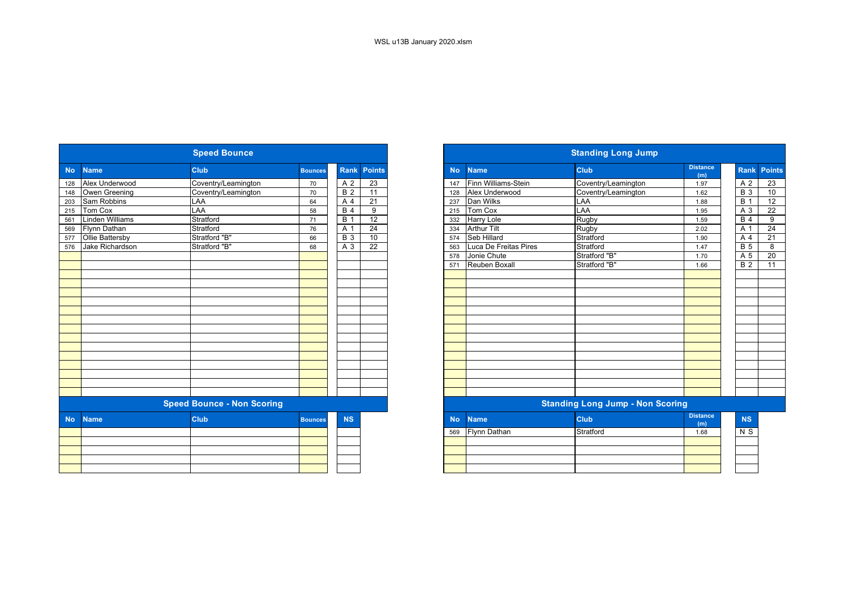|           |                        | <b>Speed Bounce</b>               |                |                  |                 |           | <b>Standing Long Jump</b> |                                         |                        |  |  |  |
|-----------|------------------------|-----------------------------------|----------------|------------------|-----------------|-----------|---------------------------|-----------------------------------------|------------------------|--|--|--|
| <b>No</b> | <b>Name</b>            | <b>Club</b>                       | <b>Bounces</b> | Rank             | <b>Points</b>   | <b>No</b> | <b>Name</b>               | <b>Club</b>                             | <b>Distance</b><br>(m) |  |  |  |
| 128       | Alex Underwood         | Coventry/Leamington               | 70             | A 2              | 23              | 147       | Finn Williams-Stein       | Coventry/Leamington                     | 1.97                   |  |  |  |
| 148       | Owen Greening          | Coventry/Leamington               | 70             | $\overline{B}$ 2 | 11              | 128       | Alex Underwood            | Coventry/Leamington                     | 1.62                   |  |  |  |
| 203       | Sam Robbins            | LAA                               | 64             | A 4              | $\overline{21}$ | 237       | Dan Wilks                 | LAA                                     | 1.88                   |  |  |  |
| 215       | <b>Tom Cox</b>         | LAA                               | 58             | <b>B</b> 4       | $\overline{9}$  | 215       | <b>Tom Cox</b>            | LAA                                     | 1.95                   |  |  |  |
| 561       | <b>Linden Williams</b> | Stratford                         | 71             | <b>B</b> 1       | $\overline{12}$ | 332       | Harry Lole                | Rugby                                   | 1.59                   |  |  |  |
| 569       | Flynn Dathan           | Stratford                         | 76             | A 1              | $\overline{24}$ | 334       | <b>Arthur Tilt</b>        | Rugby                                   | 2.02                   |  |  |  |
| 577       | Ollie Battersby        | Stratford "B"                     | 66             | $\overline{B}$ 3 | 10              | 574       | <b>Seb Hillard</b>        | Stratford                               | 1.90                   |  |  |  |
| 576       | Jake Richardson        | Stratford "B"                     | 68             | A 3              | $\overline{22}$ | 563       | Luca De Freitas Pires     | Stratford                               | 1.47                   |  |  |  |
|           |                        |                                   |                |                  |                 | 578       | Jonie Chute               | Stratford "B"                           | 1.70                   |  |  |  |
|           |                        |                                   |                |                  |                 | 571       | Reuben Boxall             | Stratford "B"                           | 1.66                   |  |  |  |
|           |                        |                                   |                |                  |                 |           |                           |                                         |                        |  |  |  |
|           |                        |                                   |                |                  |                 |           |                           |                                         |                        |  |  |  |
|           |                        |                                   |                |                  |                 |           |                           |                                         |                        |  |  |  |
|           |                        |                                   |                |                  |                 |           |                           |                                         |                        |  |  |  |
|           |                        |                                   |                |                  |                 |           |                           |                                         |                        |  |  |  |
|           |                        |                                   |                |                  |                 |           |                           |                                         |                        |  |  |  |
|           |                        |                                   |                |                  |                 |           |                           |                                         |                        |  |  |  |
|           |                        |                                   |                |                  |                 |           |                           |                                         |                        |  |  |  |
|           |                        |                                   |                |                  |                 |           |                           |                                         |                        |  |  |  |
|           |                        |                                   |                |                  |                 |           |                           |                                         |                        |  |  |  |
|           |                        |                                   |                |                  |                 |           |                           |                                         |                        |  |  |  |
|           |                        |                                   |                |                  |                 |           |                           |                                         |                        |  |  |  |
|           |                        |                                   |                |                  |                 |           |                           |                                         |                        |  |  |  |
|           |                        |                                   |                |                  |                 |           |                           |                                         |                        |  |  |  |
|           |                        | <b>Speed Bounce - Non Scoring</b> |                |                  |                 |           |                           | <b>Standing Long Jump - Non Scoring</b> |                        |  |  |  |
| <b>No</b> | <b>Name</b>            | <b>Club</b>                       | <b>Bounces</b> | <b>NS</b>        |                 | <b>No</b> | <b>Name</b>               | <b>Club</b>                             | <b>Distance</b><br>(m) |  |  |  |
|           |                        |                                   |                |                  |                 | 569       | Flynn Dathan              | Stratford                               | 1.68                   |  |  |  |
|           |                        |                                   |                |                  |                 |           |                           |                                         |                        |  |  |  |
|           |                        |                                   |                |                  |                 |           |                           |                                         |                        |  |  |  |
|           |                        |                                   |                |                  |                 |           |                           |                                         |                        |  |  |  |
|           |                        |                                   |                |                  |                 |           |                           |                                         |                        |  |  |  |

|                 | <b>Speed Bounce</b>               |                |                  |                 |
|-----------------|-----------------------------------|----------------|------------------|-----------------|
| <b>Name</b>     | <b>Club</b>                       | <b>Bounces</b> | <b>Rank</b>      | <b>Points</b>   |
| Alex Underwood  | Coventry/Leamington               | 70             | A 2              | $\overline{23}$ |
| Owen Greening   | Coventry/Leamington               | 70             | $\overline{B}$ 2 | 11              |
| Sam Robbins     | LAA                               | 64             | A 4              | 21              |
| Tom Cox         | <b>LAA</b>                        | 58             | <b>B</b> 4       | 9               |
| Linden Williams | Stratford                         | 71             | <b>B</b> 1       | 12              |
| Flynn Dathan    | Stratford                         | 76             | A 1              | $\overline{24}$ |
| Ollie Battersby | Stratford "B"                     | 66             | <b>B</b> 3       | 10              |
| Jake Richardson | Stratford "B"                     | 68             | A 3              | $\overline{22}$ |
|                 |                                   |                |                  |                 |
|                 |                                   |                |                  |                 |
|                 |                                   |                |                  |                 |
|                 |                                   |                |                  |                 |
|                 |                                   |                |                  |                 |
|                 |                                   |                |                  |                 |
|                 |                                   |                |                  |                 |
|                 |                                   |                |                  |                 |
|                 |                                   |                |                  |                 |
|                 |                                   |                |                  |                 |
|                 |                                   |                |                  |                 |
|                 |                                   |                |                  |                 |
|                 |                                   |                |                  |                 |
|                 |                                   |                |                  |                 |
|                 |                                   |                |                  |                 |
|                 |                                   |                |                  |                 |
|                 | <b>Speed Bounce - Non Scoring</b> |                |                  |                 |
| <b>Name</b>     | <b>Club</b>                       | <b>Bounces</b> | <b>NS</b>        |                 |
|                 |                                   |                |                  |                 |
|                 |                                   |                |                  |                 |
|                 |                                   |                |                  |                 |
|                 |                                   |                |                  |                 |
|                 |                                   |                |                  |                 |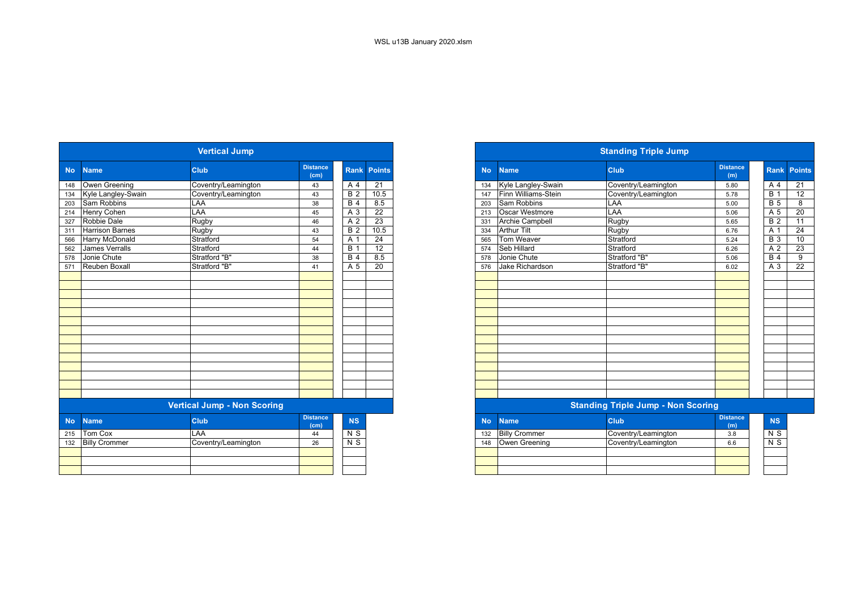|           |                        | <b>Vertical Jump</b>               |                         |                  |                    |
|-----------|------------------------|------------------------------------|-------------------------|------------------|--------------------|
| <b>No</b> | <b>Name</b>            | <b>Club</b>                        | <b>Distance</b><br>(cm) |                  | <b>Rank Points</b> |
| 148       | Owen Greening          | Coventry/Leamington                | 43                      | A 4              | 21                 |
| 134       | Kyle Langley-Swain     | Coventry/Leamington                | 43                      | <b>B2</b>        | 10.5               |
| 203       | Sam Robbins            | LAA                                | 38                      | B <sub>4</sub>   | 8.5                |
| 214       | Henry Cohen            | LAA                                | 45                      | A 3              | 22                 |
| 327       | Robbie Dale            | Rugby                              | 46                      | A <sub>2</sub>   | 23                 |
| 311       | <b>Harrison Barnes</b> | Rugby                              | 43                      | B <sub>2</sub>   | 10.5               |
| 566       | Harry McDonald         | Stratford                          | 54                      | A 1              | $\overline{24}$    |
| 562       | James Verralls         | Stratford                          | 44                      | $\overline{B}$ 1 | 12                 |
| 578       | Jonie Chute            | Stratford "B"                      | 38                      | B <sub>4</sub>   | 8.5                |
| 571       | Reuben Boxall          | Stratford "B"                      | 41                      | A <sub>5</sub>   | $\overline{20}$    |
|           |                        |                                    |                         |                  |                    |
|           |                        |                                    |                         |                  |                    |
|           |                        |                                    |                         |                  |                    |
|           |                        |                                    |                         |                  |                    |
|           |                        |                                    |                         |                  |                    |
|           |                        |                                    |                         |                  |                    |
|           |                        |                                    |                         |                  |                    |
|           |                        |                                    |                         |                  |                    |
|           |                        |                                    |                         |                  |                    |
|           |                        |                                    |                         |                  |                    |
|           |                        |                                    |                         |                  |                    |
|           |                        |                                    |                         |                  |                    |
|           |                        |                                    |                         |                  |                    |
|           |                        |                                    |                         |                  |                    |
|           |                        | <b>Vertical Jump - Non Scoring</b> |                         |                  |                    |
| <b>No</b> | <b>Name</b>            | <b>Club</b>                        | <b>Distance</b><br>(cm) | <b>NS</b>        |                    |
| 215       | Tom Cox                | LAA                                | 44                      | N S              |                    |
| 132       | <b>Billy Crommer</b>   | Coventry/Leamington                | 26                      | N <sub>S</sub>   |                    |
|           |                        |                                    |                         |                  |                    |
|           |                        |                                    |                         |                  |                    |
|           |                        |                                    |                         |                  |                    |

|                        | <b>Vertical Jump</b> |                         |                  |                 |
|------------------------|----------------------|-------------------------|------------------|-----------------|
| No Name                | <b>Club</b>          | <b>Distance</b><br>(cm) | <b>Rank</b>      | <b>Points</b>   |
| 148 Owen Greening      | Coventry/Leamington  | 43                      | A 4              | $\overline{21}$ |
| 134 Kyle Langley-Swain | Coventry/Leamington  | 43                      | <b>B</b> 2       | 10.5            |
| Sam Robbins            | LAA                  | 38                      | <b>B</b> 4       | 8.5             |
| Henry Cohen            | LAA                  | 45                      | A 3              | 22              |
| Robbie Dale            | Rugby                | 46                      | A 2              | 23              |
| <b>Harrison Barnes</b> | Rugby                | 43                      | $\overline{B}$ 2 | 10.5            |
| <b>Harry McDonald</b>  | Stratford            | 54                      | A                | 24              |
| <b>James Verralls</b>  | Stratford            | 44                      | B                | $\overline{12}$ |
| Jonie Chute            | Stratford "B"        | 38                      | B <sub>4</sub>   | 8.5             |
| Reuben Boxall          | Stratford "B"        | 41                      | A 5              | $\overline{20}$ |
|                        |                      |                         |                  |                 |
|                        |                      |                         |                  |                 |
|                        |                      |                         |                  |                 |
|                        |                      |                         |                  |                 |
|                        |                      |                         |                  |                 |
|                        |                      |                         |                  |                 |
|                        |                      |                         |                  |                 |
|                        |                      |                         |                  |                 |
|                        |                      |                         |                  |                 |
|                        |                      |                         |                  |                 |
|                        |                      |                         |                  |                 |
|                        |                      |                         |                  |                 |
|                        |                      |                         |                  |                 |
|                        |                      |                         |                  |                 |

| stance<br>(cm) | <b>NS</b>      | <b>No</b> | <b>Name</b>          | <b>Club</b>         | <b>Distance</b><br>(m) |
|----------------|----------------|-----------|----------------------|---------------------|------------------------|
|                | N S            | 132       | <b>Billy Crommer</b> | Coventry/Leamington | 3.8                    |
| 26             | N <sub>S</sub> | 148       | Owen Greening        | Coventry/Leamington | 6.6                    |
|                |                |           |                      |                     |                        |
|                |                |           |                      |                     |                        |
|                |                |           |                      |                     |                        |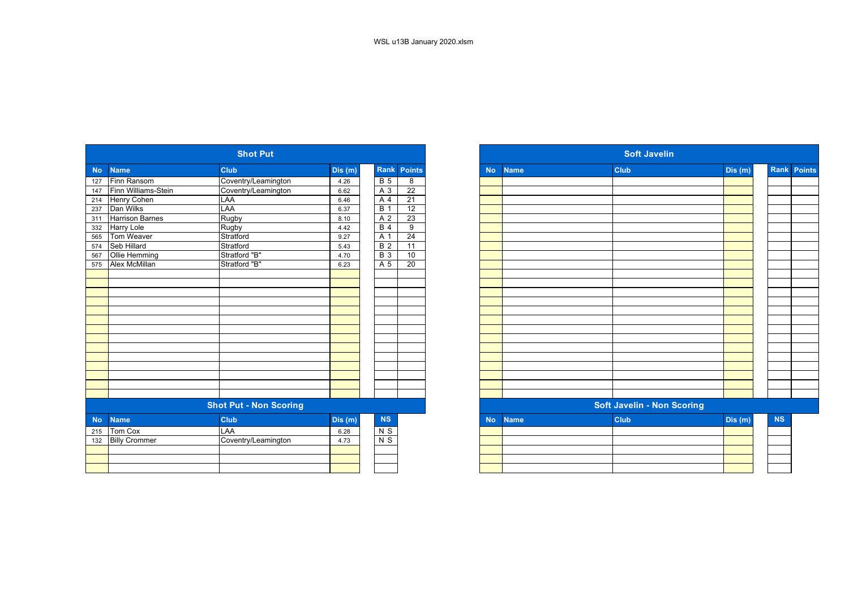| Rank Points<br><b>Club</b><br><b>Club</b><br><b>No</b><br><b>Name</b><br>Dis (m)<br><b>Name</b><br><b>No</b><br>Finn Ransom<br>Coventry/Leamington<br>$\overline{B}$ 5<br>8<br>4.26<br>127<br>Finn Williams-Stein<br>Coventry/Leamington<br>$\overline{22}$<br>A 3<br>147<br>6.62<br>Henry Cohen<br>LAA<br>21<br>A 4<br>214<br>6.46<br>Dan Wilks<br>LAA<br><b>B</b> 1<br>12<br>237<br>6.37<br>Rugby<br><b>Harrison Barnes</b><br>A <sub>2</sub><br>$\overline{23}$<br>311<br>8.10<br>9<br><b>Harry Lole</b><br>Rugby<br><b>B</b> 4<br>332<br>4.42<br>Tom Weaver<br>$\overline{24}$<br>Stratford<br>A 1<br>565<br>9.27<br><b>Seb Hillard</b><br>Stratford<br>B <sub>2</sub><br>$\overline{11}$<br>574<br>5.43<br>Stratford "B"<br>$\overline{B}$ 3<br>Ollie Hemming<br>10<br>567<br>4.70<br>A <sub>5</sub><br>Alex McMillan<br>Stratford "B"<br>20<br>575<br>6.23<br><b>Shot Put - Non Scoring</b><br><b>Soft Javelin - Non Scoring</b> |         |
|----------------------------------------------------------------------------------------------------------------------------------------------------------------------------------------------------------------------------------------------------------------------------------------------------------------------------------------------------------------------------------------------------------------------------------------------------------------------------------------------------------------------------------------------------------------------------------------------------------------------------------------------------------------------------------------------------------------------------------------------------------------------------------------------------------------------------------------------------------------------------------------------------------------------------------------|---------|
|                                                                                                                                                                                                                                                                                                                                                                                                                                                                                                                                                                                                                                                                                                                                                                                                                                                                                                                                        | Dis (m) |
|                                                                                                                                                                                                                                                                                                                                                                                                                                                                                                                                                                                                                                                                                                                                                                                                                                                                                                                                        |         |
|                                                                                                                                                                                                                                                                                                                                                                                                                                                                                                                                                                                                                                                                                                                                                                                                                                                                                                                                        |         |
|                                                                                                                                                                                                                                                                                                                                                                                                                                                                                                                                                                                                                                                                                                                                                                                                                                                                                                                                        |         |
|                                                                                                                                                                                                                                                                                                                                                                                                                                                                                                                                                                                                                                                                                                                                                                                                                                                                                                                                        |         |
|                                                                                                                                                                                                                                                                                                                                                                                                                                                                                                                                                                                                                                                                                                                                                                                                                                                                                                                                        |         |
|                                                                                                                                                                                                                                                                                                                                                                                                                                                                                                                                                                                                                                                                                                                                                                                                                                                                                                                                        |         |
|                                                                                                                                                                                                                                                                                                                                                                                                                                                                                                                                                                                                                                                                                                                                                                                                                                                                                                                                        |         |
|                                                                                                                                                                                                                                                                                                                                                                                                                                                                                                                                                                                                                                                                                                                                                                                                                                                                                                                                        |         |
|                                                                                                                                                                                                                                                                                                                                                                                                                                                                                                                                                                                                                                                                                                                                                                                                                                                                                                                                        |         |
|                                                                                                                                                                                                                                                                                                                                                                                                                                                                                                                                                                                                                                                                                                                                                                                                                                                                                                                                        |         |
|                                                                                                                                                                                                                                                                                                                                                                                                                                                                                                                                                                                                                                                                                                                                                                                                                                                                                                                                        |         |
|                                                                                                                                                                                                                                                                                                                                                                                                                                                                                                                                                                                                                                                                                                                                                                                                                                                                                                                                        |         |
|                                                                                                                                                                                                                                                                                                                                                                                                                                                                                                                                                                                                                                                                                                                                                                                                                                                                                                                                        |         |
|                                                                                                                                                                                                                                                                                                                                                                                                                                                                                                                                                                                                                                                                                                                                                                                                                                                                                                                                        |         |
|                                                                                                                                                                                                                                                                                                                                                                                                                                                                                                                                                                                                                                                                                                                                                                                                                                                                                                                                        |         |
|                                                                                                                                                                                                                                                                                                                                                                                                                                                                                                                                                                                                                                                                                                                                                                                                                                                                                                                                        |         |
|                                                                                                                                                                                                                                                                                                                                                                                                                                                                                                                                                                                                                                                                                                                                                                                                                                                                                                                                        |         |
|                                                                                                                                                                                                                                                                                                                                                                                                                                                                                                                                                                                                                                                                                                                                                                                                                                                                                                                                        |         |
|                                                                                                                                                                                                                                                                                                                                                                                                                                                                                                                                                                                                                                                                                                                                                                                                                                                                                                                                        |         |
|                                                                                                                                                                                                                                                                                                                                                                                                                                                                                                                                                                                                                                                                                                                                                                                                                                                                                                                                        |         |
|                                                                                                                                                                                                                                                                                                                                                                                                                                                                                                                                                                                                                                                                                                                                                                                                                                                                                                                                        |         |
|                                                                                                                                                                                                                                                                                                                                                                                                                                                                                                                                                                                                                                                                                                                                                                                                                                                                                                                                        |         |
|                                                                                                                                                                                                                                                                                                                                                                                                                                                                                                                                                                                                                                                                                                                                                                                                                                                                                                                                        |         |
|                                                                                                                                                                                                                                                                                                                                                                                                                                                                                                                                                                                                                                                                                                                                                                                                                                                                                                                                        |         |
|                                                                                                                                                                                                                                                                                                                                                                                                                                                                                                                                                                                                                                                                                                                                                                                                                                                                                                                                        |         |
| <b>Club</b><br><b>NS</b><br><b>Club</b><br>Dis(m)<br><b>No</b><br><b>Name</b><br><b>Name</b><br><b>No</b>                                                                                                                                                                                                                                                                                                                                                                                                                                                                                                                                                                                                                                                                                                                                                                                                                              | Dis (m) |
| $N$ S<br><b>Tom Cox</b><br>LAA<br>6.28<br>215                                                                                                                                                                                                                                                                                                                                                                                                                                                                                                                                                                                                                                                                                                                                                                                                                                                                                          |         |
| $N$ S<br>Coventry/Leamington<br><b>Billy Crommer</b><br>132<br>4.73                                                                                                                                                                                                                                                                                                                                                                                                                                                                                                                                                                                                                                                                                                                                                                                                                                                                    |         |
|                                                                                                                                                                                                                                                                                                                                                                                                                                                                                                                                                                                                                                                                                                                                                                                                                                                                                                                                        |         |
|                                                                                                                                                                                                                                                                                                                                                                                                                                                                                                                                                                                                                                                                                                                                                                                                                                                                                                                                        |         |
|                                                                                                                                                                                                                                                                                                                                                                                                                                                                                                                                                                                                                                                                                                                                                                                                                                                                                                                                        |         |

|                   |                        | <b>Shot Put</b>               |        |                  |                 |           |             | <b>Soft Javelin</b>               |        |           |                    |
|-------------------|------------------------|-------------------------------|--------|------------------|-----------------|-----------|-------------|-----------------------------------|--------|-----------|--------------------|
| <b>No</b>         | <b>Name</b>            | <b>Club</b>                   | Dis(m) | Rank             | Points          | <b>No</b> | <b>Name</b> | <b>Club</b>                       | Dis(m) |           | <b>Rank Points</b> |
| 127               | Finn Ransom            | Coventry/Leamington           | 4.26   | <b>B</b> 5       | 8               |           |             |                                   |        |           |                    |
| 147               | Finn Williams-Stein    | Coventry/Leamington           | 6.62   | A 3              | $\overline{22}$ |           |             |                                   |        |           |                    |
| 214               | Henry Cohen            | LAA                           | 6.46   | A 4              | 21              |           |             |                                   |        |           |                    |
| 237               | Dan Wilks              | LAA                           | 6.37   | <b>B</b> 1       | 12              |           |             |                                   |        |           |                    |
| 311               | <b>Harrison Barnes</b> | Rugby                         | 8.10   | A 2              | $\overline{23}$ |           |             |                                   |        |           |                    |
| 332<br>565<br>574 | <b>Harry Lole</b>      | Rugby                         | 4.42   | <b>B</b> 4       | 9               |           |             |                                   |        |           |                    |
|                   | Tom Weaver             | Stratford                     | 9.27   | A 1              | 24              |           |             |                                   |        |           |                    |
|                   | <b>Seb Hillard</b>     | Stratford                     | 5.43   | $\overline{B}$ 2 | $\overline{11}$ |           |             |                                   |        |           |                    |
| 567               | Ollie Hemming          | Stratford "B"                 | 4.70   | <b>B</b> 3       | 10              |           |             |                                   |        |           |                    |
| 575               | Alex McMillan          | Stratford "B"                 | 6.23   | A 5              | 20              |           |             |                                   |        |           |                    |
|                   |                        |                               |        |                  |                 |           |             |                                   |        |           |                    |
|                   |                        |                               |        |                  |                 |           |             |                                   |        |           |                    |
|                   |                        |                               |        |                  |                 |           |             |                                   |        |           |                    |
|                   |                        |                               |        |                  |                 |           |             |                                   |        |           |                    |
|                   |                        |                               |        |                  |                 |           |             |                                   |        |           |                    |
|                   |                        |                               |        |                  |                 |           |             |                                   |        |           |                    |
|                   |                        |                               |        |                  |                 |           |             |                                   |        |           |                    |
|                   |                        |                               |        |                  |                 |           |             |                                   |        |           |                    |
|                   |                        |                               |        |                  |                 |           |             |                                   |        |           |                    |
|                   |                        |                               |        |                  |                 |           |             |                                   |        |           |                    |
|                   |                        |                               |        |                  |                 |           |             |                                   |        |           |                    |
|                   |                        |                               |        |                  |                 |           |             |                                   |        |           |                    |
|                   |                        |                               |        |                  |                 |           |             |                                   |        |           |                    |
|                   |                        |                               |        |                  |                 |           |             |                                   |        |           |                    |
|                   |                        | <b>Shot Put - Non Scoring</b> |        |                  |                 |           |             | <b>Soft Javelin - Non Scoring</b> |        |           |                    |
| <b>No</b>         | <b>Name</b>            | <b>Club</b>                   | Dis(m) | NS               |                 | <b>No</b> | <b>Name</b> | <b>Club</b>                       | Dis(m) | <b>NS</b> |                    |
|                   | 215 Tom Cox            | LAA                           | 6.28   | $N$ S            |                 |           |             |                                   |        |           |                    |
| 132               | <b>Billy Crommer</b>   | Coventry/Leamington           | 4.73   | $N$ S            |                 |           |             |                                   |        |           |                    |
|                   |                        |                               |        |                  |                 |           |             |                                   |        |           |                    |
|                   |                        |                               |        |                  |                 |           |             |                                   |        |           |                    |
|                   |                        |                               |        |                  |                 |           |             |                                   |        |           |                    |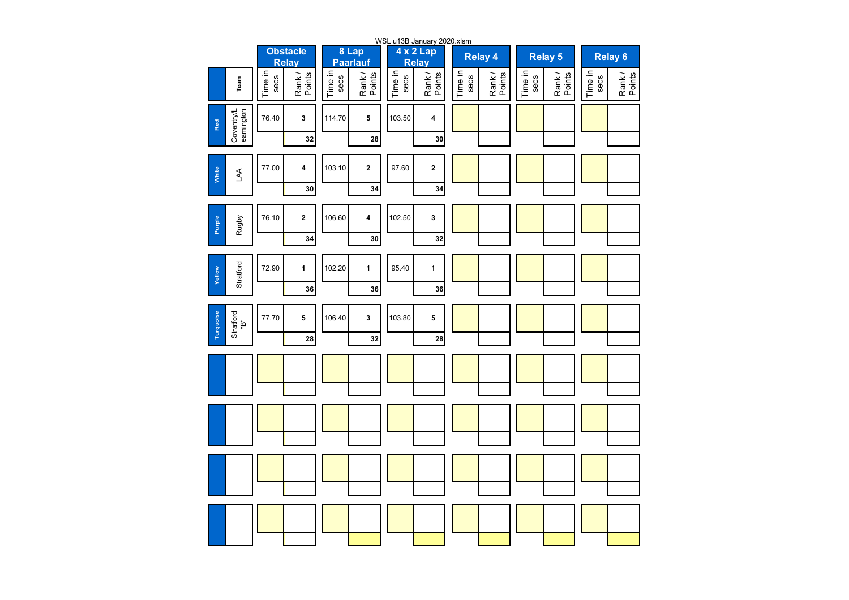|                                |                 |                                 |                 |                          |                 | WSL u13B January 2020.xlsm |                 |                  |                 |                 |                 |                 |  |
|--------------------------------|-----------------|---------------------------------|-----------------|--------------------------|-----------------|----------------------------|-----------------|------------------|-----------------|-----------------|-----------------|-----------------|--|
|                                |                 | <b>Obstacle</b><br><b>Relay</b> |                 | 8 Lap<br><b>Paarlauf</b> |                 | 4 x 2 Lap<br><b>Relay</b>  |                 | <b>Relay 4</b>   |                 | <b>Relay 5</b>  | Relay 6         |                 |  |
| Team                           | Time in<br>secs | Rank /<br>Points                | Time in<br>secs | Points<br>Rank/          | Time in<br>secs | Rank/<br>Points            | Time in<br>secs | Rank /<br>Points | Time in<br>secs | Rank/<br>Points | Time in<br>secs | Rank/<br>Points |  |
| Coventry/L<br>eamington<br>Red | 76.40           | 3                               | 114.70          | 5                        | 103.50          | 4                          |                 |                  |                 |                 |                 |                 |  |
|                                |                 | 32                              |                 | 28                       |                 | 30                         |                 |                  |                 |                 |                 |                 |  |
| White<br>A                     | 77.00           | 4                               | 103.10          | $\mathbf 2$              | 97.60           | 2                          |                 |                  |                 |                 |                 |                 |  |
|                                |                 | 30                              |                 | 34                       |                 | 34                         |                 |                  |                 |                 |                 |                 |  |
| Purple<br>Rugby                | 76.10           | $\mathbf 2$                     | 106.60          | 4                        | 102.50          | 3                          |                 |                  |                 |                 |                 |                 |  |
|                                |                 | 34                              |                 | 30                       |                 | 32                         |                 |                  |                 |                 |                 |                 |  |
| Stratford<br>Yellow            | 72.90           | $\mathbf{1}$                    | 102.20          | $\mathbf{1}$             | 95.40           | $\mathbf{1}$               |                 |                  |                 |                 |                 |                 |  |
|                                |                 | 36                              |                 | 36                       |                 | 36                         |                 |                  |                 |                 |                 |                 |  |
| Turquoise<br>Stratford<br>"B"  | 77.70           | 5                               | 106.40          | 3                        | 103.80          | 5                          |                 |                  |                 |                 |                 |                 |  |
|                                |                 | 28                              |                 | 32                       |                 | 28                         |                 |                  |                 |                 |                 |                 |  |
|                                |                 |                                 |                 |                          |                 |                            |                 |                  |                 |                 |                 |                 |  |
|                                |                 |                                 |                 |                          |                 |                            |                 |                  |                 |                 |                 |                 |  |
|                                |                 |                                 |                 |                          |                 |                            |                 |                  |                 |                 |                 |                 |  |
|                                |                 |                                 |                 |                          |                 |                            |                 |                  |                 |                 |                 |                 |  |
|                                |                 |                                 |                 |                          |                 |                            |                 |                  |                 |                 |                 |                 |  |
|                                |                 |                                 |                 |                          |                 |                            |                 |                  |                 |                 |                 |                 |  |
|                                |                 |                                 |                 |                          |                 |                            |                 |                  |                 |                 |                 |                 |  |
|                                |                 |                                 |                 |                          |                 |                            |                 |                  |                 |                 |                 |                 |  |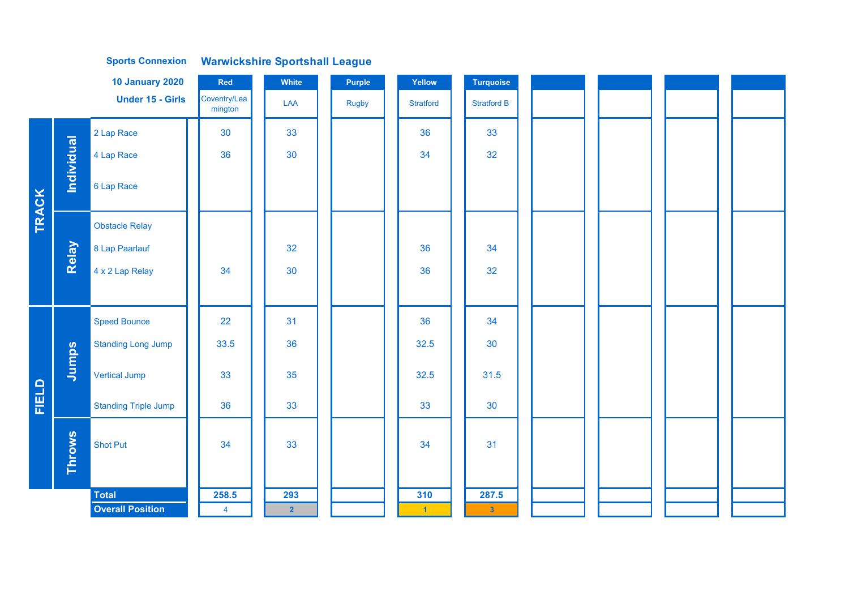|              |               | <b>10 January 2020</b>      | Red                     | White          | <b>Purple</b> | Yellow               | Turquoise          |  |  |
|--------------|---------------|-----------------------------|-------------------------|----------------|---------------|----------------------|--------------------|--|--|
|              |               | <b>Under 15 - Girls</b>     | Coventry/Lea<br>mington | LAA            | <b>Rugby</b>  | <b>Stratford</b>     | <b>Stratford B</b> |  |  |
|              |               | 2 Lap Race                  | 30                      | 33             |               | 36                   | 33                 |  |  |
|              |               | 4 Lap Race                  | 36                      | 30             |               | 34                   | 32                 |  |  |
|              | Individual    | 6 Lap Race                  |                         |                |               |                      |                    |  |  |
| <b>TRACK</b> |               | <b>Obstacle Relay</b>       |                         |                |               |                      |                    |  |  |
|              | Relay         | 8 Lap Paarlauf              |                         | 32             |               | 36                   | 34                 |  |  |
|              |               | 4 x 2 Lap Relay             | 34                      | 30             |               | 36                   | 32                 |  |  |
|              |               |                             |                         |                |               |                      |                    |  |  |
|              |               | <b>Speed Bounce</b>         | 22                      | 31             |               | 36                   | 34                 |  |  |
|              |               | <b>Standing Long Jump</b>   | 33.5                    | 36             |               | 32.5                 | 30                 |  |  |
|              | Jumps         | <b>Vertical Jump</b>        | 33                      | 35             |               | 32.5                 | 31.5               |  |  |
| FIELD        |               | <b>Standing Triple Jump</b> | 36                      | 33             |               | 33                   | 30                 |  |  |
|              | <b>Throws</b> | <b>Shot Put</b>             | 34                      | 33             |               | 34                   | 31                 |  |  |
|              |               | <b>Total</b>                | 258.5                   | 293            |               | 310                  | 287.5              |  |  |
|              |               | <b>Overall Position</b>     | $\overline{\mathbf{4}}$ | $\overline{2}$ |               | $\blacktriangleleft$ | $\mathbf{3}$       |  |  |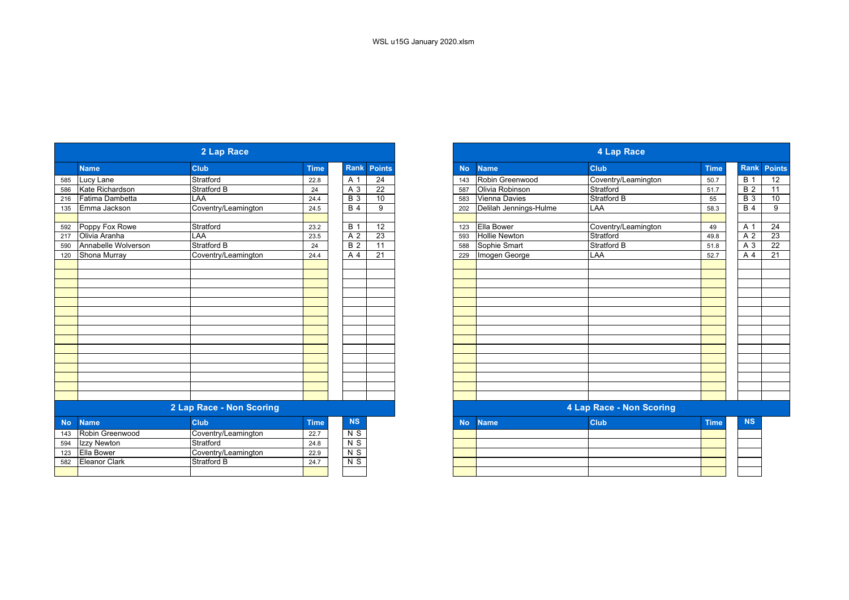| <b>Rank</b><br><b>Points</b><br><b>Club</b><br><b>Name</b><br><b>Club</b><br><b>Time</b><br><b>Name</b><br><b>Time</b><br><b>No</b><br>$\overline{24}$<br>Stratford<br>Robin Greenwood<br>A 1<br>Coventry/Leamington<br>Lucy Lane<br>22.8<br>143<br>50.7<br>Kate Richardson<br><b>Stratford B</b><br>$\overline{22}$<br>Olivia Robinson<br>Stratford<br>A 3<br>24<br>587<br>51.7<br>10<br>Fatima Dambetta<br>$\overline{B}$ 3<br>Vienna Davies<br><b>Stratford B</b><br>LAA<br>24.4<br>55<br>583<br>Delilah Jennings-Hulme<br><b>B</b> 4<br>9<br>Emma Jackson<br>Coventry/Leamington<br>LAA<br>24.5<br>202<br>58.3<br>Poppy Fox Rowe<br>Stratford<br>12<br><b>Ella Bower</b><br><b>B</b> 1<br>Coventry/Leamington<br>49<br>23.2<br>123<br>LAA<br>A <sub>2</sub><br>$\overline{23}$<br>Stratford<br>Olivia Aranha<br><b>Hollie Newton</b><br>23.5<br>593<br>49.8<br>Stratford B<br>$\overline{B}$ 2<br>11<br>Stratford B<br>Annabelle Wolverson<br>Sophie Smart<br>51.8<br>588<br>24<br>Shona Murray<br>A 4<br>21<br>LAA<br>Coventry/Leamington<br>Imogen George<br>52.7<br>229<br>24.4<br>4 Lap Race - Non Scoring<br>2 Lap Race - Non Scoring<br><b>NS</b><br><b>Club</b><br><b>Club</b><br><b>Time</b><br><b>Time</b><br><b>Name</b><br><b>Name</b><br><b>No</b><br>N <sub>S</sub><br>Robin Greenwood<br>Coventry/Leamington<br>22.7<br>Stratford<br>$N$ S<br>Izzy Newton<br>24.8<br>Coventry/Leamington<br>$N$ S<br>Ella Bower<br>22.9<br><b>Eleanor Clark</b><br>$N$ S<br>Stratford B<br>24.7 |  | 2 Lap Race |  |  | 4 Lap Race |           |                  |
|---------------------------------------------------------------------------------------------------------------------------------------------------------------------------------------------------------------------------------------------------------------------------------------------------------------------------------------------------------------------------------------------------------------------------------------------------------------------------------------------------------------------------------------------------------------------------------------------------------------------------------------------------------------------------------------------------------------------------------------------------------------------------------------------------------------------------------------------------------------------------------------------------------------------------------------------------------------------------------------------------------------------------------------------------------------------------------------------------------------------------------------------------------------------------------------------------------------------------------------------------------------------------------------------------------------------------------------------------------------------------------------------------------------------------------------------------------------------------------------------------|--|------------|--|--|------------|-----------|------------------|
| 585<br>586<br>216<br>135<br>592<br>217<br>590<br>120<br><b>No</b><br>143<br>594<br>123<br>582                                                                                                                                                                                                                                                                                                                                                                                                                                                                                                                                                                                                                                                                                                                                                                                                                                                                                                                                                                                                                                                                                                                                                                                                                                                                                                                                                                                                     |  |            |  |  |            | Rank Poir |                  |
|                                                                                                                                                                                                                                                                                                                                                                                                                                                                                                                                                                                                                                                                                                                                                                                                                                                                                                                                                                                                                                                                                                                                                                                                                                                                                                                                                                                                                                                                                                   |  |            |  |  |            |           | <b>B</b> 1       |
|                                                                                                                                                                                                                                                                                                                                                                                                                                                                                                                                                                                                                                                                                                                                                                                                                                                                                                                                                                                                                                                                                                                                                                                                                                                                                                                                                                                                                                                                                                   |  |            |  |  |            |           | <b>B2</b>        |
|                                                                                                                                                                                                                                                                                                                                                                                                                                                                                                                                                                                                                                                                                                                                                                                                                                                                                                                                                                                                                                                                                                                                                                                                                                                                                                                                                                                                                                                                                                   |  |            |  |  |            |           | $\overline{B}$ 3 |
|                                                                                                                                                                                                                                                                                                                                                                                                                                                                                                                                                                                                                                                                                                                                                                                                                                                                                                                                                                                                                                                                                                                                                                                                                                                                                                                                                                                                                                                                                                   |  |            |  |  |            |           | <b>B</b> 4       |
|                                                                                                                                                                                                                                                                                                                                                                                                                                                                                                                                                                                                                                                                                                                                                                                                                                                                                                                                                                                                                                                                                                                                                                                                                                                                                                                                                                                                                                                                                                   |  |            |  |  |            |           | A 1              |
|                                                                                                                                                                                                                                                                                                                                                                                                                                                                                                                                                                                                                                                                                                                                                                                                                                                                                                                                                                                                                                                                                                                                                                                                                                                                                                                                                                                                                                                                                                   |  |            |  |  |            |           | A 2              |
|                                                                                                                                                                                                                                                                                                                                                                                                                                                                                                                                                                                                                                                                                                                                                                                                                                                                                                                                                                                                                                                                                                                                                                                                                                                                                                                                                                                                                                                                                                   |  |            |  |  |            |           | $A_3$            |
|                                                                                                                                                                                                                                                                                                                                                                                                                                                                                                                                                                                                                                                                                                                                                                                                                                                                                                                                                                                                                                                                                                                                                                                                                                                                                                                                                                                                                                                                                                   |  |            |  |  |            |           | A <sub>4</sub>   |
|                                                                                                                                                                                                                                                                                                                                                                                                                                                                                                                                                                                                                                                                                                                                                                                                                                                                                                                                                                                                                                                                                                                                                                                                                                                                                                                                                                                                                                                                                                   |  |            |  |  |            |           |                  |
|                                                                                                                                                                                                                                                                                                                                                                                                                                                                                                                                                                                                                                                                                                                                                                                                                                                                                                                                                                                                                                                                                                                                                                                                                                                                                                                                                                                                                                                                                                   |  |            |  |  |            |           |                  |
|                                                                                                                                                                                                                                                                                                                                                                                                                                                                                                                                                                                                                                                                                                                                                                                                                                                                                                                                                                                                                                                                                                                                                                                                                                                                                                                                                                                                                                                                                                   |  |            |  |  |            |           |                  |
|                                                                                                                                                                                                                                                                                                                                                                                                                                                                                                                                                                                                                                                                                                                                                                                                                                                                                                                                                                                                                                                                                                                                                                                                                                                                                                                                                                                                                                                                                                   |  |            |  |  |            |           |                  |
|                                                                                                                                                                                                                                                                                                                                                                                                                                                                                                                                                                                                                                                                                                                                                                                                                                                                                                                                                                                                                                                                                                                                                                                                                                                                                                                                                                                                                                                                                                   |  |            |  |  |            |           |                  |
|                                                                                                                                                                                                                                                                                                                                                                                                                                                                                                                                                                                                                                                                                                                                                                                                                                                                                                                                                                                                                                                                                                                                                                                                                                                                                                                                                                                                                                                                                                   |  |            |  |  |            |           |                  |
|                                                                                                                                                                                                                                                                                                                                                                                                                                                                                                                                                                                                                                                                                                                                                                                                                                                                                                                                                                                                                                                                                                                                                                                                                                                                                                                                                                                                                                                                                                   |  |            |  |  |            |           |                  |
|                                                                                                                                                                                                                                                                                                                                                                                                                                                                                                                                                                                                                                                                                                                                                                                                                                                                                                                                                                                                                                                                                                                                                                                                                                                                                                                                                                                                                                                                                                   |  |            |  |  |            |           |                  |
|                                                                                                                                                                                                                                                                                                                                                                                                                                                                                                                                                                                                                                                                                                                                                                                                                                                                                                                                                                                                                                                                                                                                                                                                                                                                                                                                                                                                                                                                                                   |  |            |  |  |            |           |                  |
|                                                                                                                                                                                                                                                                                                                                                                                                                                                                                                                                                                                                                                                                                                                                                                                                                                                                                                                                                                                                                                                                                                                                                                                                                                                                                                                                                                                                                                                                                                   |  |            |  |  |            |           |                  |
|                                                                                                                                                                                                                                                                                                                                                                                                                                                                                                                                                                                                                                                                                                                                                                                                                                                                                                                                                                                                                                                                                                                                                                                                                                                                                                                                                                                                                                                                                                   |  |            |  |  |            |           | <b>NS</b>        |
|                                                                                                                                                                                                                                                                                                                                                                                                                                                                                                                                                                                                                                                                                                                                                                                                                                                                                                                                                                                                                                                                                                                                                                                                                                                                                                                                                                                                                                                                                                   |  |            |  |  |            |           |                  |
|                                                                                                                                                                                                                                                                                                                                                                                                                                                                                                                                                                                                                                                                                                                                                                                                                                                                                                                                                                                                                                                                                                                                                                                                                                                                                                                                                                                                                                                                                                   |  |            |  |  |            |           |                  |
|                                                                                                                                                                                                                                                                                                                                                                                                                                                                                                                                                                                                                                                                                                                                                                                                                                                                                                                                                                                                                                                                                                                                                                                                                                                                                                                                                                                                                                                                                                   |  |            |  |  |            |           |                  |
|                                                                                                                                                                                                                                                                                                                                                                                                                                                                                                                                                                                                                                                                                                                                                                                                                                                                                                                                                                                                                                                                                                                                                                                                                                                                                                                                                                                                                                                                                                   |  |            |  |  |            |           |                  |

|                           | 2 Lap Race               |             |                |             |
|---------------------------|--------------------------|-------------|----------------|-------------|
| <b>Name</b>               | <b>Club</b>              | <b>Time</b> |                | Rank Points |
| Lucy Lane                 | Stratford                | 22.8        | A 1            | 24          |
| Kate Richardson           | Stratford B              | 24          | A 3            | 22          |
| Fatima Dambetta           | LAA                      | 24.4        | <b>B</b> 3     | 10          |
| Emma Jackson              | Coventry/Leamington      | 24.5        | <b>B</b> 4     | 9           |
|                           |                          |             |                |             |
| Poppy Fox Rowe            | Stratford                | 23.2        | <b>B</b> 1     | 12          |
| Olivia Aranha             | LAA                      | 23.5        | A 2            | 23          |
| Annabelle Wolverson       | Stratford B              | 24          | <b>B</b> 2     | 11          |
| Shona Murray              | Coventry/Leamington      | 24.4        | A 4            | 21          |
|                           |                          |             |                |             |
|                           |                          |             |                |             |
|                           |                          |             |                |             |
|                           |                          |             |                |             |
|                           |                          |             |                |             |
|                           |                          |             |                |             |
|                           |                          |             |                |             |
|                           |                          |             |                |             |
|                           |                          |             |                |             |
|                           |                          |             |                |             |
|                           |                          |             |                |             |
|                           |                          |             |                |             |
|                           |                          |             |                |             |
|                           |                          |             |                |             |
|                           |                          |             |                |             |
|                           | 2 Lap Race - Non Scoring |             |                |             |
| <b>Name</b>               | <b>Club</b>              | <b>Time</b> | <b>NS</b>      |             |
| Robin Greenwood           | Coventry/Leamington      | 22.7        | N <sub>S</sub> |             |
| Izzy Newton<br>Ella Bower | Stratford                | 24.8        | $N$ S          |             |
|                           | Coventry/Leamington      | 22.9        | N S            |             |
| Eleanor Clark             | Stratford B              | 24.7        | $N$ S          |             |
|                           |                          |             |                |             |
|                           |                          |             |                |             |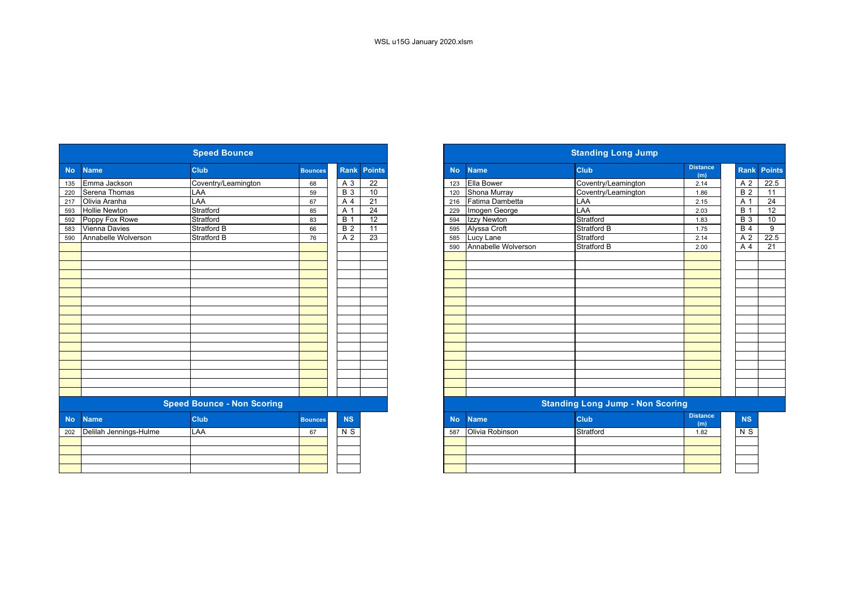|           |                        | <b>Speed Bounce</b>               |                |                  |                 |
|-----------|------------------------|-----------------------------------|----------------|------------------|-----------------|
| <b>No</b> | <b>Name</b>            | Club                              | <b>Bounces</b> | <b>Rank</b>      | <b>Points</b>   |
| 135       | Emma Jackson           | Coventry/Leamington               | 68             | A 3              | 22              |
| 220       | Serena Thomas          | LAA                               | 59             | $\overline{B}$ 3 | 10              |
| 217       | Olivia Aranha          | LAA                               | 67             | A 4              | 21              |
| 593       | <b>Hollie Newton</b>   | Stratford                         | 85             | A 1              | $\overline{24}$ |
| 592       | Poppy Fox Rowe         | Stratford                         | 83             | $\overline{B}$ 1 | $\overline{12}$ |
| 583       | Vienna Davies          | Stratford B                       | 66             | $\overline{B}$ 2 | $\overline{11}$ |
| 590       | Annabelle Wolverson    | <b>Stratford B</b>                | 76             | A <sub>2</sub>   | 23              |
|           |                        |                                   |                |                  |                 |
|           |                        |                                   |                |                  |                 |
|           |                        |                                   |                |                  |                 |
|           |                        |                                   |                |                  |                 |
|           |                        |                                   |                |                  |                 |
|           |                        |                                   |                |                  |                 |
|           |                        |                                   |                |                  |                 |
|           |                        |                                   |                |                  |                 |
|           |                        |                                   |                |                  |                 |
|           |                        |                                   |                |                  |                 |
|           |                        |                                   |                |                  |                 |
|           |                        |                                   |                |                  |                 |
|           |                        |                                   |                |                  |                 |
|           |                        |                                   |                |                  |                 |
|           |                        |                                   |                |                  |                 |
|           |                        |                                   |                |                  |                 |
|           |                        |                                   |                |                  |                 |
|           |                        | <b>Speed Bounce - Non Scoring</b> |                |                  |                 |
| <b>No</b> | <b>Name</b>            | <b>Club</b>                       | <b>Bounces</b> | <b>NS</b>        |                 |
| 202       | Delilah Jennings-Hulme | <b>LAA</b>                        | 67             | $N$ S            |                 |
|           |                        |                                   |                |                  |                 |
|           |                        |                                   |                |                  |                 |
|           |                        |                                   |                |                  |                 |
|           |                        |                                   |                |                  |                 |

|                        | <b>Speed Bounce</b>               |                |                  |                 |
|------------------------|-----------------------------------|----------------|------------------|-----------------|
| <b>Name</b>            | <b>Club</b>                       | <b>Bounces</b> | Rank             | <b>Points</b>   |
| Emma Jackson           | Coventry/Leamington               | 68             | A 3              | $\overline{22}$ |
| Serena Thomas          | LAA                               | 59             | $\overline{B}$ 3 | 10              |
| Olivia Aranha          | LAA                               | 67             | A 4              | $\overline{21}$ |
| <b>Hollie Newton</b>   | Stratford                         | 85             | A 1              | $\overline{24}$ |
| Poppy Fox Rowe         | Stratford                         | 83             | <b>B</b> 1       | 12              |
| Vienna Davies          | Stratford B                       | 66             | $\overline{B}$ 2 | 11              |
| Annabelle Wolverson    | Stratford B                       | 76             | A 2              | $\overline{23}$ |
|                        |                                   |                |                  |                 |
|                        |                                   |                |                  |                 |
|                        |                                   |                |                  |                 |
|                        |                                   |                |                  |                 |
|                        |                                   |                |                  |                 |
|                        |                                   |                |                  |                 |
|                        |                                   |                |                  |                 |
|                        |                                   |                |                  |                 |
|                        |                                   |                |                  |                 |
|                        |                                   |                |                  |                 |
|                        |                                   |                |                  |                 |
|                        |                                   |                |                  |                 |
|                        |                                   |                |                  |                 |
|                        |                                   |                |                  |                 |
|                        |                                   |                |                  |                 |
|                        |                                   |                |                  |                 |
|                        |                                   |                |                  |                 |
|                        | <b>Speed Bounce - Non Scoring</b> |                |                  |                 |
| <b>Name</b>            | <b>Club</b>                       | <b>Bounces</b> | <b>NS</b>        |                 |
| Delilah Jennings-Hulme | LAA                               | 67             | N S              |                 |
|                        |                                   |                |                  |                 |
|                        |                                   |                |                  |                 |
|                        |                                   |                |                  |                 |
|                        |                                   |                |                  |                 |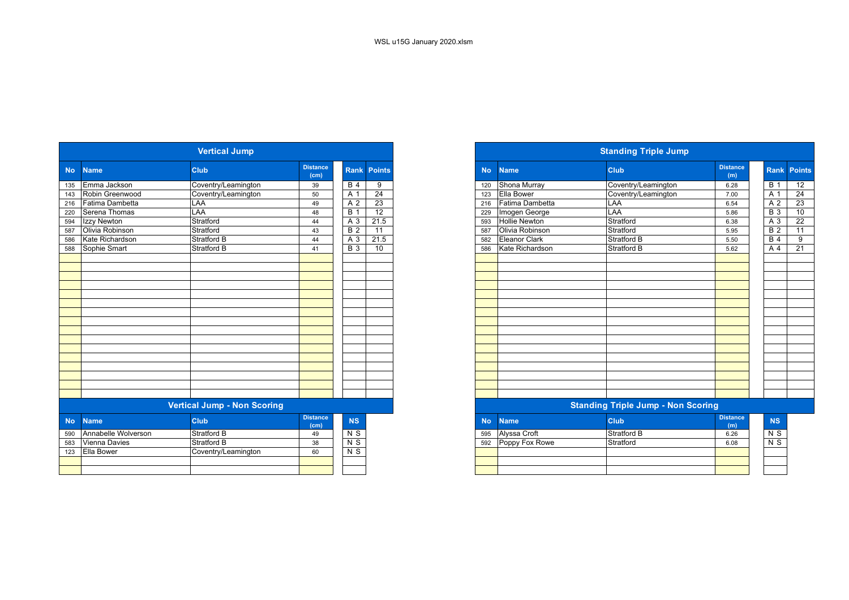|           |                     | <b>Vertical Jump</b>               |                         |                  |                 |
|-----------|---------------------|------------------------------------|-------------------------|------------------|-----------------|
| <b>No</b> | <b>Name</b>         | <b>Club</b>                        | <b>Distance</b><br>(cm) | <b>Rank</b>      | <b>Points</b>   |
| 135       | Emma Jackson        | Coventry/Leamington                | 39                      | <b>B</b> 4       | 9               |
| 143       | Robin Greenwood     | Coventry/Leamington                | 50                      | A 1              | $\overline{24}$ |
| 216       | Fatima Dambetta     | LAA                                | 49                      | A 2              | 23              |
| 220       | Serena Thomas       | LAA                                | 48                      | $\overline{B}$ 1 | 12              |
| 594       | Izzy Newton         | Stratford                          | 44                      | A 3              | 21.5            |
| 587       | Olivia Robinson     | Stratford                          | 43                      | B <sub>2</sub>   | $\overline{11}$ |
| 586       | Kate Richardson     | Stratford B                        | 44                      | A 3              | 21.5            |
| 588       | Sophie Smart        | Stratford B                        | 41                      | $B_3$            | 10              |
|           |                     |                                    |                         |                  |                 |
|           |                     |                                    |                         |                  |                 |
|           |                     |                                    |                         |                  |                 |
|           |                     |                                    |                         |                  |                 |
|           |                     |                                    |                         |                  |                 |
|           |                     |                                    |                         |                  |                 |
|           |                     |                                    |                         |                  |                 |
|           |                     |                                    |                         |                  |                 |
|           |                     |                                    |                         |                  |                 |
|           |                     |                                    |                         |                  |                 |
|           |                     |                                    |                         |                  |                 |
|           |                     |                                    |                         |                  |                 |
|           |                     |                                    |                         |                  |                 |
|           |                     |                                    |                         |                  |                 |
|           |                     |                                    |                         |                  |                 |
|           |                     |                                    |                         |                  |                 |
|           |                     | <b>Vertical Jump - Non Scoring</b> |                         |                  |                 |
|           |                     |                                    |                         |                  |                 |
| <b>No</b> | <b>Name</b>         | <b>Club</b>                        | <b>Distance</b><br>(cm) | <b>NS</b>        |                 |
| 590       | Annabelle Wolverson | Stratford B                        | 49                      | N S              |                 |
| 583       | Vienna Davies       | Stratford B                        | 38                      | N <sub>S</sub>   |                 |
| 123       | Ella Bower          | Coventry/Leamington                | 60                      | N <sub>S</sub>   |                 |
|           |                     |                                    |                         |                  |                 |
|           |                     |                                    |                         |                  |                 |

|                        | <b>Vertical Jump</b>               |                         |                  |                 |
|------------------------|------------------------------------|-------------------------|------------------|-----------------|
| No Name                | <b>Club</b>                        | <b>Distance</b><br>(cm) | Rank             | <b>Points</b>   |
| Emma Jackson<br>135    | Coventry/Leamington                | 39                      | <b>B</b> 4       | 9               |
| 143 Robin Greenwood    | Coventry/Leamington                | 50                      | $A^{\prime}$     | $\overline{24}$ |
| 216<br>Fatima Dambetta | LAA                                | 49                      | A 2              | 23              |
| 220<br>Serena Thomas   | LAA                                | 48                      | B                | $\overline{12}$ |
| 594<br>Izzy Newton     | Stratford                          | 44                      | A 3              | 21.5            |
| 587<br>Olivia Robinson | Stratford                          | 43                      | $\overline{B}$ 2 | $\overline{11}$ |
| Kate Richardson<br>586 | <b>Stratford B</b>                 | 44                      | A 3              | 21.5            |
| 588 Sophie Smart       | Stratford B                        | 41                      | <b>B</b> 3       | 10              |
|                        |                                    |                         |                  |                 |
|                        |                                    |                         |                  |                 |
|                        |                                    |                         |                  |                 |
|                        |                                    |                         |                  |                 |
|                        |                                    |                         |                  |                 |
|                        |                                    |                         |                  |                 |
|                        |                                    |                         |                  |                 |
|                        |                                    |                         |                  |                 |
|                        |                                    |                         |                  |                 |
|                        |                                    |                         |                  |                 |
|                        |                                    |                         |                  |                 |
|                        |                                    |                         |                  |                 |
|                        |                                    |                         |                  |                 |
|                        |                                    |                         |                  |                 |
|                        |                                    |                         |                  |                 |
|                        |                                    |                         |                  |                 |
|                        | <b>Vertical Jump - Non Scoring</b> |                         |                  |                 |

| stance<br>(cm) | <b>NS</b>      | <b>No</b> | <b>Name</b>    | <b>Club</b>        | <b>Distance</b><br>(m) | <b>NS</b>      |
|----------------|----------------|-----------|----------------|--------------------|------------------------|----------------|
| 49             | N S            | 595       | Alyssa Croft   | <b>Stratford B</b> | 6.26                   | N <sub>S</sub> |
| 38             | N S            | 592       | Poppy Fox Rowe | Stratford          | 6.08                   | N <sub>S</sub> |
| 60             | N <sub>S</sub> |           |                |                    |                        |                |
|                |                |           |                |                    |                        |                |
|                |                |           |                |                    |                        |                |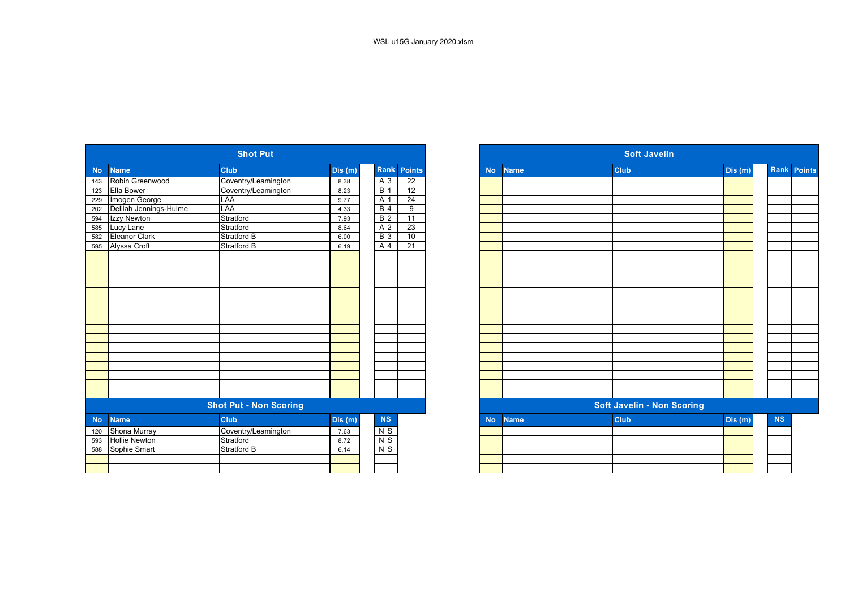|           |                        | <b>Shot Put</b>               |         |                  |                 |
|-----------|------------------------|-------------------------------|---------|------------------|-----------------|
| <b>No</b> | <b>Name</b>            | <b>Club</b>                   | Dis(m)  | Rank             | <b>Points</b>   |
| 143       | Robin Greenwood        | Coventry/Leamington           | 8.38    | $A_3$            | 22              |
| 123       | Ella Bower             | Coventry/Leamington           | 8.23    | <b>B</b> 1       | $\overline{12}$ |
| 229       | Imogen George          | LAA                           | 9.77    | A 1              | $\overline{24}$ |
| 202       | Delilah Jennings-Hulme | LAA                           | 4.33    | B <sub>4</sub>   | $\overline{9}$  |
| 594       | Izzy Newton            | Stratford                     | 7.93    | $\overline{B}$ 2 | $\overline{11}$ |
| 585       | Lucy Lane              | Stratford                     | 8.64    | A 2              | 23              |
| 582       | Eleanor Clark          | Stratford B                   | 6.00    | <b>B</b> 3       | 10              |
| 595       | Alyssa Croft           | <b>Stratford B</b>            | 6.19    | A                | $\overline{21}$ |
|           |                        |                               |         |                  |                 |
|           |                        |                               |         |                  |                 |
|           |                        |                               |         |                  |                 |
|           |                        |                               |         |                  |                 |
|           |                        |                               |         |                  |                 |
|           |                        |                               |         |                  |                 |
|           |                        |                               |         |                  |                 |
|           |                        |                               |         |                  |                 |
|           |                        |                               |         |                  |                 |
|           |                        |                               |         |                  |                 |
|           |                        |                               |         |                  |                 |
|           |                        |                               |         |                  |                 |
|           |                        |                               |         |                  |                 |
|           |                        |                               |         |                  |                 |
|           |                        |                               |         |                  |                 |
|           |                        |                               |         |                  |                 |
|           |                        | <b>Shot Put - Non Scoring</b> |         |                  |                 |
| <b>No</b> | <b>Name</b>            | <b>Club</b>                   | Dis (m) | NS               |                 |
| 120       | Shona Murray           | Coventry/Leamington           | 7.63    | $N$ S            |                 |
| 593       | <b>Hollie Newton</b>   | Stratford                     | 8.72    | $N$ S            |                 |
| 588       | Sophie Smart           | Stratford B                   | 6.14    | $N$ S            |                 |
|           |                        |                               |         |                  |                 |
|           |                        |                               |         |                  |                 |

|                   |                        | <b>Shot Put</b>               |        |                |                    |
|-------------------|------------------------|-------------------------------|--------|----------------|--------------------|
| No                | <b>Name</b>            | <b>Club</b>                   | Dis(m) |                | <b>Rank Points</b> |
| 143               | Robin Greenwood        | Coventry/Leamington           | 8.38   | $A_3$          | 22                 |
| 123<br>229        | Ella Bower             | Coventry/Leamington           | 8.23   | <b>B</b> 1     | 12                 |
|                   | Imogen George          | LAA                           | 9.77   | A 1            | $\overline{24}$    |
| 202<br>594        | Delilah Jennings-Hulme | LAA                           | 4.33   | <b>B</b> 4     | 9                  |
|                   | Izzy Newton            | Stratford                     | 7.93   | B <sub>2</sub> | 11                 |
|                   | Lucy Lane              | Stratford                     | 8.64   | A 2            | 23                 |
| 585<br>582<br>595 | Eleanor Clark          | Stratford B                   | 6.00   | <b>B</b> 3     | 10                 |
|                   | Alyssa Croft           | <b>Stratford B</b>            | 6.19   | $A$ 4          | 21                 |
|                   |                        |                               |        |                |                    |
|                   |                        |                               |        |                |                    |
|                   |                        |                               |        |                |                    |
|                   |                        |                               |        |                |                    |
|                   |                        |                               |        |                |                    |
|                   |                        |                               |        |                |                    |
|                   |                        |                               |        |                |                    |
|                   |                        |                               |        |                |                    |
|                   |                        |                               |        |                |                    |
|                   |                        |                               |        |                |                    |
|                   |                        |                               |        |                |                    |
|                   |                        |                               |        |                |                    |
|                   |                        |                               |        |                |                    |
|                   |                        |                               |        |                |                    |
|                   |                        |                               |        |                |                    |
|                   |                        |                               |        |                |                    |
|                   |                        | <b>Shot Put - Non Scoring</b> |        |                |                    |
| <b>No</b>         | <b>Name</b>            | <b>Club</b>                   | Dis(m) | $\mathbf{NS}$  |                    |
| 120               | Shona Murray           | Coventry/Leamington           | 7.63   | $N$ S          |                    |
| 593               | <b>Hollie Newton</b>   | Stratford                     | 8.72   | N <sub>S</sub> |                    |
| 588               | Sophie Smart           | Stratford B                   | 6.14   | $N$ S          |                    |
|                   |                        |                               |        |                |                    |
|                   |                        |                               |        |                |                    |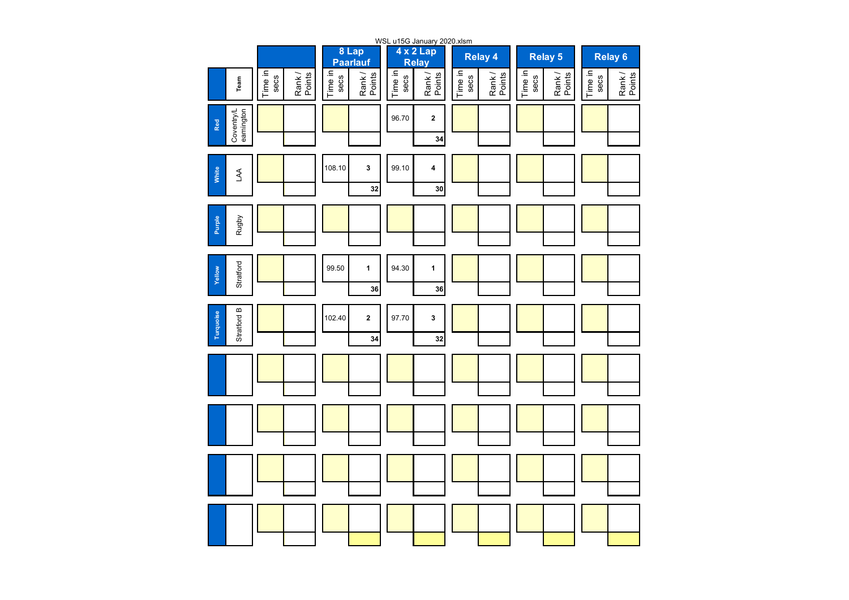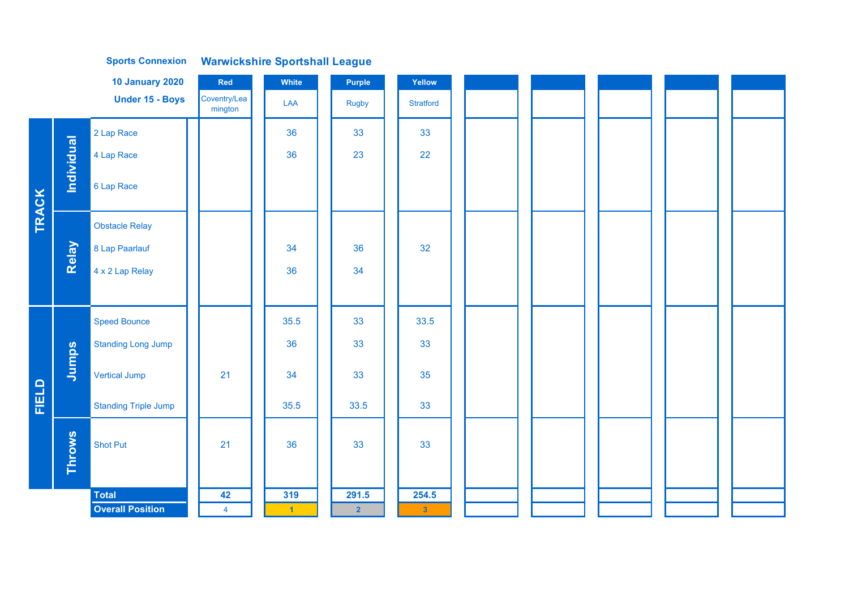| <b>Under 15 - Boys</b><br>Coventry/Lea<br>LAA<br><b>Stratford</b><br><b>Rugby</b><br>mington<br>2 Lap Race<br>36<br>33<br>33<br>Individual<br>22<br>36<br>23<br>4 Lap Race<br>6 Lap Race<br>TRACK<br><b>Obstacle Relay</b><br>Relay<br>32<br>8 Lap Paarlauf<br>36<br>34<br>34<br>4 x 2 Lap Relay<br>36<br>35.5<br>33<br>33.5<br><b>Speed Bounce</b><br>36<br>33<br>33<br><b>Standing Long Jump</b><br>Jumps<br>21<br>34<br>33<br>35<br><b>Vertical Jump</b><br>FIELD<br>35.5<br>33.5<br>33<br><b>Standing Triple Jump</b><br><b>Throws</b><br>33<br>21<br>36<br>33<br><b>Shot Put</b> |
|---------------------------------------------------------------------------------------------------------------------------------------------------------------------------------------------------------------------------------------------------------------------------------------------------------------------------------------------------------------------------------------------------------------------------------------------------------------------------------------------------------------------------------------------------------------------------------------|
|                                                                                                                                                                                                                                                                                                                                                                                                                                                                                                                                                                                       |
|                                                                                                                                                                                                                                                                                                                                                                                                                                                                                                                                                                                       |
|                                                                                                                                                                                                                                                                                                                                                                                                                                                                                                                                                                                       |
|                                                                                                                                                                                                                                                                                                                                                                                                                                                                                                                                                                                       |
|                                                                                                                                                                                                                                                                                                                                                                                                                                                                                                                                                                                       |
|                                                                                                                                                                                                                                                                                                                                                                                                                                                                                                                                                                                       |
|                                                                                                                                                                                                                                                                                                                                                                                                                                                                                                                                                                                       |
|                                                                                                                                                                                                                                                                                                                                                                                                                                                                                                                                                                                       |
|                                                                                                                                                                                                                                                                                                                                                                                                                                                                                                                                                                                       |
|                                                                                                                                                                                                                                                                                                                                                                                                                                                                                                                                                                                       |
|                                                                                                                                                                                                                                                                                                                                                                                                                                                                                                                                                                                       |
|                                                                                                                                                                                                                                                                                                                                                                                                                                                                                                                                                                                       |
|                                                                                                                                                                                                                                                                                                                                                                                                                                                                                                                                                                                       |
|                                                                                                                                                                                                                                                                                                                                                                                                                                                                                                                                                                                       |
| 42<br>319<br>291.5<br>254.5<br><b>Total</b>                                                                                                                                                                                                                                                                                                                                                                                                                                                                                                                                           |
| <b>Overall Position</b><br>$\overline{4}$<br>$\overline{2}$<br>$\mathbf{3}$<br>$\blacksquare$                                                                                                                                                                                                                                                                                                                                                                                                                                                                                         |

**Warwickshire Sportshall League Sports Connexion**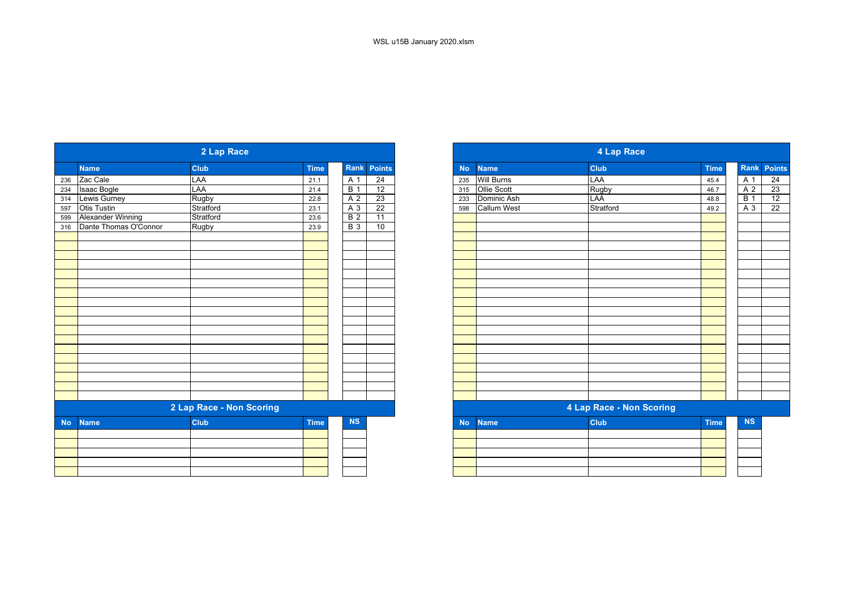|           |                           | 2 Lap Race               |             |                |                 |
|-----------|---------------------------|--------------------------|-------------|----------------|-----------------|
|           | <b>Name</b>               | <b>Club</b>              | <b>Time</b> |                | Rank Points     |
| 236       | Zac Cale                  | LAA                      | 21.1        | A <sub>1</sub> | 24              |
| 234       | <b>Isaac Bogle</b>        | LAA                      | 21.4        | <b>B</b> 1     | 12              |
| 314       | Lewis Gurney              | Rugby                    | 22.8        | A <sub>2</sub> | 23              |
| 597       | Otis Tustin               | Stratford                | 23.1        | $A_3$          | 22              |
| 599       | Alexander Winning         | Stratford                | 23.6        | B <sub>2</sub> | $\overline{11}$ |
|           | 316 Dante Thomas O'Connor | <b>Rugby</b>             | 23.9        | <b>B</b> 3     | 10              |
|           |                           |                          |             |                |                 |
|           |                           |                          |             |                |                 |
|           |                           |                          |             |                |                 |
|           |                           |                          |             |                |                 |
|           |                           |                          |             |                |                 |
|           |                           |                          |             |                |                 |
|           |                           |                          |             |                |                 |
|           |                           |                          |             |                |                 |
|           |                           |                          |             |                |                 |
|           |                           |                          |             |                |                 |
|           |                           |                          |             |                |                 |
|           |                           |                          |             |                |                 |
|           |                           |                          |             |                |                 |
|           |                           |                          |             |                |                 |
|           |                           |                          |             |                |                 |
|           |                           |                          |             |                |                 |
|           |                           |                          |             |                |                 |
|           |                           | 2 Lap Race - Non Scoring |             |                |                 |
|           |                           |                          |             |                |                 |
| <b>No</b> | <b>Name</b>               | <b>Club</b>              | <b>Time</b> | <b>NS</b>      |                 |
|           |                           |                          |             |                |                 |
|           |                           |                          |             |                |                 |
|           |                           |                          |             |                |                 |
|           |                           |                          |             |                |                 |
|           |                           |                          |             |                |                 |

|                       | 2 Lap Race               |             |                |                 |           |                    | 4 Lap Race               |             |                  |
|-----------------------|--------------------------|-------------|----------------|-----------------|-----------|--------------------|--------------------------|-------------|------------------|
|                       | <b>Club</b>              | <b>Time</b> |                | Rank Points     | <b>No</b> | <b>Name</b>        | Club                     | <b>Time</b> | Rank             |
|                       | LAA                      | 21.1        | A 1            | $\overline{24}$ | 235       | <b>Will Burns</b>  | LAA                      | 45.4        | A 1              |
|                       | LAA                      | 21.4        | B <sub>1</sub> | 12              | 315       | Ollie Scott        | Rugby                    | 46.7        | A 2              |
|                       | Rugby                    | 22.8        | A <sub>2</sub> | 23              | 233       | Dominic Ash        | LAA                      | 48.8        | $\overline{B}$ 1 |
|                       | Stratford                | 23.1        | A 3            | $\overline{22}$ | 598       | <b>Callum West</b> | Stratford                | 49.2        | A 3              |
| Alexander Winning     | Stratford                | 23.6        | <b>B</b> 2     | 11              |           |                    |                          |             |                  |
| Dante Thomas O'Connor | Rugby                    | 23.9        | <b>B</b> 3     | 10              |           |                    |                          |             |                  |
|                       |                          |             |                |                 |           |                    |                          |             |                  |
|                       |                          |             |                |                 |           |                    |                          |             |                  |
|                       |                          |             |                |                 |           |                    |                          |             |                  |
|                       |                          |             |                |                 |           |                    |                          |             |                  |
|                       |                          |             |                |                 |           |                    |                          |             |                  |
|                       |                          |             |                |                 |           |                    |                          |             |                  |
|                       |                          |             |                |                 |           |                    |                          |             |                  |
|                       |                          |             |                |                 |           |                    |                          |             |                  |
|                       |                          |             |                |                 |           |                    |                          |             |                  |
|                       |                          |             |                |                 |           |                    |                          |             |                  |
|                       |                          |             |                |                 |           |                    |                          |             |                  |
|                       | 2 Lap Race - Non Scoring |             |                |                 |           |                    | 4 Lap Race - Non Scoring |             |                  |
|                       | <b>Club</b>              | <b>Time</b> | NS             |                 | <b>No</b> | <b>Name</b>        | <b>Club</b>              | <b>Time</b> | <b>NS</b>        |
|                       |                          |             |                |                 |           |                    |                          |             |                  |
|                       |                          |             |                |                 |           |                    |                          |             |                  |
|                       |                          |             |                |                 |           |                    |                          |             |                  |
|                       |                          |             |                |                 |           |                    |                          |             |                  |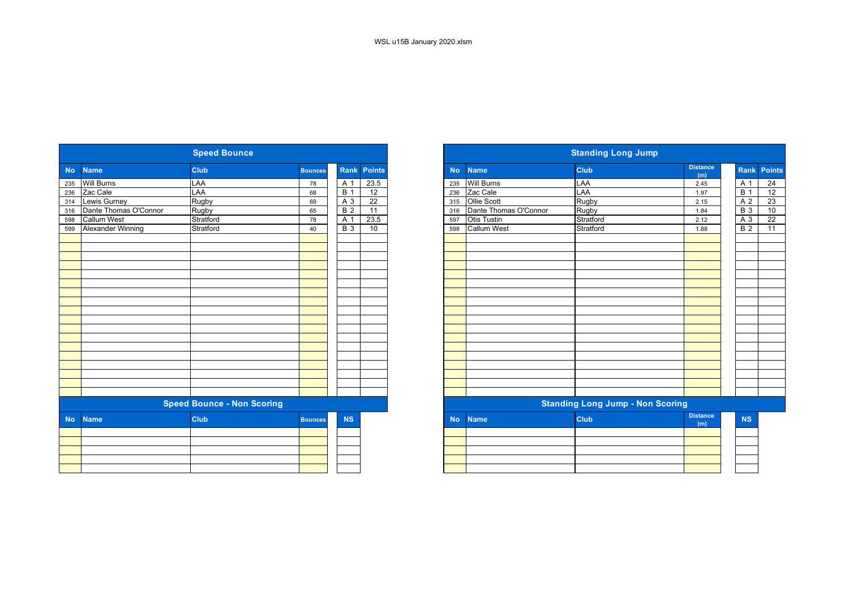|           |                          | <b>Speed Bounce</b>               |                |                  |                 |
|-----------|--------------------------|-----------------------------------|----------------|------------------|-----------------|
| <b>No</b> | <b>Name</b>              | <b>Club</b>                       | <b>Bounces</b> | Rank             | <b>Points</b>   |
| 235       | <b>Will Burns</b>        | LAA                               | 78             | A 1              | 23.5            |
| 236       | Zac Cale                 | LAA                               | 68             | B <sub>1</sub>   | $\overline{12}$ |
| 314       | Lewis Gurney             | <b>Rugby</b>                      | 69             | $A_3$            | 22              |
| 316       | Dante Thomas O'Connor    | Rugby                             | 65             | $\overline{B}$ 2 | $\overline{11}$ |
| 598       | <b>Callum West</b>       | Stratford                         | 78             | A 1              | 23.5            |
| 599       | <b>Alexander Winning</b> | Stratford                         | 40             | <b>B</b> 3       | 10              |
|           |                          |                                   |                |                  |                 |
|           |                          |                                   |                |                  |                 |
|           |                          |                                   |                |                  |                 |
|           |                          |                                   |                |                  |                 |
|           |                          |                                   |                |                  |                 |
|           |                          |                                   |                |                  |                 |
|           |                          |                                   |                |                  |                 |
|           |                          |                                   |                |                  |                 |
|           |                          |                                   |                |                  |                 |
|           |                          |                                   |                |                  |                 |
|           |                          | <b>Speed Bounce - Non Scoring</b> |                |                  |                 |
| <b>No</b> | <b>Name</b>              | <b>Club</b>                       | <b>Bounces</b> | <b>NS</b>        |                 |
|           |                          |                                   |                |                  |                 |
|           |                          |                                   |                |                  |                 |
|           |                          |                                   |                |                  |                 |
|           |                          |                                   |                |                  |                 |

|           |                          | <b>Speed Bounce</b>               |                |                  |        |           |                       | <b>Standing Long Jump</b>               |                        |                 |                    |
|-----------|--------------------------|-----------------------------------|----------------|------------------|--------|-----------|-----------------------|-----------------------------------------|------------------------|-----------------|--------------------|
| <b>No</b> | <b>Name</b>              | <b>Club</b>                       | <b>Bounces</b> | Rank             | Points | <b>No</b> | <b>Name</b>           | <b>Club</b>                             | <b>Distance</b><br>(m) |                 | <b>Rank Points</b> |
| 235       | <b>Will Burns</b>        | LAA                               | 78             | $\overline{A}$ 1 | 23.5   | 235       | <b>Will Burns</b>     | LAA                                     | 2.45                   | A 1             | 24                 |
| 236       | Zac Cale                 | LAA                               | 68             | <b>B</b> 1       | 12     | 236       | Zac Cale              | LAA                                     | 1.97                   | <b>B</b> 1      | $\overline{12}$    |
| 314       | <b>Lewis Gurney</b>      | Rugby                             | 69             | A 3              | 22     | 315       | Ollie Scott           | Rugby                                   | 2.15                   | A 2             | 23                 |
| 316       | Dante Thomas O'Connor    | Rugby                             | 65             | <b>B</b> 2       | 11     | 316       | Dante Thomas O'Connor | Rugby                                   | 1.84                   | <b>B</b> 3      | 10                 |
| 598       | <b>Callum West</b>       | Stratford                         | 78             | A 1              | 23.5   | 597       | <b>Otis Tustin</b>    | Stratford                               | 2.12                   | A 3             | $\overline{22}$    |
| 599       | <b>Alexander Winning</b> | Stratford                         | 40             | <b>B</b> 3       | 10     | 598       | <b>Callum West</b>    | Stratford                               | 1.88                   | $\overline{B}2$ | 11                 |
|           |                          |                                   |                |                  |        |           |                       |                                         |                        |                 |                    |
|           |                          |                                   |                |                  |        |           |                       |                                         |                        |                 |                    |
|           |                          |                                   |                |                  |        |           |                       |                                         |                        |                 |                    |
|           |                          |                                   |                |                  |        |           |                       |                                         |                        |                 |                    |
|           |                          |                                   |                |                  |        |           |                       |                                         |                        |                 |                    |
|           |                          |                                   |                |                  |        |           |                       |                                         |                        |                 |                    |
|           |                          |                                   |                |                  |        |           |                       |                                         |                        |                 |                    |
|           |                          |                                   |                |                  |        |           |                       |                                         |                        |                 |                    |
|           |                          |                                   |                |                  |        |           |                       |                                         |                        |                 |                    |
|           |                          |                                   |                |                  |        |           |                       |                                         |                        |                 |                    |
|           |                          |                                   |                |                  |        |           |                       |                                         |                        |                 |                    |
|           |                          |                                   |                |                  |        |           |                       |                                         |                        |                 |                    |
|           |                          |                                   |                |                  |        |           |                       |                                         |                        |                 |                    |
|           |                          |                                   |                |                  |        |           |                       |                                         |                        |                 |                    |
|           |                          | <b>Speed Bounce - Non Scoring</b> |                |                  |        |           |                       | <b>Standing Long Jump - Non Scoring</b> |                        |                 |                    |
| <b>No</b> | <b>Name</b>              | <b>Club</b>                       | <b>Bounces</b> | <b>NS</b>        |        | <b>No</b> | <b>Name</b>           | <b>Club</b>                             | <b>Distance</b><br>(m) | <b>NS</b>       |                    |
|           |                          |                                   |                |                  |        |           |                       |                                         |                        |                 |                    |
|           |                          |                                   |                |                  |        |           |                       |                                         |                        |                 |                    |
|           |                          |                                   |                |                  |        |           |                       |                                         |                        |                 |                    |
|           |                          |                                   |                |                  |        |           |                       |                                         |                        |                 |                    |
|           |                          |                                   |                |                  |        |           |                       |                                         |                        |                 |                    |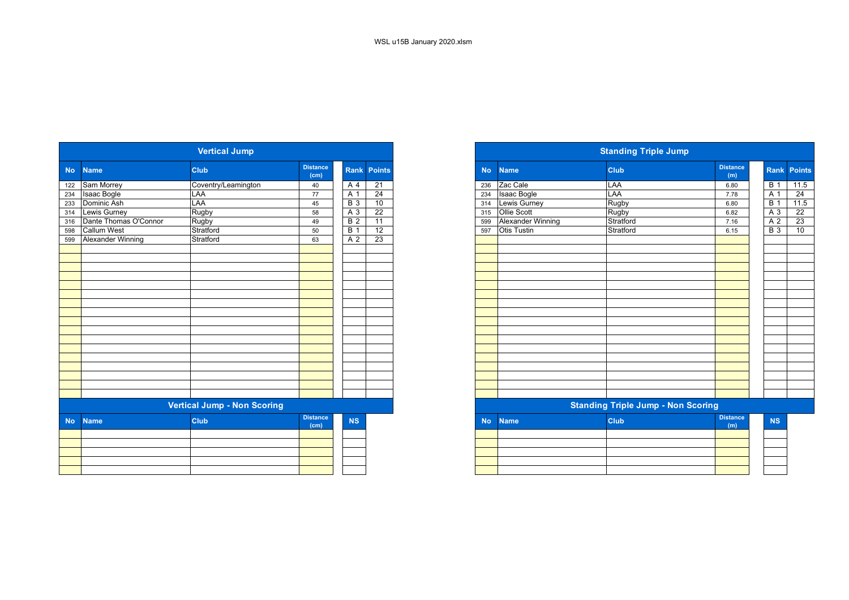|           |                          | <b>Vertical Jump</b>               |                         |                  |                 |
|-----------|--------------------------|------------------------------------|-------------------------|------------------|-----------------|
| <b>No</b> | <b>Name</b>              | <b>Club</b>                        | <b>Distance</b><br>(cm) | <b>Rank</b>      | <b>Points</b>   |
| 122       | Sam Morrey               | Coventry/Leamington                | 40                      | A <sub>4</sub>   | 21              |
| 234       | <b>Isaac Bogle</b>       | LAA                                | 77                      | A 1              | $\overline{24}$ |
| 233       | Dominic Ash              | LAA                                | 45                      | $\overline{B}$ 3 | 10              |
| 314       | Lewis Gurney             | Rugby                              | 58                      | $\overline{A}3$  | 22              |
| 316       | Dante Thomas O'Connor    | Rugby                              | 49                      | $\overline{B}$ 2 | 11              |
| 598       | <b>Callum West</b>       | Stratford                          | 50                      | <b>B</b> 1       | $\overline{12}$ |
| 599       | <b>Alexander Winning</b> | Stratford                          | 63                      | $\overline{A}$ 2 | 23              |
|           |                          |                                    |                         |                  |                 |
|           |                          |                                    |                         |                  |                 |
|           |                          |                                    |                         |                  |                 |
|           |                          |                                    |                         |                  |                 |
|           |                          |                                    |                         |                  |                 |
|           |                          |                                    |                         |                  |                 |
|           |                          |                                    |                         |                  |                 |
|           |                          |                                    |                         |                  |                 |
|           |                          |                                    |                         |                  |                 |
|           |                          |                                    |                         |                  |                 |
|           |                          |                                    |                         |                  |                 |
|           |                          |                                    |                         |                  |                 |
|           |                          |                                    |                         |                  |                 |
|           |                          |                                    |                         |                  |                 |
|           |                          |                                    |                         |                  |                 |
|           |                          |                                    |                         |                  |                 |
|           |                          |                                    |                         |                  |                 |
|           |                          | <b>Vertical Jump - Non Scoring</b> |                         |                  |                 |
|           |                          |                                    |                         |                  |                 |
| <b>No</b> | <b>Name</b>              | Club                               | <b>Distance</b><br>(cm) | <b>NS</b>        |                 |
|           |                          |                                    |                         |                  |                 |
|           |                          |                                    |                         |                  |                 |
|           |                          |                                    |                         |                  |                 |
|           |                          |                                    |                         |                  |                 |
|           |                          |                                    |                         |                  |                 |
|           |                          |                                    |                         |                  |                 |

|                          | <b>Vertical Jump</b>               |                         |                  |                 |
|--------------------------|------------------------------------|-------------------------|------------------|-----------------|
| <b>Name</b>              | <b>Club</b>                        | <b>Distance</b><br>(cm) | <b>Rank</b>      | <b>Points</b>   |
| Sam Morrey               | Coventry/Leamington                | 40                      | A 4              | $\overline{21}$ |
| Isaac Bogle              | LAA                                | 77                      | A 1              | $\overline{24}$ |
| Dominic Ash              | LAA                                | 45                      | $\overline{B}$ 3 | 10              |
| Lewis Gurney             | Rugby                              | 58                      | A 3              | $\overline{22}$ |
| Dante Thomas O'Connor    | Rugby                              | 49                      | <b>B</b> 2       | $\overline{11}$ |
| <b>Callum West</b>       | Stratford                          | 50                      | $\overline{B}$ 1 | $\overline{12}$ |
| <b>Alexander Winning</b> | Stratford                          | 63                      | A 2              | 23              |
|                          |                                    |                         |                  |                 |
|                          |                                    |                         |                  |                 |
|                          |                                    |                         |                  |                 |
|                          |                                    |                         |                  |                 |
|                          |                                    |                         |                  |                 |
|                          |                                    |                         |                  |                 |
|                          |                                    |                         |                  |                 |
|                          |                                    |                         |                  |                 |
|                          |                                    |                         |                  |                 |
|                          |                                    |                         |                  |                 |
|                          |                                    |                         |                  |                 |
|                          |                                    |                         |                  |                 |
|                          |                                    |                         |                  |                 |
|                          |                                    |                         |                  |                 |
|                          |                                    |                         |                  |                 |
|                          |                                    |                         |                  |                 |
|                          |                                    |                         |                  |                 |
|                          | <b>Vertical Jump - Non Scoring</b> |                         |                  |                 |
| <b>Name</b>              | <b>Club</b>                        | <b>Distance</b><br>(cm) | <b>NS</b>        |                 |
|                          |                                    |                         |                  |                 |
|                          |                                    |                         |                  |                 |

|                                                                                                                 | $\mathcal{L}^{\text{max}}_{\text{max}}$ and $\mathcal{L}^{\text{max}}_{\text{max}}$ and $\mathcal{L}^{\text{max}}_{\text{max}}$ and $\mathcal{L}^{\text{max}}_{\text{max}}$ |  |  |
|-----------------------------------------------------------------------------------------------------------------|-----------------------------------------------------------------------------------------------------------------------------------------------------------------------------|--|--|
|                                                                                                                 |                                                                                                                                                                             |  |  |
|                                                                                                                 |                                                                                                                                                                             |  |  |
|                                                                                                                 |                                                                                                                                                                             |  |  |
|                                                                                                                 |                                                                                                                                                                             |  |  |
| the contract of the contract of the contract of the contract of the contract of the contract of the contract of |                                                                                                                                                                             |  |  |
|                                                                                                                 |                                                                                                                                                                             |  |  |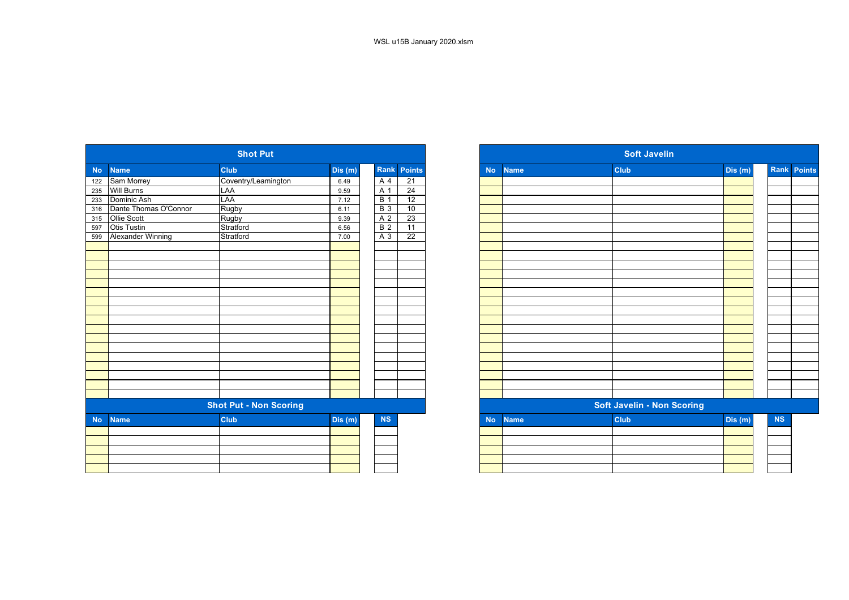|                |                          | <b>Shot Put</b>               |         |                |                 |
|----------------|--------------------------|-------------------------------|---------|----------------|-----------------|
| N <sub>o</sub> | <b>Name</b>              | <b>Club</b>                   | Dis(m)  | Rank           | <b>Points</b>   |
| 122            | Sam Morrey               | Coventry/Leamington           | 6.49    | A              | 21              |
| 235            | <b>Will Burns</b>        | LAA                           | 9.59    | A 1            | $\overline{24}$ |
| 233            | Dominic Ash              | LAA                           | 7.12    | B <sub>1</sub> | 12              |
| 316            | Dante Thomas O'Connor    | Rugby                         | 6.11    | <b>B</b> 3     | 10              |
| 315            | Ollie Scott              | Rugby                         | 9.39    | A <sub>2</sub> | 23              |
| 597            | Otis Tustin              | Stratford                     | 6.56    | B <sub>2</sub> | 11              |
| 599            | <b>Alexander Winning</b> | Stratford                     | 7.00    | A 3            | 22              |
|                |                          |                               |         |                |                 |
|                |                          |                               |         |                |                 |
|                |                          |                               |         |                |                 |
|                |                          |                               |         |                |                 |
|                |                          |                               |         |                |                 |
|                |                          |                               |         |                |                 |
|                |                          |                               |         |                |                 |
|                |                          |                               |         |                |                 |
|                |                          |                               |         |                |                 |
|                |                          |                               |         |                |                 |
|                |                          |                               |         |                |                 |
|                |                          |                               |         |                |                 |
|                |                          |                               |         |                |                 |
|                |                          |                               |         |                |                 |
|                |                          |                               |         |                |                 |
|                |                          |                               |         |                |                 |
|                |                          |                               |         |                |                 |
|                |                          | <b>Shot Put - Non Scoring</b> |         |                |                 |
| <b>No</b>      | <b>Name</b>              | <b>Club</b>                   | Dis (m) | <b>NS</b>      |                 |
|                |                          |                               |         |                |                 |
|                |                          |                               |         |                |                 |
|                |                          |                               |         |                |                 |
|                |                          |                               |         |                |                 |
|                |                          |                               |         |                |                 |
|                |                          |                               |         |                |                 |

|           |                          | <b>Shot Put</b>               |         |                  |                 |
|-----------|--------------------------|-------------------------------|---------|------------------|-----------------|
|           | <b>Name</b>              | <b>Club</b>                   | Dis (m) |                  | Rank Points     |
|           | Sam Morrey               | Coventry/Leamington           | 6.49    | A                | 21              |
|           | <b>Will Burns</b>        | LAA                           | 9.59    | A 1              | $\overline{24}$ |
|           | Dominic Ash              | LAA                           | 7.12    | $\overline{B}$ 1 | 12              |
|           | Dante Thomas O'Connor    | Rugby                         | 6.11    | <b>B</b> 3       | 10              |
|           | Ollie Scott              | Rugby                         | 9.39    | A <sub>2</sub>   | 23              |
|           | <b>Otis Tustin</b>       | Stratford                     | 6.56    | $\overline{B}$ 2 | $\overline{11}$ |
|           | <b>Alexander Winning</b> | Stratford                     | 7.00    | A 3              | $\overline{22}$ |
|           |                          |                               |         |                  |                 |
|           |                          |                               |         |                  |                 |
|           |                          |                               |         |                  |                 |
|           |                          |                               |         |                  |                 |
|           |                          |                               |         |                  |                 |
|           |                          |                               |         |                  |                 |
|           |                          |                               |         |                  |                 |
|           |                          |                               |         |                  |                 |
|           |                          |                               |         |                  |                 |
|           |                          |                               |         |                  |                 |
|           |                          |                               |         |                  |                 |
|           |                          |                               |         |                  |                 |
|           |                          |                               |         |                  |                 |
|           |                          |                               |         |                  |                 |
|           |                          |                               |         |                  |                 |
|           |                          |                               |         |                  |                 |
|           |                          |                               |         |                  |                 |
|           |                          | <b>Shot Put - Non Scoring</b> |         |                  |                 |
| <b>No</b> | <b>Name</b>              | Club                          | Dis (m) | NS               |                 |
|           |                          |                               |         |                  |                 |
|           |                          |                               |         |                  |                 |
|           |                          |                               |         |                  |                 |
|           |                          |                               |         |                  |                 |
|           |                          |                               |         |                  |                 |